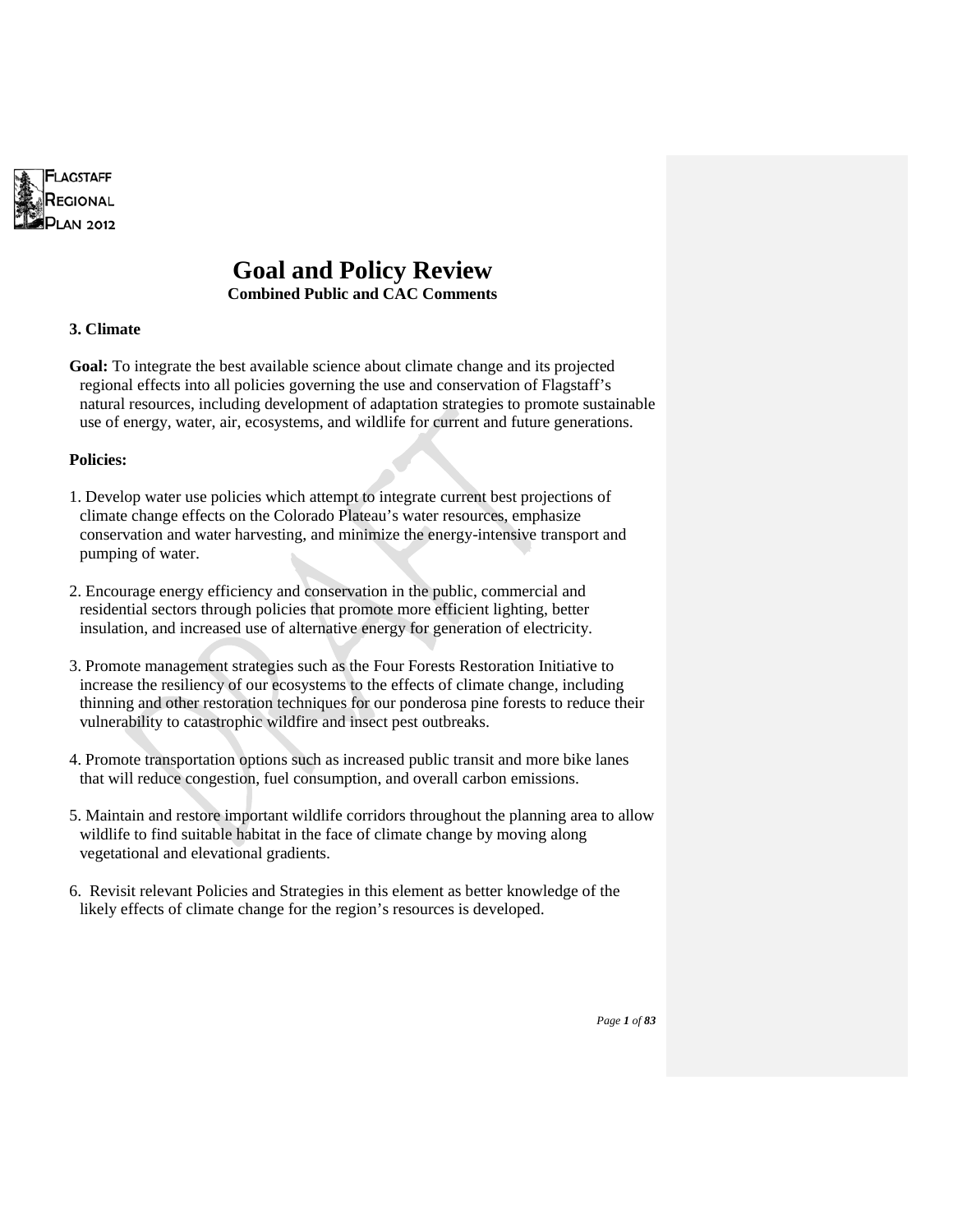

# **Goal and Policy Review**

**Combined Public and CAC Comments**

#### **3. Climate**

**Goal:** To integrate the best available science about climate change and its projected regional effects into all policies governing the use and conservation of Flagstaff's natural resources, including development of adaptation strategies to promote sustainable use of energy, water, air, ecosystems, and wildlife for current and future generations.

#### **Policies:**

- 1. Develop water use policies which attempt to integrate current best projections of climate change effects on the Colorado Plateau's water resources, emphasize conservation and water harvesting, and minimize the energy-intensive transport and pumping of water.
- 2. Encourage energy efficiency and conservation in the public, commercial and residential sectors through policies that promote more efficient lighting, better insulation, and increased use of alternative energy for generation of electricity.
- 3. Promote management strategies such as the Four Forests Restoration Initiative to increase the resiliency of our ecosystems to the effects of climate change, including thinning and other restoration techniques for our ponderosa pine forests to reduce their vulnerability to catastrophic wildfire and insect pest outbreaks.
- 4. Promote transportation options such as increased public transit and more bike lanes that will reduce congestion, fuel consumption, and overall carbon emissions.
- 5. Maintain and restore important wildlife corridors throughout the planning area to allow wildlife to find suitable habitat in the face of climate change by moving along vegetational and elevational gradients.
- 6. Revisit relevant Policies and Strategies in this element as better knowledge of the likely effects of climate change for the region's resources is developed.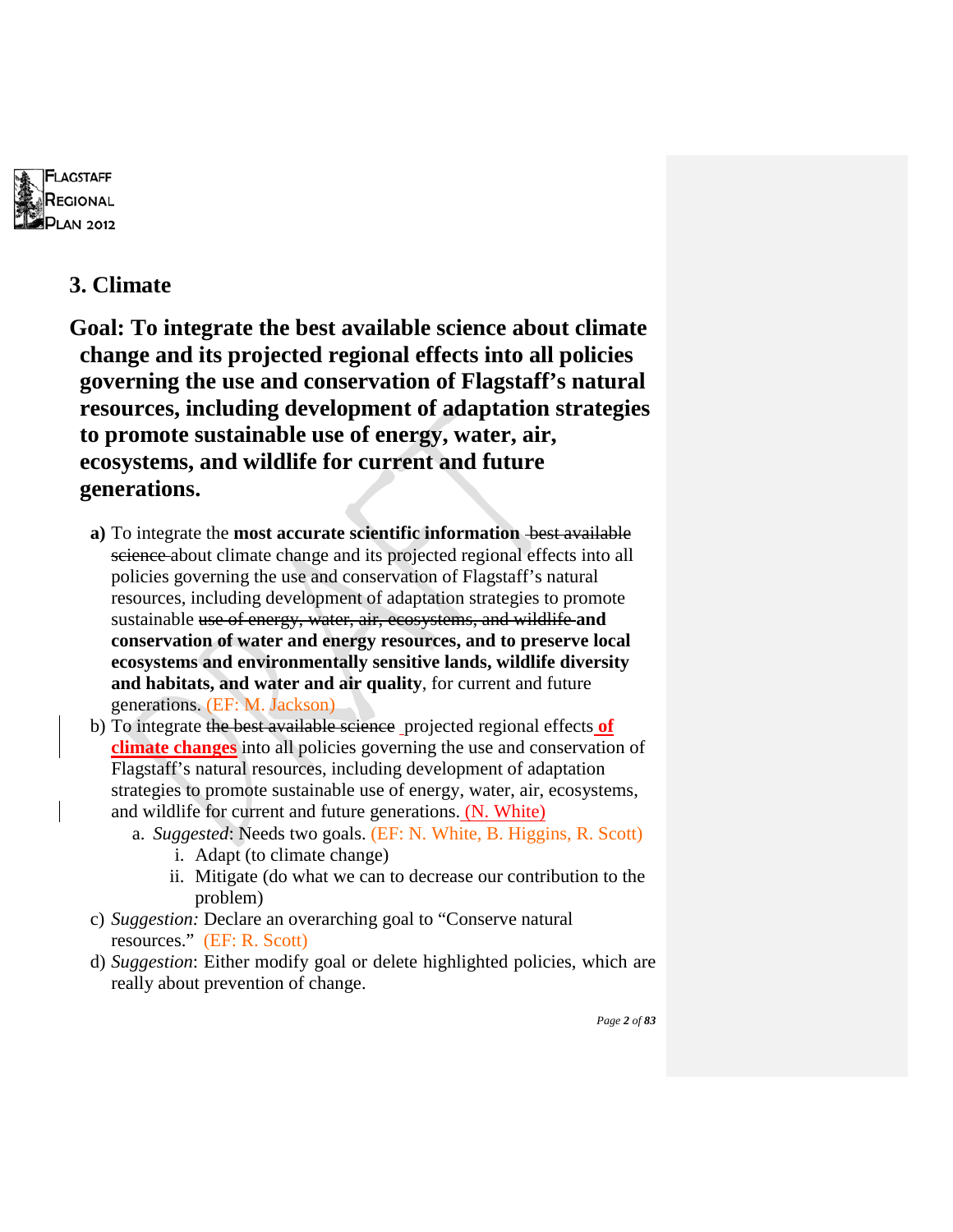

### **3. Climate**

**Goal: To integrate the best available science about climate change and its projected regional effects into all policies governing the use and conservation of Flagstaff's natural resources, including development of adaptation strategies to promote sustainable use of energy, water, air, ecosystems, and wildlife for current and future generations.**

- **a)** To integrate the **most accurate scientific information** best available science about climate change and its projected regional effects into all policies governing the use and conservation of Flagstaff's natural resources, including development of adaptation strategies to promote sustainable use of energy, water, air, ecosystems, and wildlife **and conservation of water and energy resources, and to preserve local ecosystems and environmentally sensitive lands, wildlife diversity and habitats, and water and air quality**, for current and future generations. (EF: M. Jackson)
- b) To integrate the best available science projected regional effects **of climate changes** into all policies governing the use and conservation of Flagstaff's natural resources, including development of adaptation strategies to promote sustainable use of energy, water, air, ecosystems, and wildlife for current and future generations. (N. White)
	- a. *Suggested*: Needs two goals. (EF: N. White, B. Higgins, R. Scott)
		- i. Adapt (to climate change)
		- ii. Mitigate (do what we can to decrease our contribution to the problem)
- c) *Suggestion:* Declare an overarching goal to "Conserve natural resources." (EF: R. Scott)
- d) *Suggestion*: Either modify goal or delete highlighted policies, which are really about prevention of change.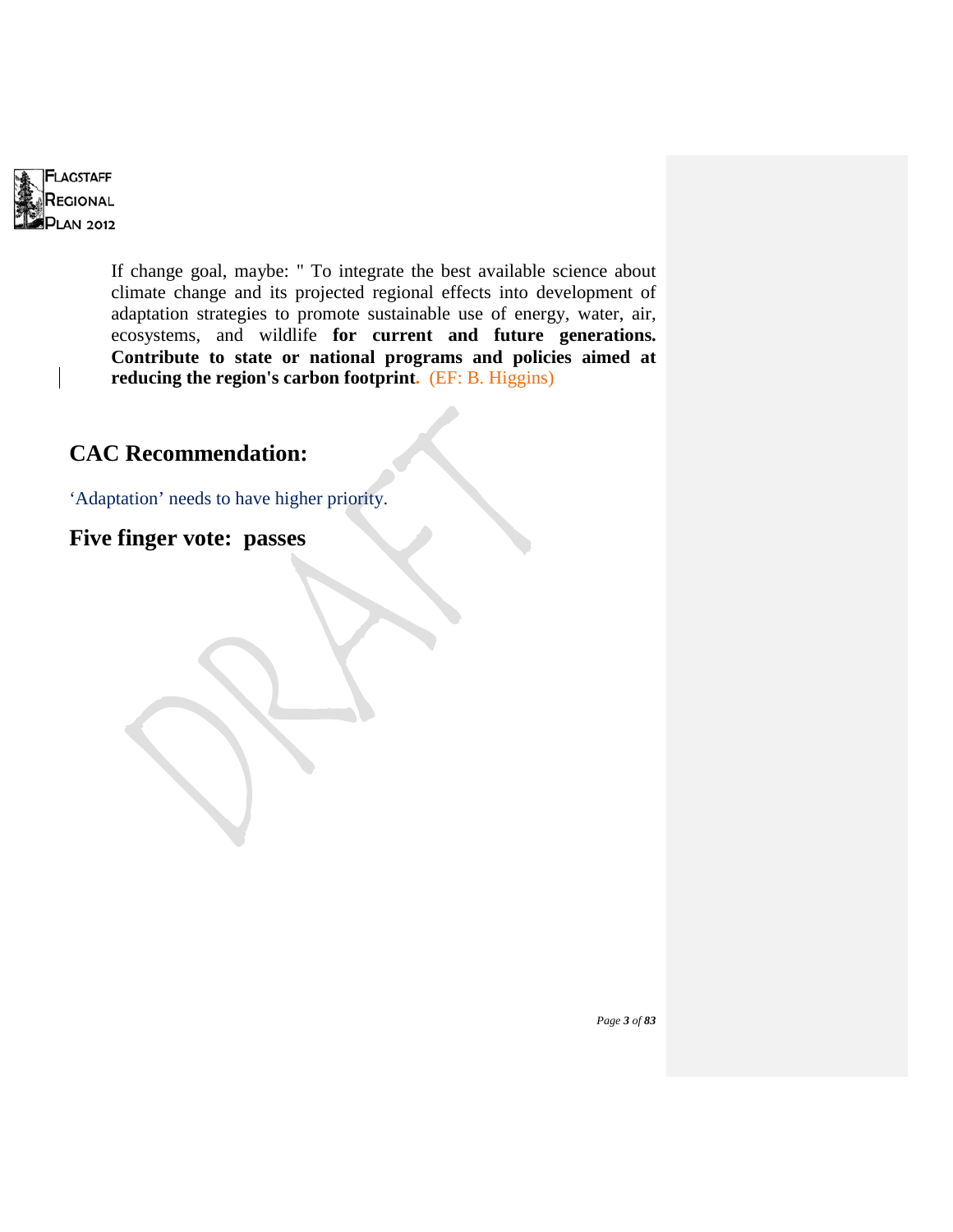

If change goal, maybe: " To integrate the best available science about climate change and its projected regional effects into development of adaptation strategies to promote sustainable use of energy, water, air, ecosystems, and wildlife **for current and future generations. Contribute to state or national programs and policies aimed at reducing the region's carbon footprint.** (EF: B. Higgins)

### **CAC Recommendation:**

'Adaptation' needs to have higher priority.

**Five finger vote: passes**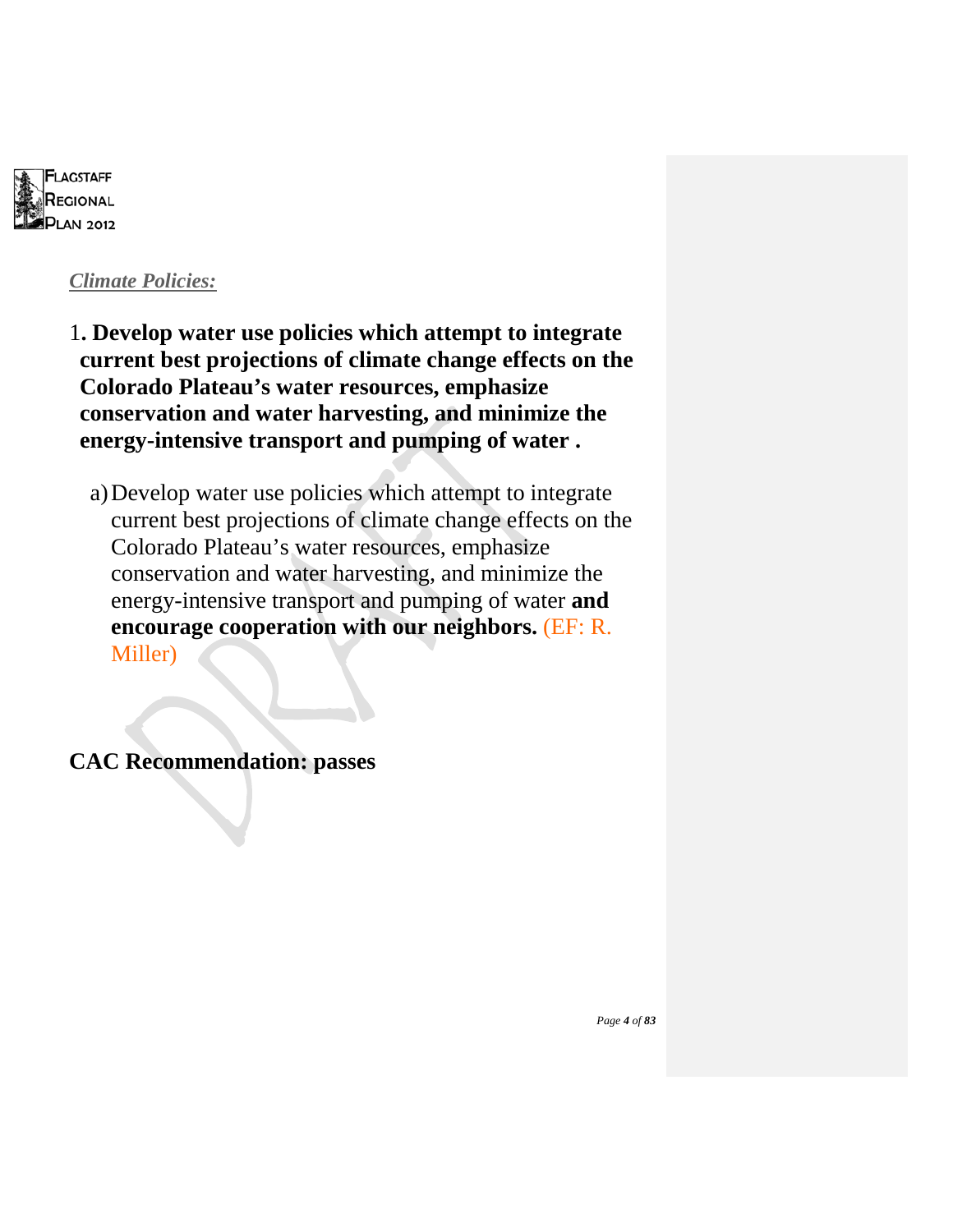

1**. Develop water use policies which attempt to integrate current best projections of climate change effects on the Colorado Plateau's water resources, emphasize conservation and water harvesting, and minimize the energy-intensive transport and pumping of water .**

a)Develop water use policies which attempt to integrate current best projections of climate change effects on the Colorado Plateau's water resources, emphasize conservation and water harvesting, and minimize the energy-intensive transport and pumping of water **and encourage cooperation with our neighbors.** (EF: R. Miller)

**CAC Recommendation: passes**

*Page 4 of 83*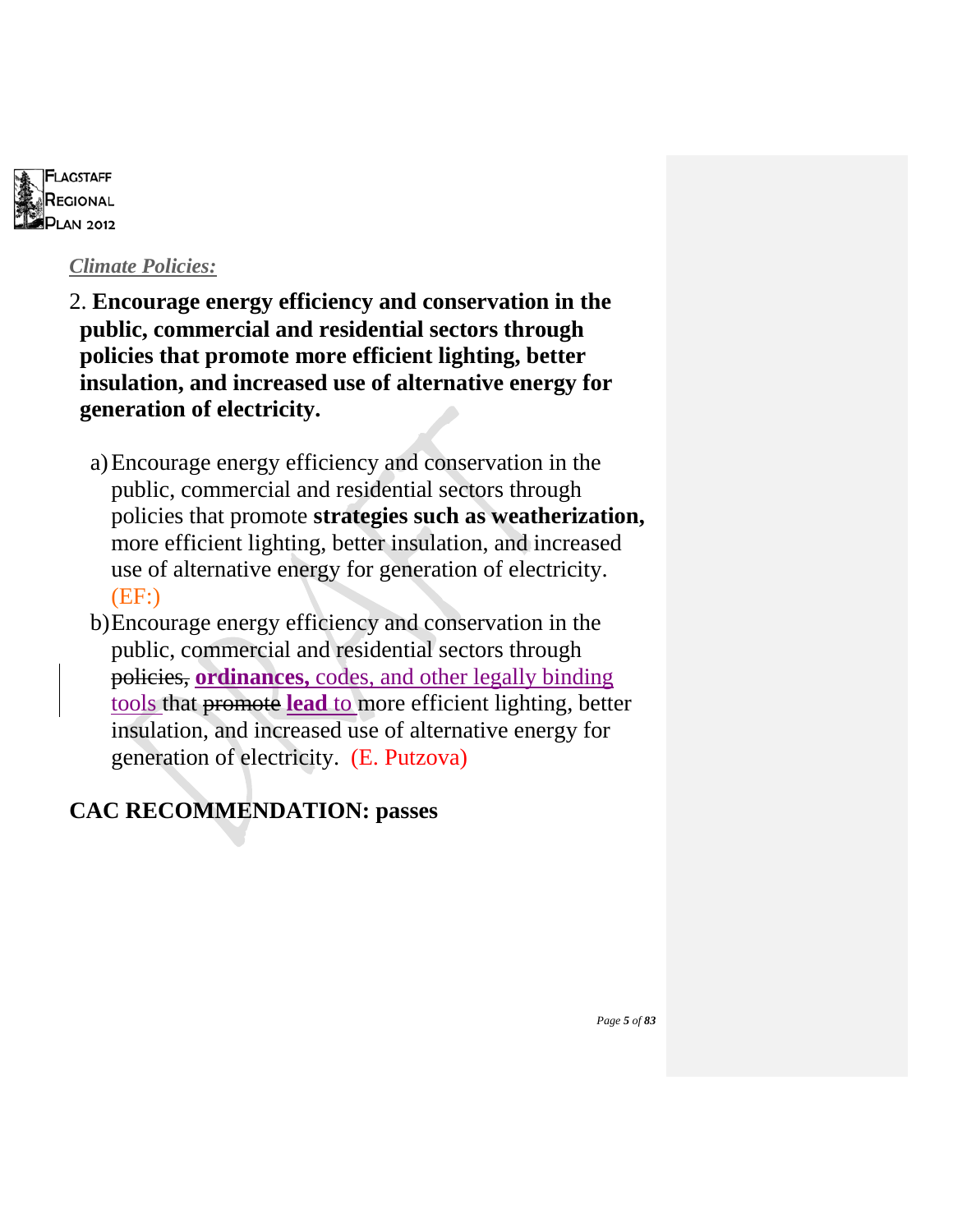

2. **Encourage energy efficiency and conservation in the public, commercial and residential sectors through policies that promote more efficient lighting, better insulation, and increased use of alternative energy for generation of electricity.**

- a)Encourage energy efficiency and conservation in the public, commercial and residential sectors through policies that promote **strategies such as weatherization,**  more efficient lighting, better insulation, and increased use of alternative energy for generation of electricity. (EF:)
- b)Encourage energy efficiency and conservation in the public, commercial and residential sectors through policies, **ordinances,** codes, and other legally binding tools that promote **lead** to more efficient lighting, better insulation, and increased use of alternative energy for generation of electricity. (E. Putzova)

## **CAC RECOMMENDATION: passes**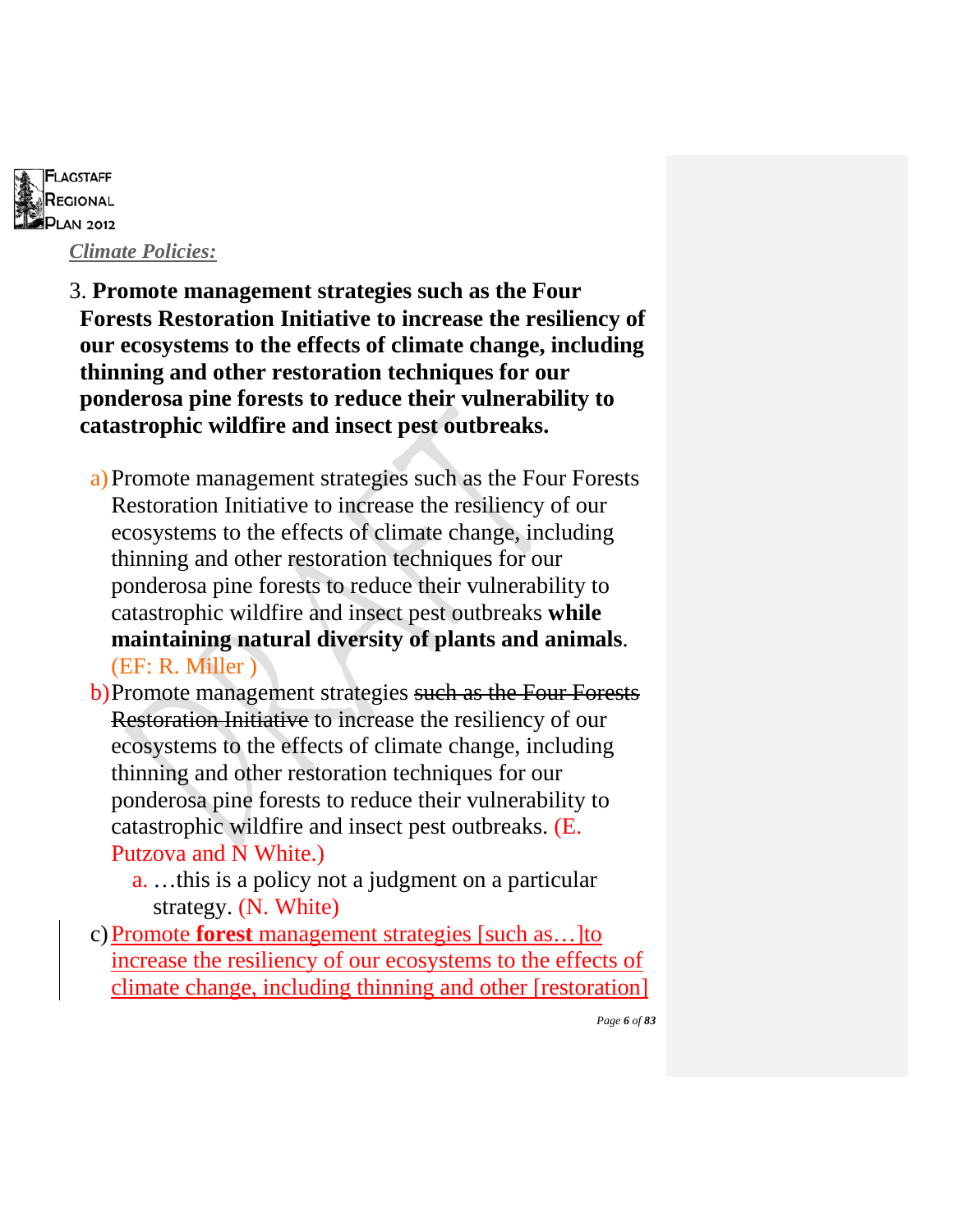

3. **Promote management strategies such as the Four Forests Restoration Initiative to increase the resiliency of our ecosystems to the effects of climate change, including thinning and other restoration techniques for our ponderosa pine forests to reduce their vulnerability to catastrophic wildfire and insect pest outbreaks.**

- a)Promote management strategies such as the Four Forests Restoration Initiative to increase the resiliency of our ecosystems to the effects of climate change, including thinning and other restoration techniques for our ponderosa pine forests to reduce their vulnerability to catastrophic wildfire and insect pest outbreaks **while maintaining natural diversity of plants and animals**. (EF: R. Miller )
- b)Promote management strategies such as the Four Forests Restoration Initiative to increase the resiliency of our ecosystems to the effects of climate change, including thinning and other restoration techniques for our ponderosa pine forests to reduce their vulnerability to catastrophic wildfire and insect pest outbreaks. (E. Putzova and N White.)
	- a. …this is a policy not a judgment on a particular strategy. (N. White)
- c)Promote **forest** management strategies [such as…]to increase the resiliency of our ecosystems to the effects of climate change, including thinning and other [restoration]

*Page 6 of 83*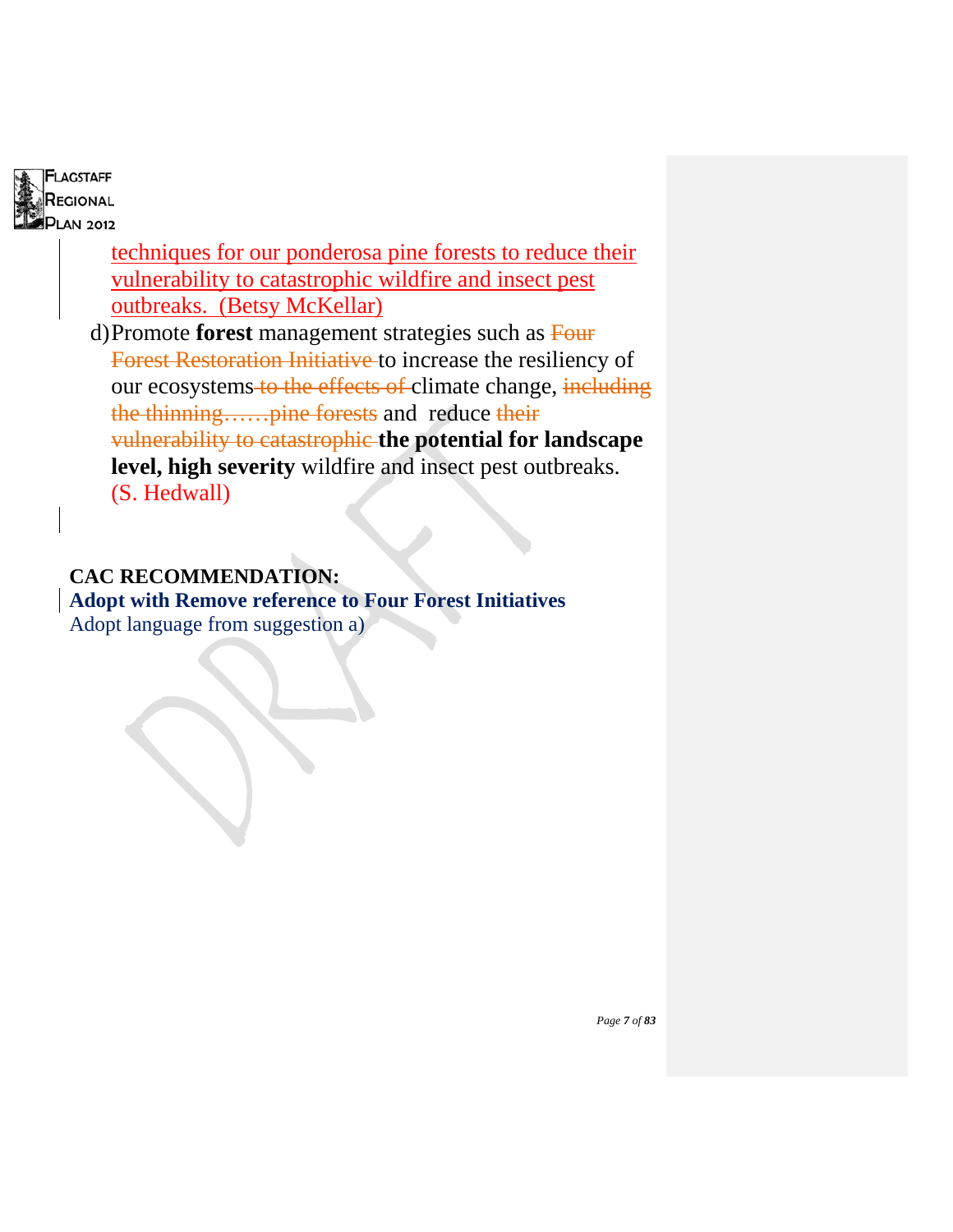

techniques for our ponderosa pine forests to reduce their vulnerability to catastrophic wildfire and insect pest outbreaks. (Betsy McKellar)

d)Promote **forest** management strategies such as Four Forest Restoration Initiative to increase the resiliency of our ecosystems to the effects of climate change, including the thinning……pine forests and reduce their vulnerability to catastrophic **the potential for landscape level, high severity** wildfire and insect pest outbreaks. (S. Hedwall)

### **CAC RECOMMENDATION:**

**Adopt with Remove reference to Four Forest Initiatives**  Adopt language from suggestion a)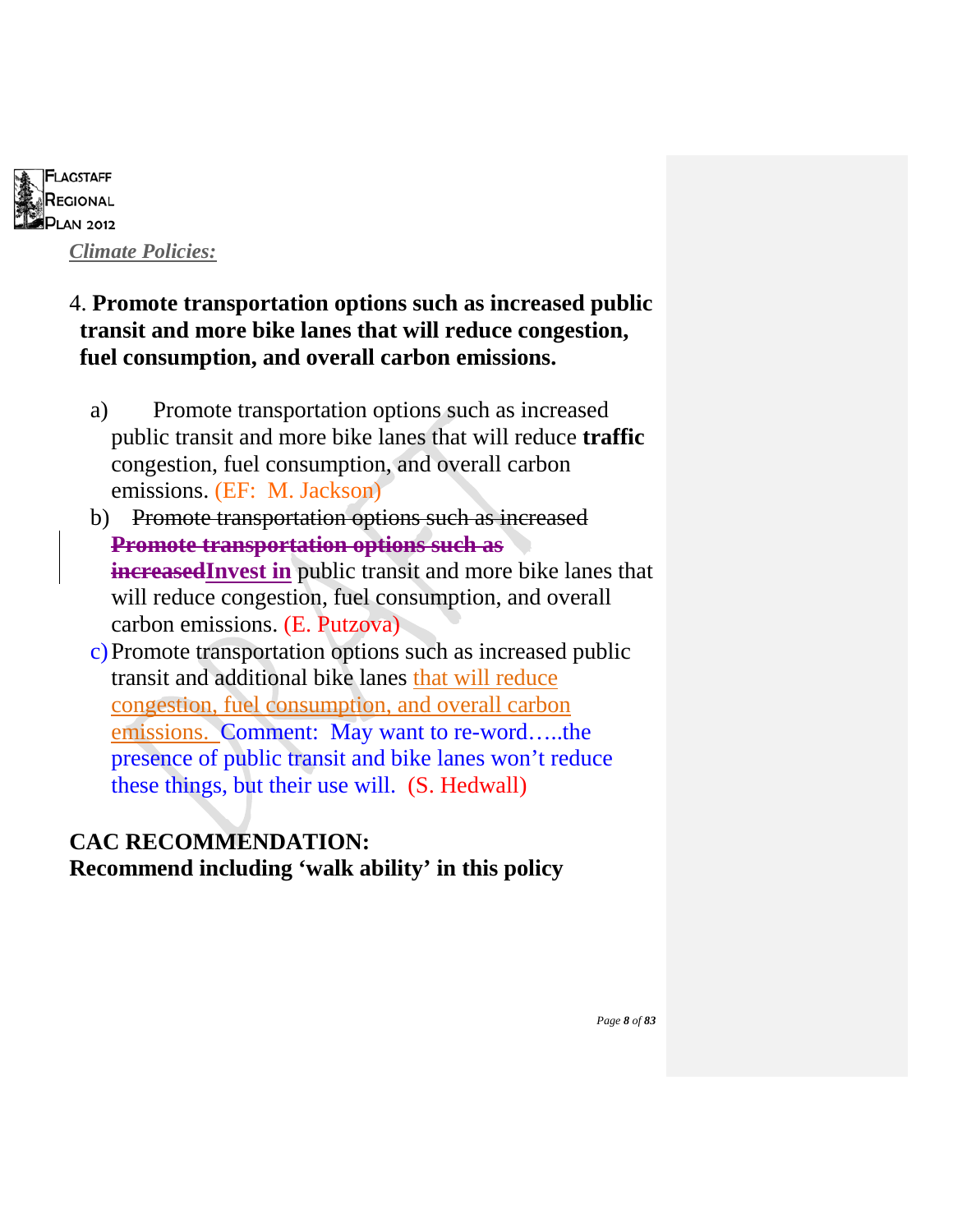

### 4. **Promote transportation options such as increased public transit and more bike lanes that will reduce congestion, fuel consumption, and overall carbon emissions.**

- a) Promote transportation options such as increased public transit and more bike lanes that will reduce **traffic** congestion, fuel consumption, and overall carbon emissions. (EF: M. Jackson)
- b) Promote transportation options such as increased **Promote transportation options such as increasedInvest in public transit and more bike lanes that** will reduce congestion, fuel consumption, and overall carbon emissions. (E. Putzova)
- c)Promote transportation options such as increased public transit and additional bike lanes that will reduce congestion, fuel consumption, and overall carbon emissions. Comment: May want to re-word…..the presence of public transit and bike lanes won't reduce these things, but their use will. (S. Hedwall)

### **CAC RECOMMENDATION: Recommend including 'walk ability' in this policy**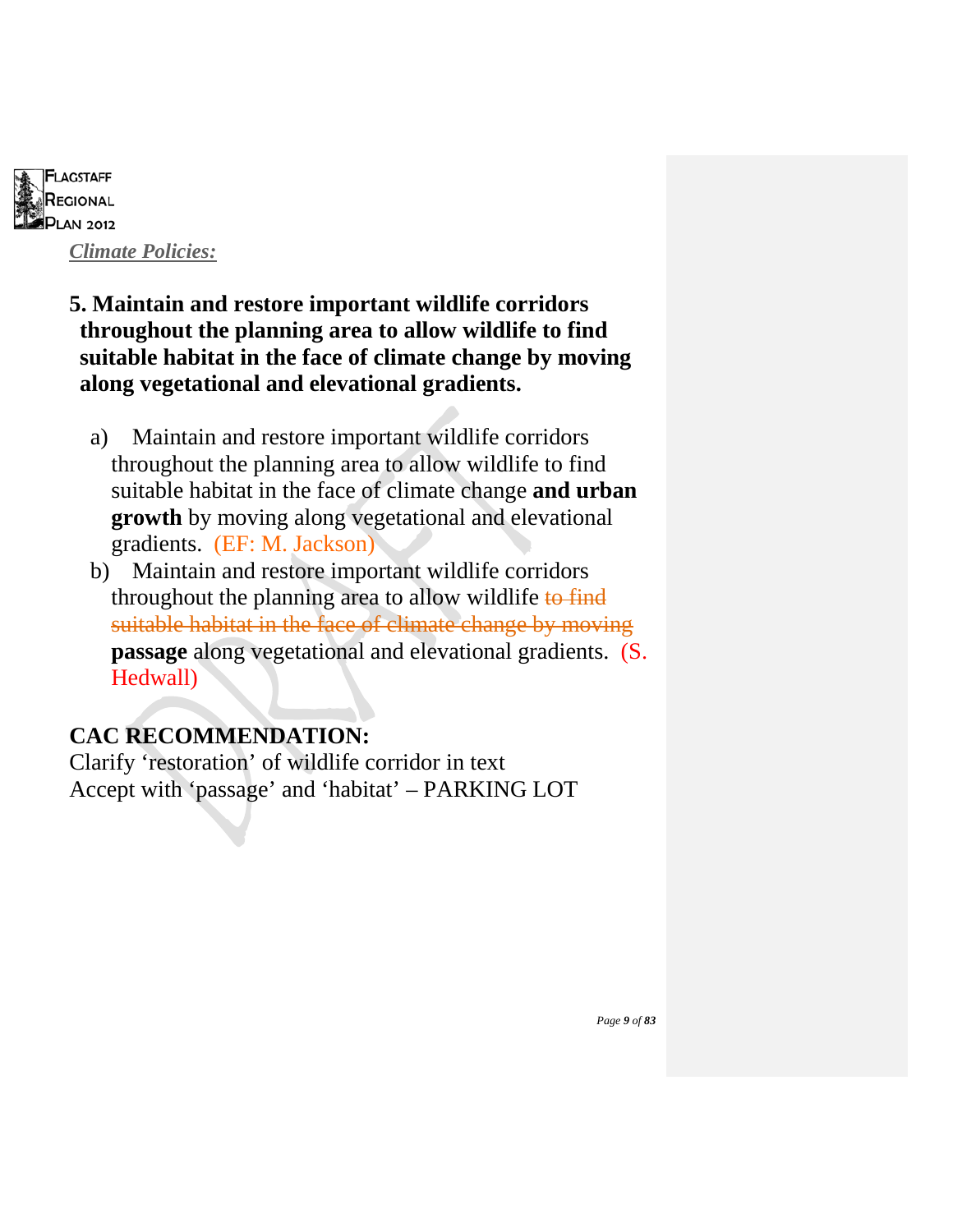

- **5. Maintain and restore important wildlife corridors throughout the planning area to allow wildlife to find suitable habitat in the face of climate change by moving along vegetational and elevational gradients.**
	- a) Maintain and restore important wildlife corridors throughout the planning area to allow wildlife to find suitable habitat in the face of climate change **and urban growth** by moving along vegetational and elevational gradients. (EF: M. Jackson)
	- b) Maintain and restore important wildlife corridors throughout the planning area to allow wildlife to find suitable habitat in the face of climate change by moving **passage** along vegetational and elevational gradients. (S. Hedwall)

### **CAC RECOMMENDATION:**

Clarify 'restoration' of wildlife corridor in text Accept with 'passage' and 'habitat' – PARKING LOT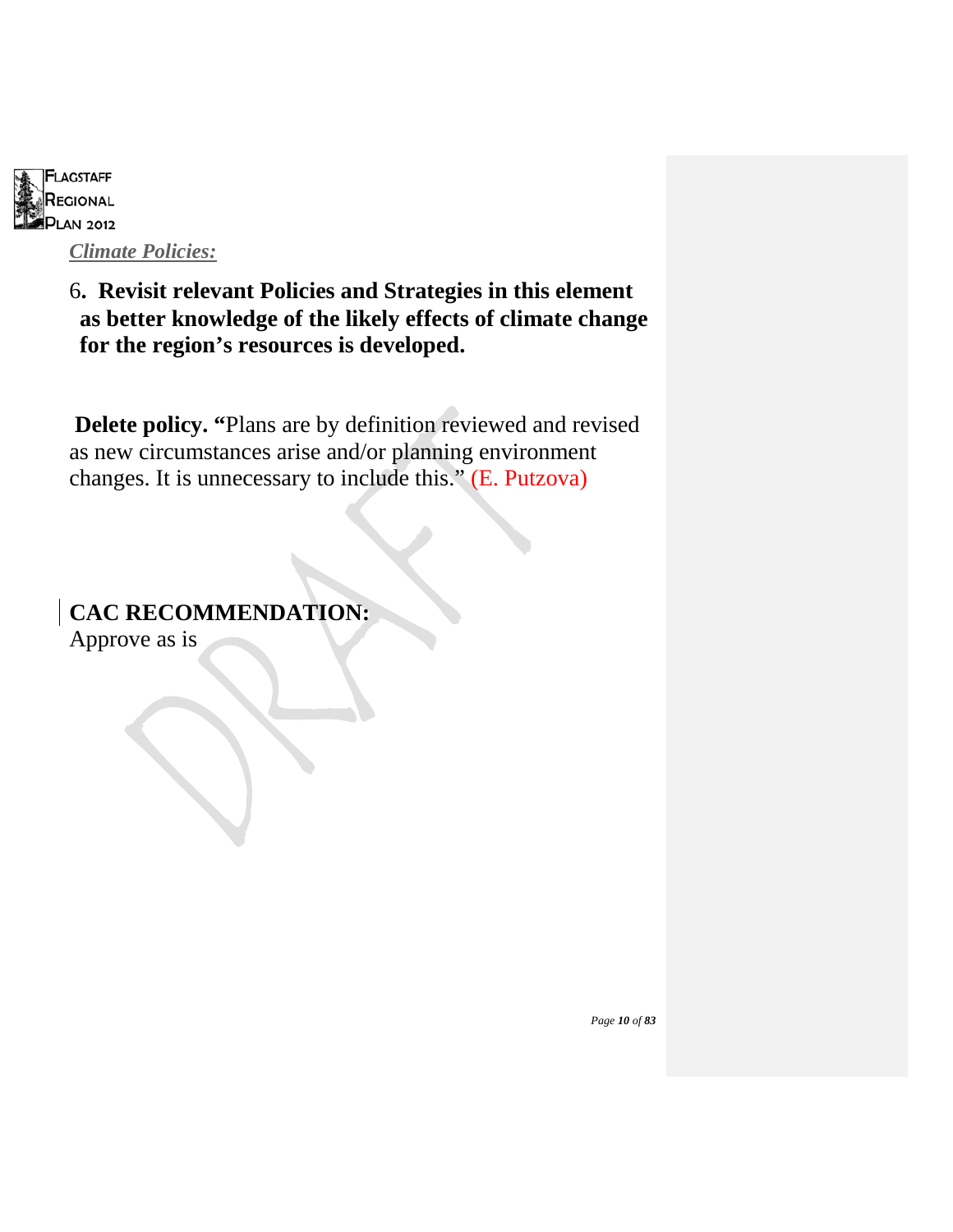

6**. Revisit relevant Policies and Strategies in this element as better knowledge of the likely effects of climate change for the region's resources is developed.**

**Delete policy. "**Plans are by definition reviewed and revised as new circumstances arise and/or planning environment changes. It is unnecessary to include this." (E. Putzova)

### **CAC RECOMMENDATION:** Approve as is

*Page 10 of 83*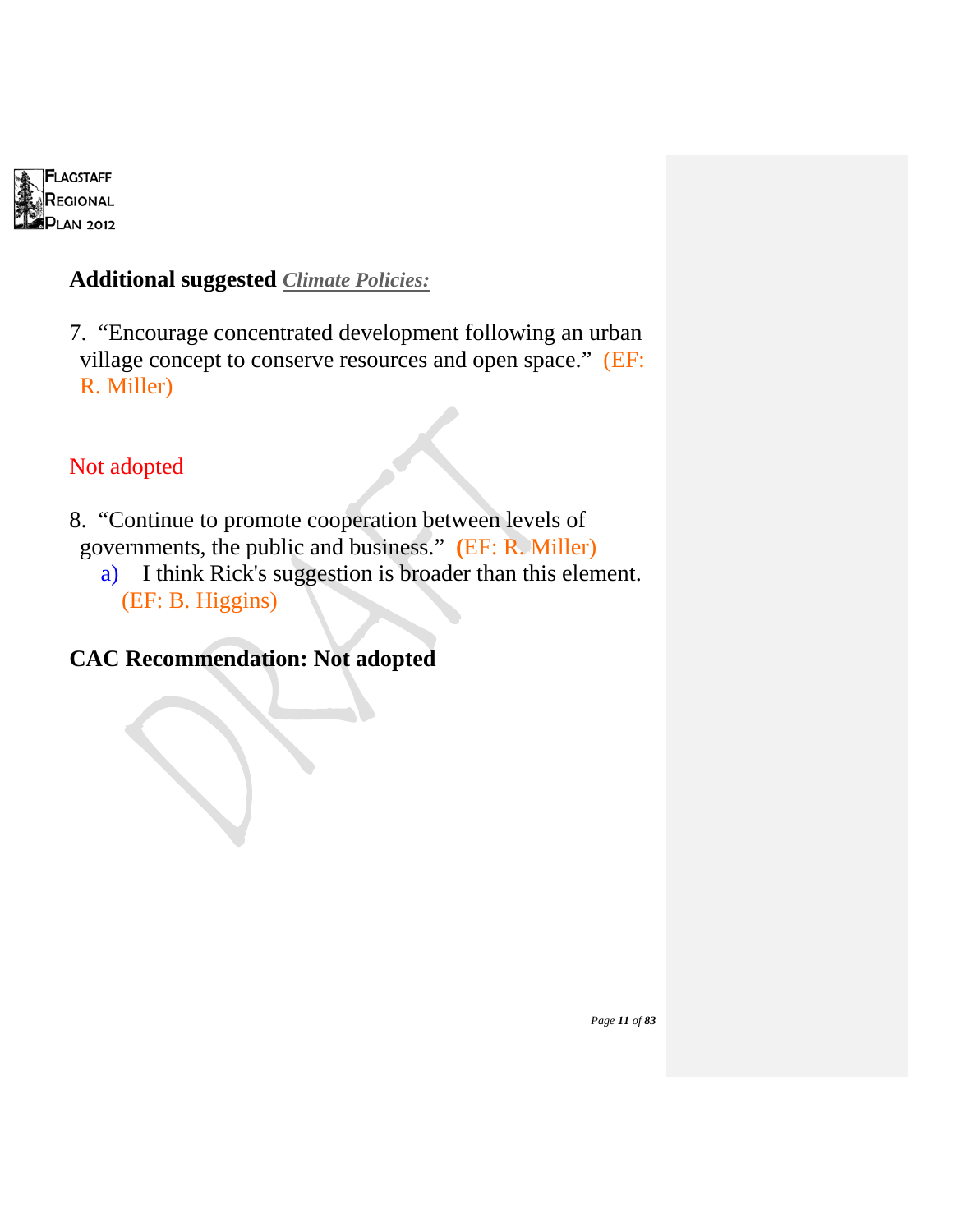

# **Additional suggested** *Climate Policies:*

7. "Encourage concentrated development following an urban village concept to conserve resources and open space." (EF: R. Miller)

### Not adopted

- 8. "Continue to promote cooperation between levels of governments, the public and business." **(**EF: R. Miller)
	- a) I think Rick's suggestion is broader than this element. (EF: B. Higgins)

# **CAC Recommendation: Not adopted**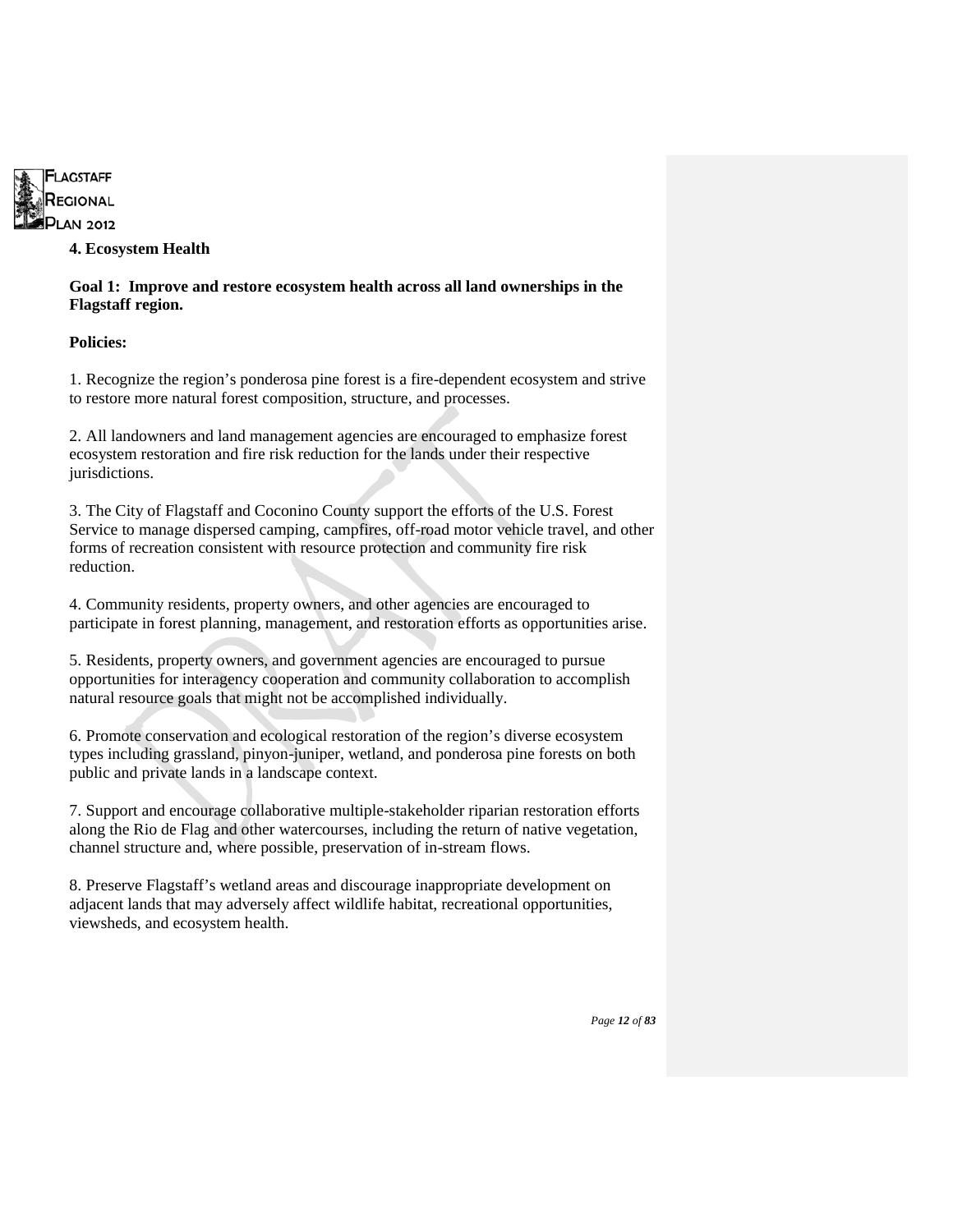

#### **4. Ecosystem Health**

**Goal 1: Improve and restore ecosystem health across all land ownerships in the Flagstaff region.**

#### **Policies:**

1. Recognize the region's ponderosa pine forest is a fire-dependent ecosystem and strive to restore more natural forest composition, structure, and processes.

2. All landowners and land management agencies are encouraged to emphasize forest ecosystem restoration and fire risk reduction for the lands under their respective jurisdictions.

3. The City of Flagstaff and Coconino County support the efforts of the U.S. Forest Service to manage dispersed camping, campfires, off-road motor vehicle travel, and other forms of recreation consistent with resource protection and community fire risk reduction.

4. Community residents, property owners, and other agencies are encouraged to participate in forest planning, management, and restoration efforts as opportunities arise.

5. Residents, property owners, and government agencies are encouraged to pursue opportunities for interagency cooperation and community collaboration to accomplish natural resource goals that might not be accomplished individually.

6. Promote conservation and ecological restoration of the region's diverse ecosystem types including grassland, pinyon-juniper, wetland, and ponderosa pine forests on both public and private lands in a landscape context.

7. Support and encourage collaborative multiple-stakeholder riparian restoration efforts along the Rio de Flag and other watercourses, including the return of native vegetation, channel structure and, where possible, preservation of in-stream flows.

8. Preserve Flagstaff's wetland areas and discourage inappropriate development on adjacent lands that may adversely affect wildlife habitat, recreational opportunities, viewsheds, and ecosystem health.

*Page 12 of 83*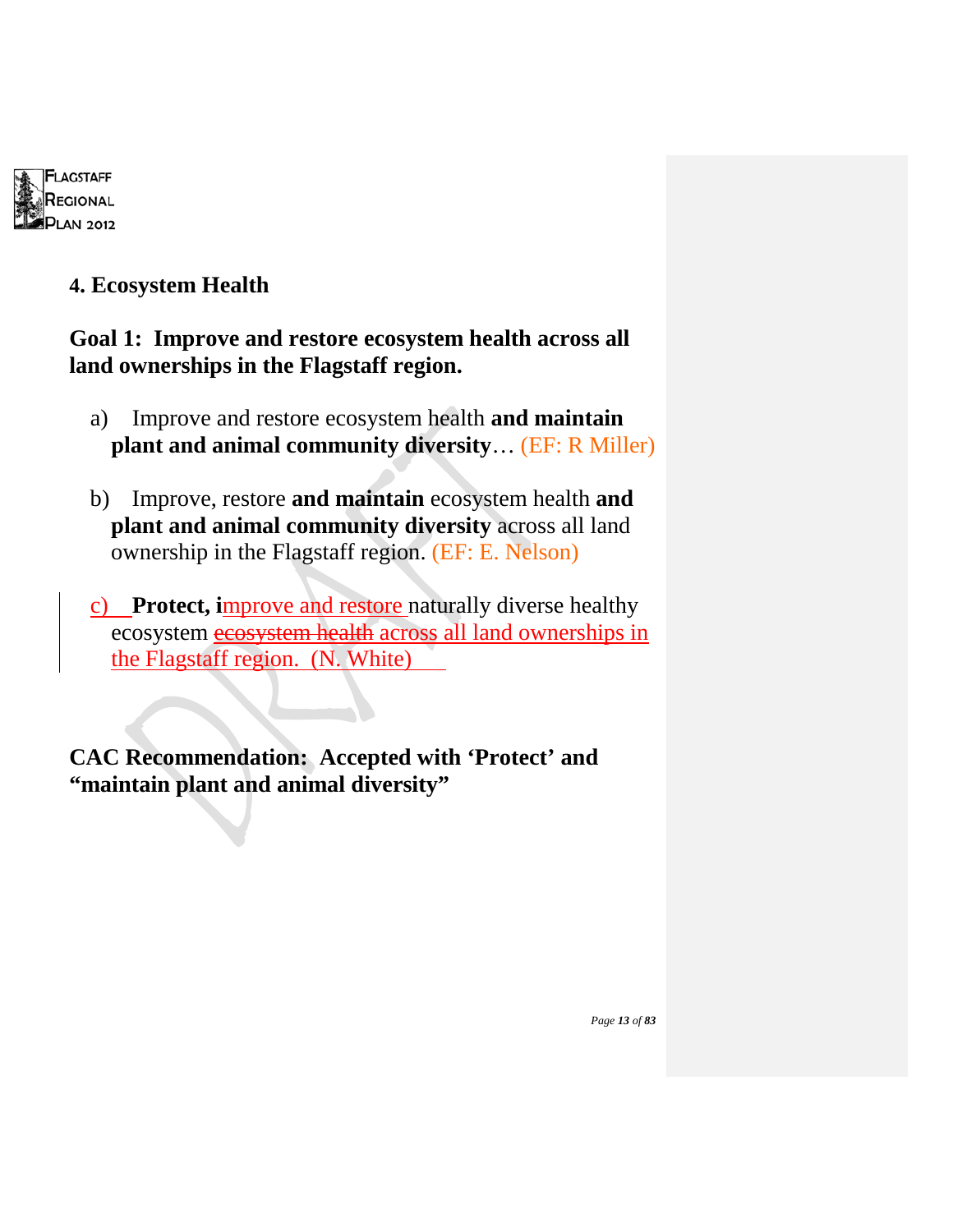

### **4. Ecosystem Health**

**Goal 1: Improve and restore ecosystem health across all land ownerships in the Flagstaff region.**

- a) Improve and restore ecosystem health **and maintain plant and animal community diversity**… (EF: R Miller)
- b) Improve, restore **and maintain** ecosystem health **and plant and animal community diversity** across all land ownership in the Flagstaff region. (EF: E. Nelson)
- c) **Protect, i**mprove and restore naturally diverse healthy ecosystem ecosystem health across all land ownerships in the Flagstaff region. (N. White)

**CAC Recommendation: Accepted with 'Protect' and "maintain plant and animal diversity"**

*Page 13 of 83*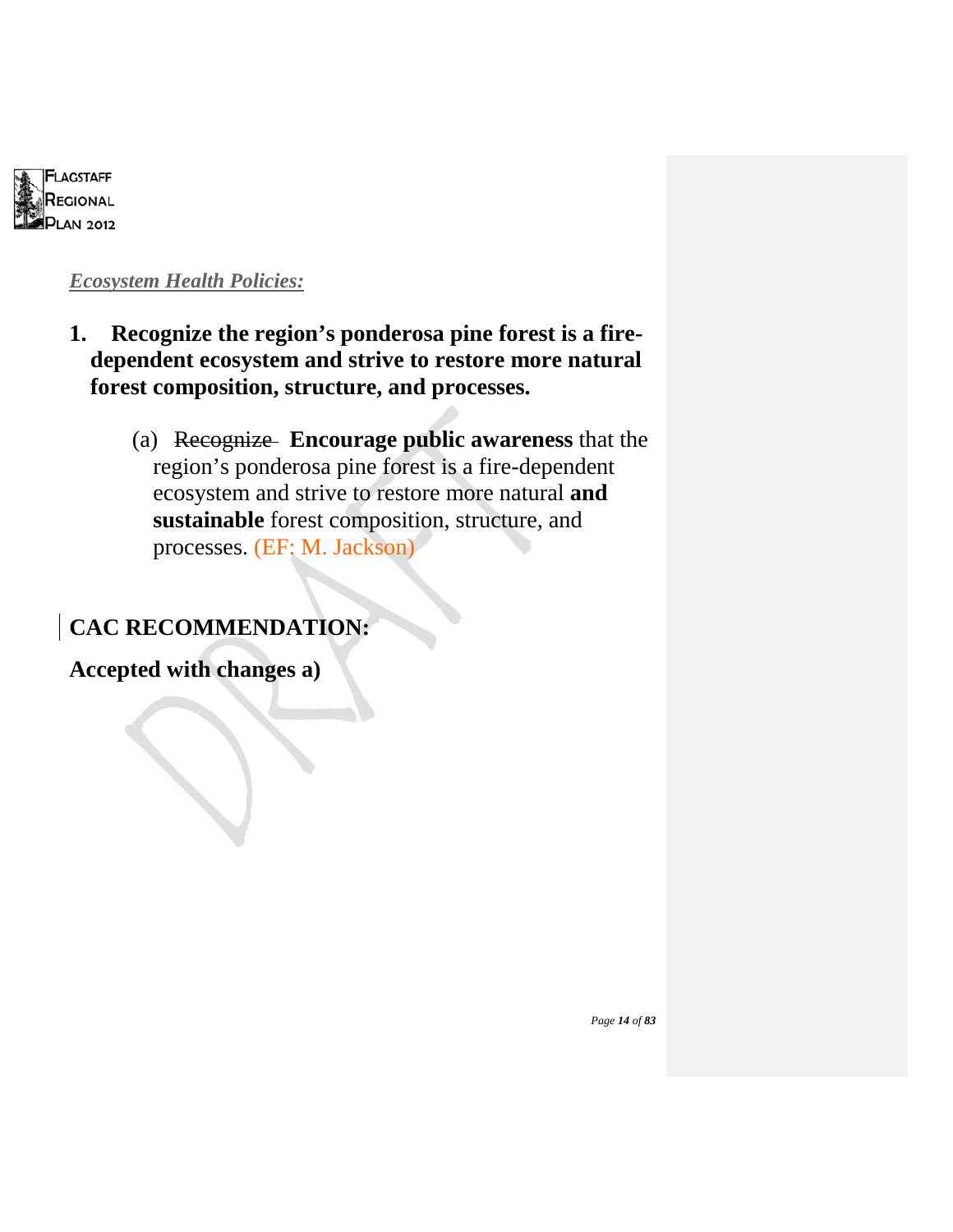

- **1. Recognize the region's ponderosa pine forest is a firedependent ecosystem and strive to restore more natural forest composition, structure, and processes.**
	- (a) Recognize **Encourage public awareness** that the region's ponderosa pine forest is a fire-dependent ecosystem and strive to restore more natural **and sustainable** forest composition, structure, and processes. (EF: M. Jackson)

## **CAC RECOMMENDATION:**

**Accepted with changes a)**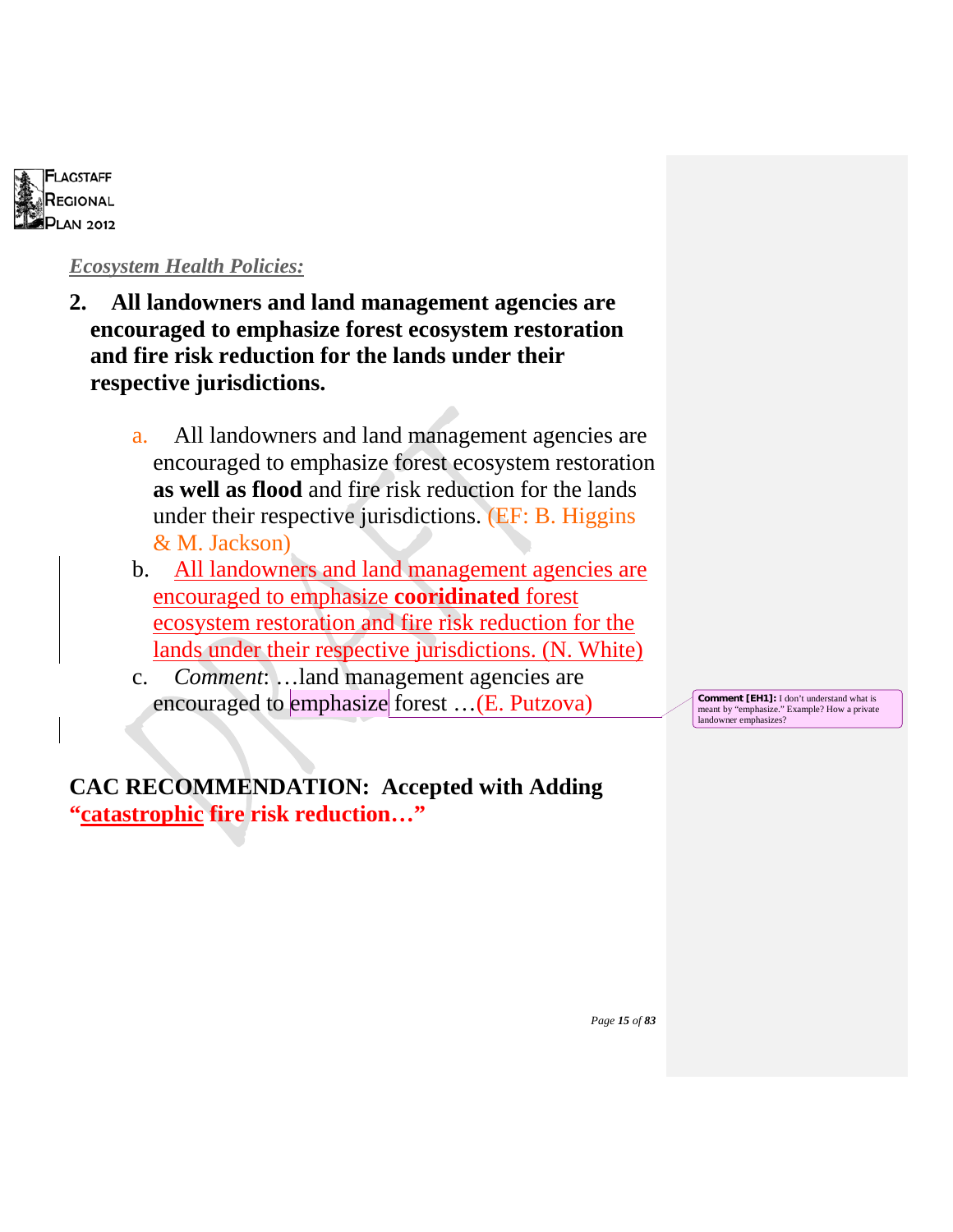

- **2. All landowners and land management agencies are encouraged to emphasize forest ecosystem restoration and fire risk reduction for the lands under their respective jurisdictions.**
	- a. All landowners and land management agencies are encouraged to emphasize forest ecosystem restoration **as well as flood** and fire risk reduction for the lands under their respective jurisdictions. (EF: B. Higgins & M. Jackson)
	- b. All landowners and land management agencies are encouraged to emphasize **cooridinated** forest ecosystem restoration and fire risk reduction for the lands under their respective jurisdictions. (N. White)
	- c. *Comment*: …land management agencies are encouraged to emphasize forest …(E. Putzova)

**Comment [EH1]:** I don't understand what is meant by "emphasize." Example? How a private landowner emphasizes?

**CAC RECOMMENDATION: Accepted with Adding "catastrophic fire risk reduction…"**

*Page 15 of 83*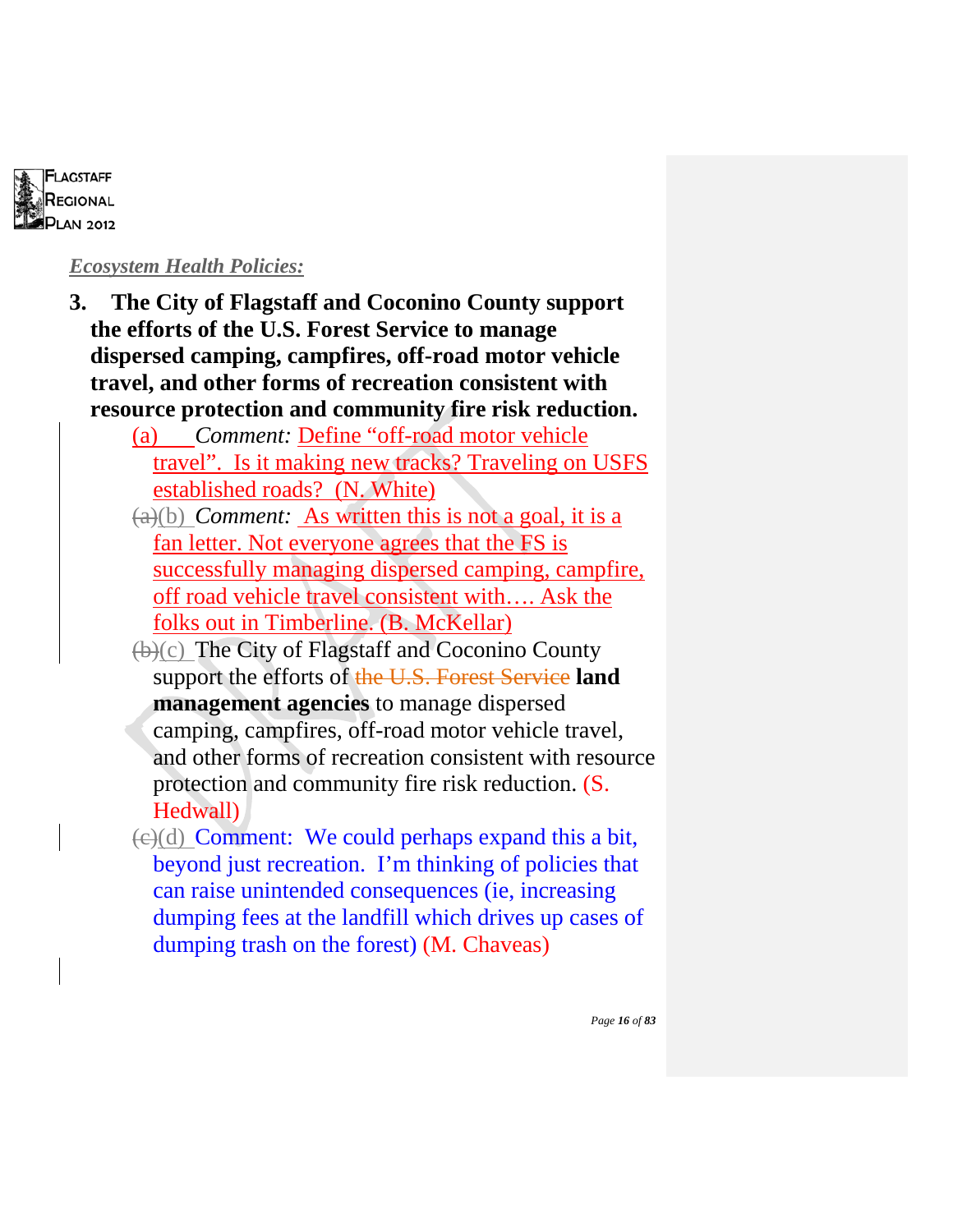

- **3. The City of Flagstaff and Coconino County support the efforts of the U.S. Forest Service to manage dispersed camping, campfires, off-road motor vehicle travel, and other forms of recreation consistent with resource protection and community fire risk reduction.**
	- (a) *Comment:* Define "off-road motor vehicle travel". Is it making new tracks? Traveling on USFS established roads? (N. White)
	- (a)(b) *Comment:* As written this is not a goal, it is a fan letter. Not everyone agrees that the FS is successfully managing dispersed camping, campfire, off road vehicle travel consistent with…. Ask the folks out in Timberline. (B. McKellar)
	- $(\phi)(c)$  The City of Flagstaff and Coconino County support the efforts of the U.S. Forest Service **land management agencies** to manage dispersed camping, campfires, off-road motor vehicle travel, and other forms of recreation consistent with resource protection and community fire risk reduction. (S. Hedwall)
	- $\left(\frac{1}{c}\right)(d)$  Comment: We could perhaps expand this a bit, beyond just recreation. I'm thinking of policies that can raise unintended consequences (ie, increasing dumping fees at the landfill which drives up cases of dumping trash on the forest) (M. Chaveas)

*Page 16 of 83*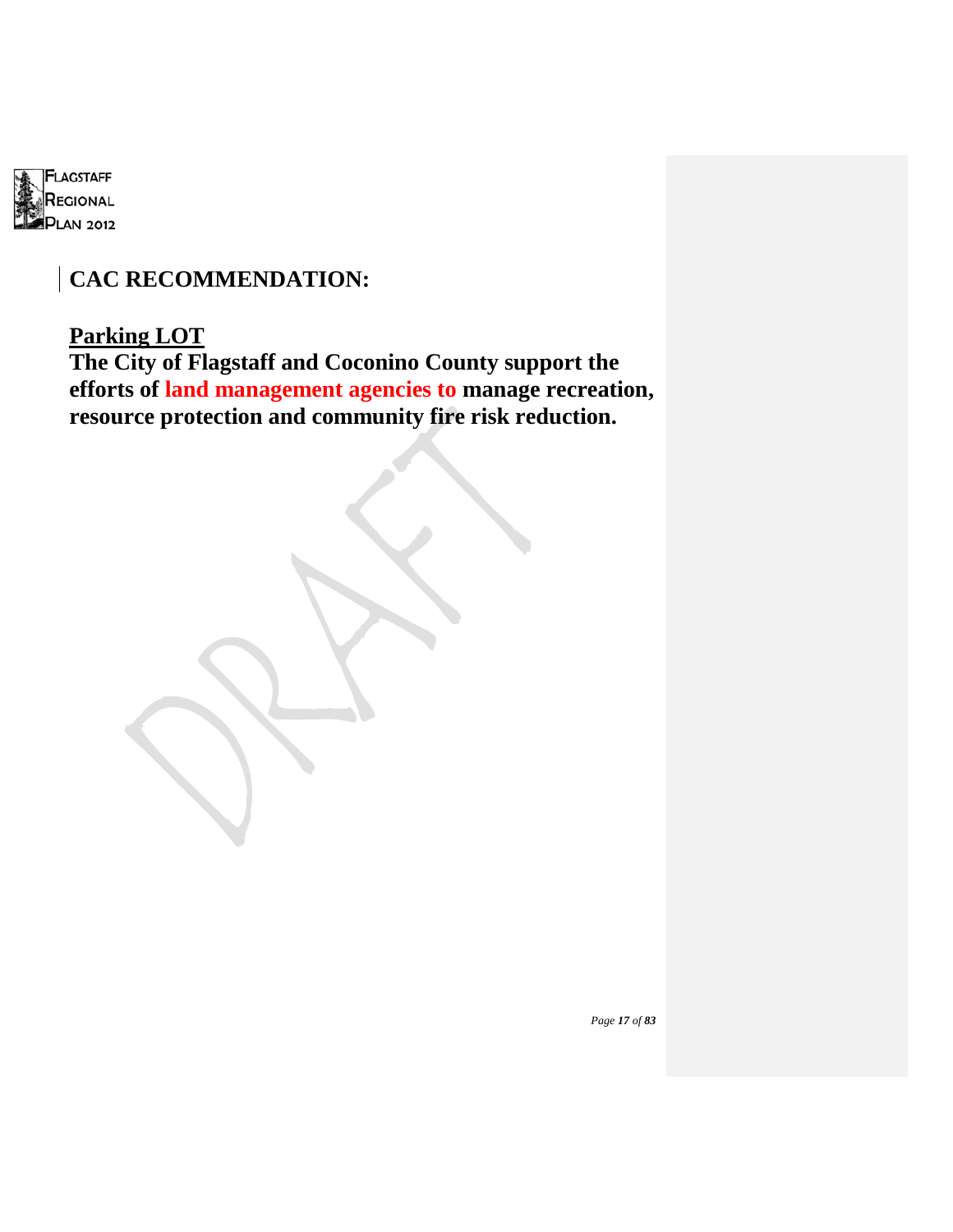

# **CAC RECOMMENDATION:**

**The City of Flagstaff and Coconino County support the efforts of land management agencies to manage recreation, resource protection and community fire risk reduction. Parking LOT**

*Page 17 of 83*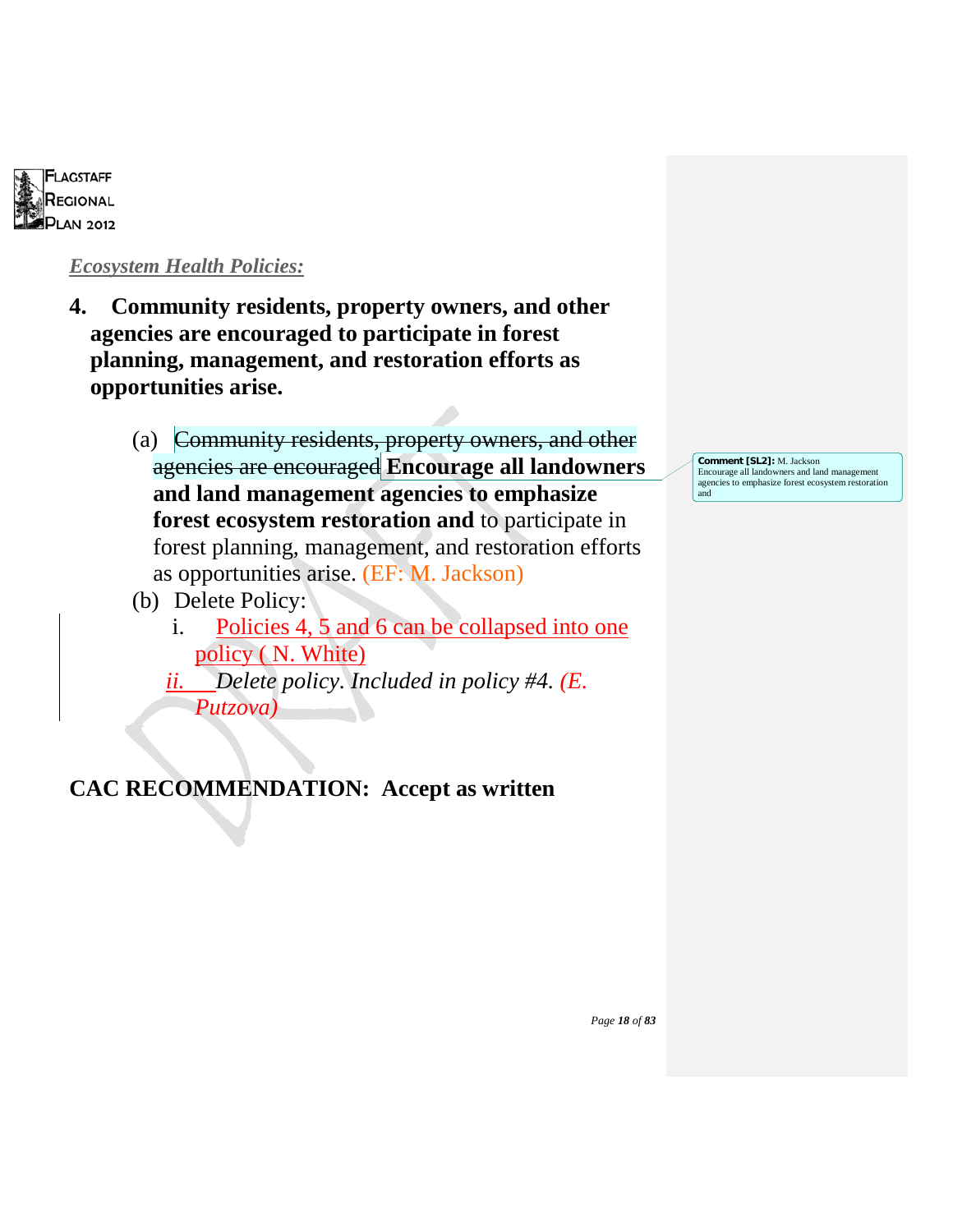

- **4. Community residents, property owners, and other agencies are encouraged to participate in forest planning, management, and restoration efforts as opportunities arise.**
	- (a) Community residents, property owners, and other agencies are encouraged **Encourage all landowners and land management agencies to emphasize forest ecosystem restoration and** to participate in forest planning, management, and restoration efforts as opportunities arise. (EF: M. Jackson)
	- (b) Delete Policy:
		- i. Policies 4, 5 and 6 can be collapsed into one policy ( N. White)
		- *ii. Delete policy. Included in policy #4. (E. Putzova)*

**CAC RECOMMENDATION: Accept as written**

**Comment [SL2]:** M. Jackson Encourage all landowners and land management agencies to emphasize forest ecosystem restoration and

*Page 18 of 83*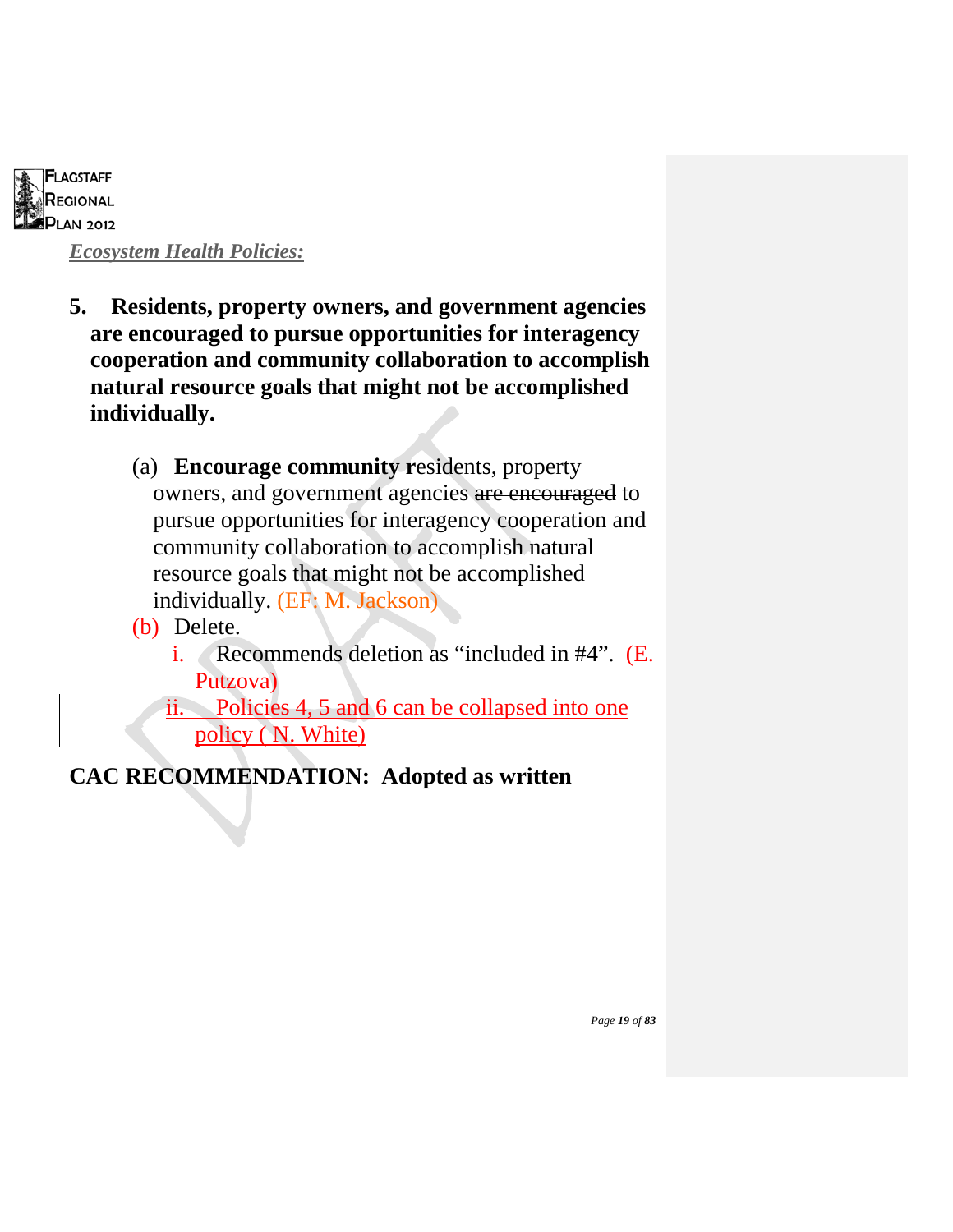

- **5. Residents, property owners, and government agencies are encouraged to pursue opportunities for interagency cooperation and community collaboration to accomplish natural resource goals that might not be accomplished individually.**
	- (a) **Encourage community r**esidents, property owners, and government agencies are encouraged to pursue opportunities for interagency cooperation and community collaboration to accomplish natural resource goals that might not be accomplished individually. (EF: M. Jackson)
	- (b) Delete.
		- i. Recommends deletion as "included in #4". (E. Putzova)

ii. Policies 4, 5 and 6 can be collapsed into one policy ( N. White)

### **CAC RECOMMENDATION: Adopted as written**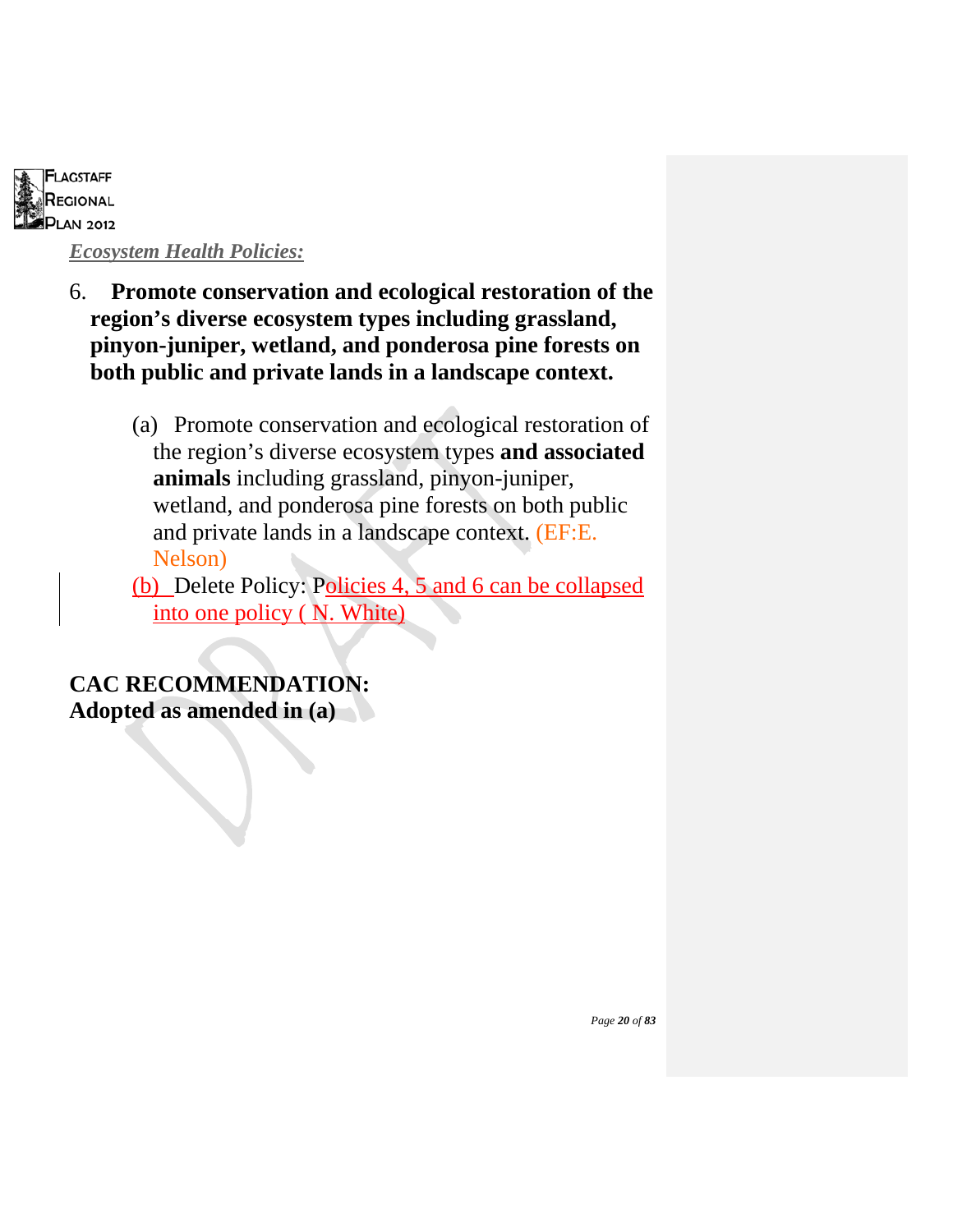

- 6. **Promote conservation and ecological restoration of the region's diverse ecosystem types including grassland, pinyon-juniper, wetland, and ponderosa pine forests on both public and private lands in a landscape context.**
	- (a) Promote conservation and ecological restoration of the region's diverse ecosystem types **and associated animals** including grassland, pinyon-juniper, wetland, and ponderosa pine forests on both public and private lands in a landscape context. (EF:E. Nelson)
	- (b) Delete Policy: Policies 4, 5 and 6 can be collapsed into one policy ( N. White)

### **CAC RECOMMENDATION: Adopted as amended in (a)**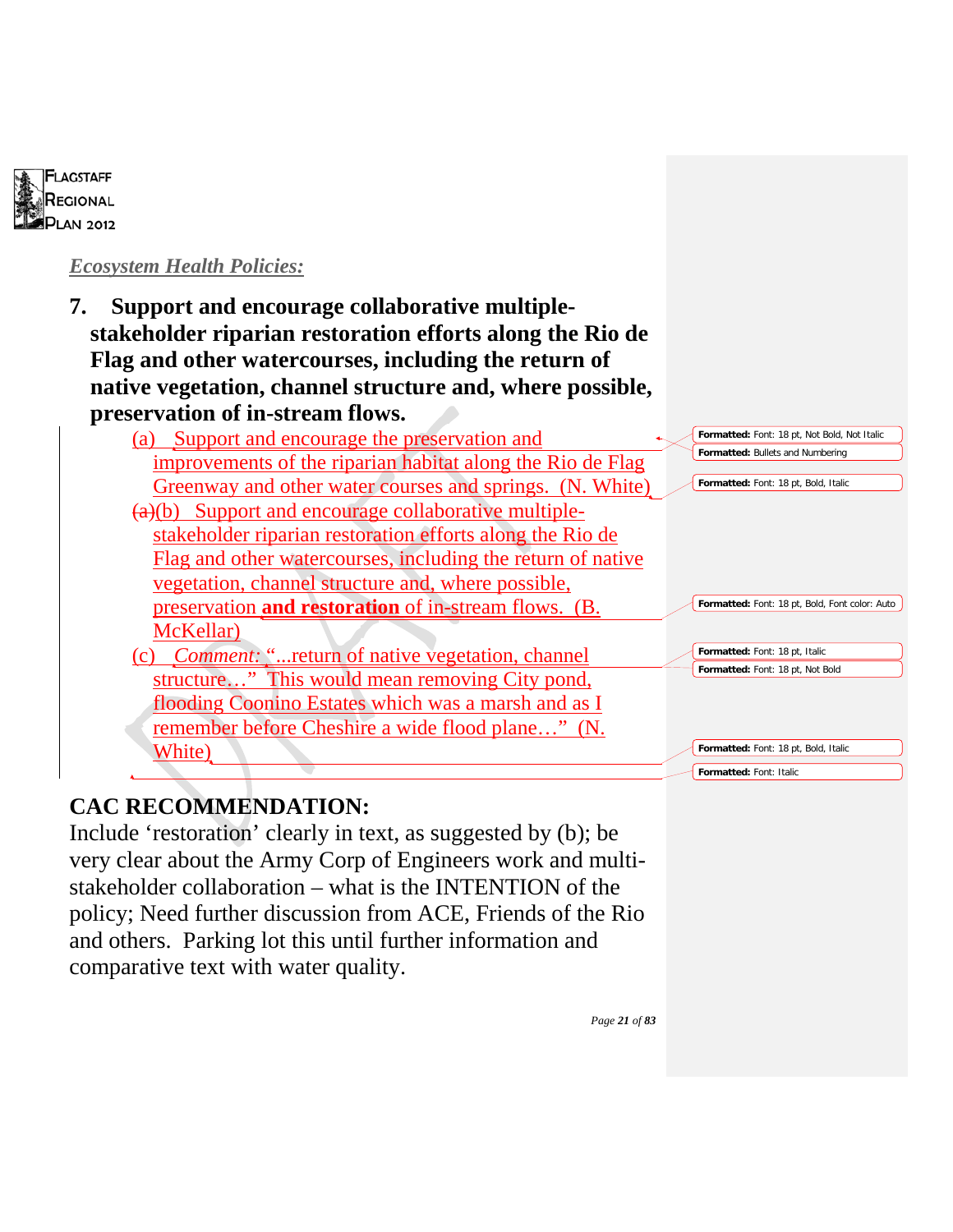

**7. Support and encourage collaborative multiplestakeholder riparian restoration efforts along the Rio de Flag and other watercourses, including the return of native vegetation, channel structure and, where possible, preservation of in-stream flows.**

| Support and encourage the preservation and                  | Formatted: Font: 18 pt, Not Bold, Not Italic   |
|-------------------------------------------------------------|------------------------------------------------|
| improvements of the riparian habitat along the Rio de Flag  | Formatted: Bullets and Numbering               |
| Greenway and other water courses and springs. (N. White)    | Formatted: Font: 18 pt, Bold, Italic           |
| $(a)(b)$ Support and encourage collaborative multiple-      |                                                |
| stakeholder riparian restoration efforts along the Rio de   |                                                |
| Flag and other watercourses, including the return of native |                                                |
| vegetation, channel structure and, where possible,          |                                                |
| preservation and restoration of in-stream flows. (B.        | Formatted: Font: 18 pt, Bold, Font color: Auto |
| McKellar)                                                   |                                                |
| <i>Comment:</i> " return of native vegetation, channel      | Formatted: Font: 18 pt, Italic                 |
| structure" This would mean removing City pond,              | Formatted: Font: 18 pt, Not Bold               |
| flooding Coonino Estates which was a marsh and as I         |                                                |
| remember before Cheshire a wide flood plane" (N.            |                                                |
| White)                                                      | Formatted: Font: 18 pt, Bold, Italic           |
|                                                             | Formatted: Font: Italic                        |

## **CAC RECOMMENDATION:**

Include 'restoration' clearly in text, as suggested by (b); be very clear about the Army Corp of Engineers work and multistakeholder collaboration – what is the INTENTION of the policy; Need further discussion from ACE, Friends of the Rio and others. Parking lot this until further information and comparative text with water quality.

*Page 21 of 83*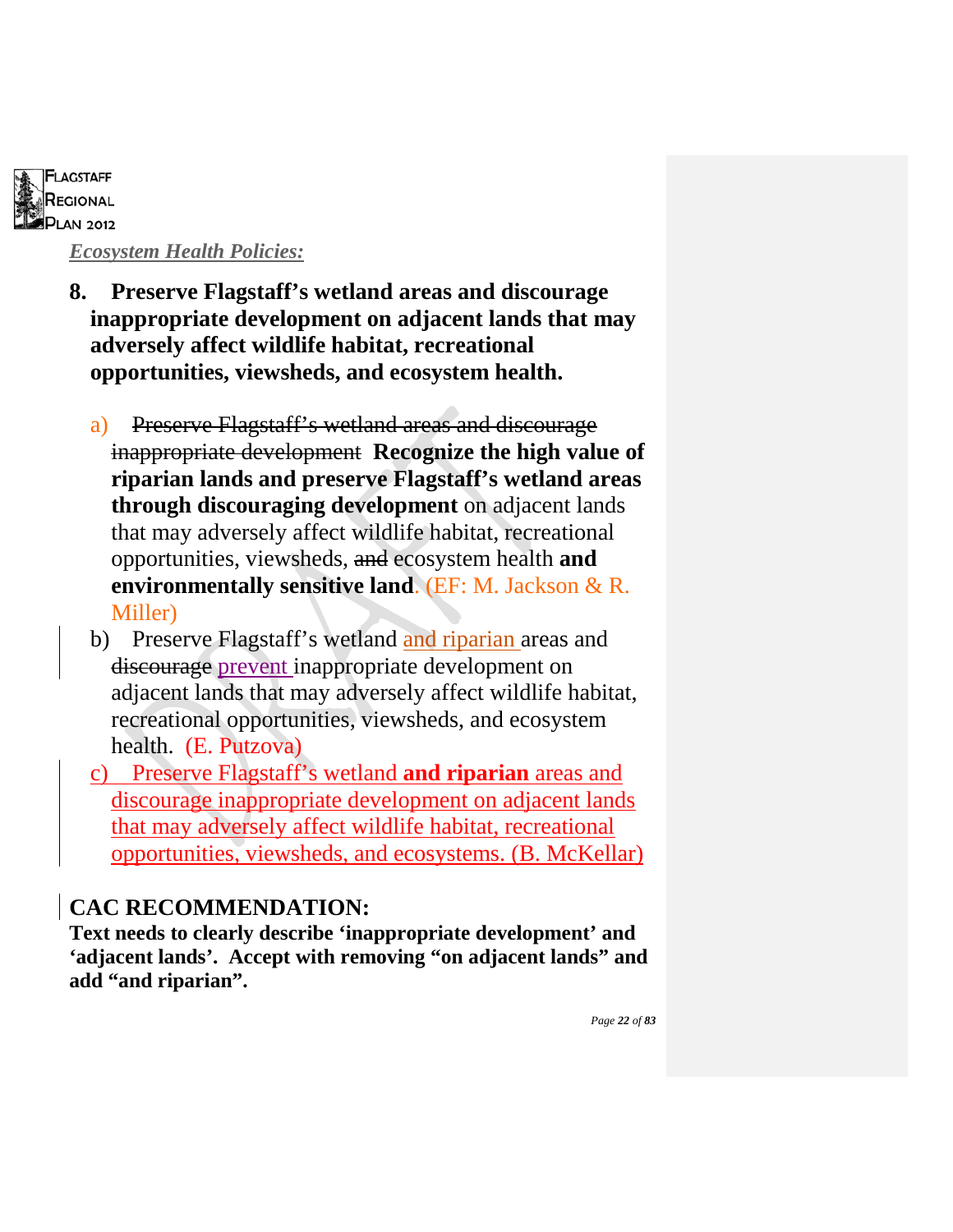

- **8. Preserve Flagstaff's wetland areas and discourage inappropriate development on adjacent lands that may adversely affect wildlife habitat, recreational opportunities, viewsheds, and ecosystem health.**
	- a) Preserve Flagstaff's wetland areas and discourage inappropriate development **Recognize the high value of riparian lands and preserve Flagstaff's wetland areas through discouraging development** on adjacent lands that may adversely affect wildlife habitat, recreational opportunities, viewsheds, and ecosystem health **and environmentally sensitive land**. (EF: M. Jackson & R. Miller)
	- b) Preserve Flagstaff's wetland and riparian areas and discourage prevent inappropriate development on adjacent lands that may adversely affect wildlife habitat, recreational opportunities, viewsheds, and ecosystem health. (E. Putzova)
	- c) Preserve Flagstaff's wetland **and riparian** areas and discourage inappropriate development on adjacent lands that may adversely affect wildlife habitat, recreational opportunities, viewsheds, and ecosystems. (B. McKellar)

### **CAC RECOMMENDATION:**

**Text needs to clearly describe 'inappropriate development' and 'adjacent lands'. Accept with removing "on adjacent lands" and add "and riparian".**

*Page 22 of 83*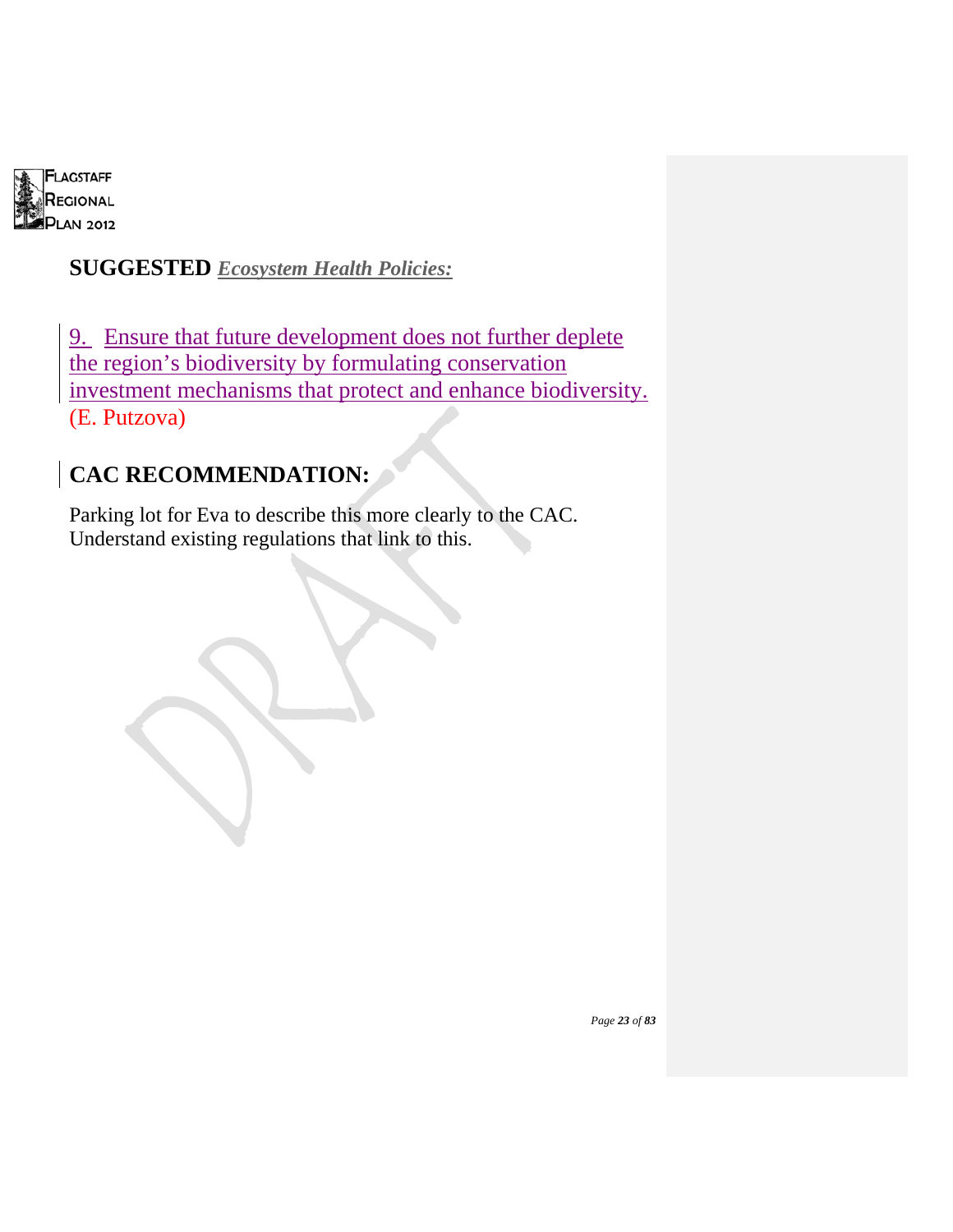

### **SUGGESTED** *Ecosystem Health Policies:*

9. Ensure that future development does not further deplete the region's biodiversity by formulating conservation investment mechanisms that protect and enhance biodiversity. (E. Putzova)

## **CAC RECOMMENDATION:**

Parking lot for Eva to describe this more clearly to the CAC. Understand existing regulations that link to this.

*Page 23 of 83*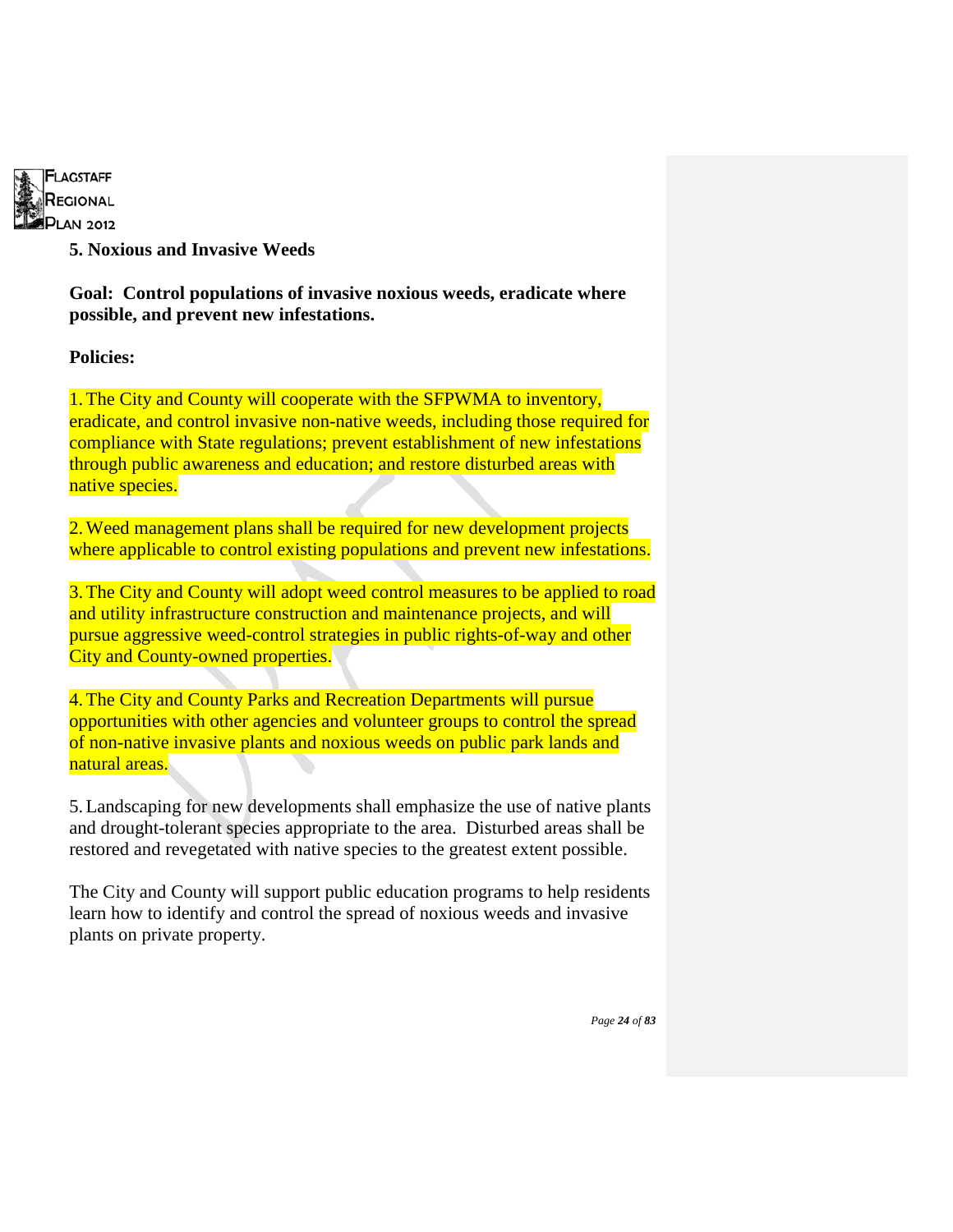

**5. Noxious and Invasive Weeds**

**Goal: Control populations of invasive noxious weeds, eradicate where possible, and prevent new infestations.**

**Policies:**

1.The City and County will cooperate with the SFPWMA to inventory, eradicate, and control invasive non-native weeds, including those required for compliance with State regulations; prevent establishment of new infestations through public awareness and education; and restore disturbed areas with native species.

2.Weed management plans shall be required for new development projects where applicable to control existing populations and prevent new infestations.

3.The City and County will adopt weed control measures to be applied to road and utility infrastructure construction and maintenance projects, and will pursue aggressive weed-control strategies in public rights-of-way and other City and County-owned properties.

4.The City and County Parks and Recreation Departments will pursue opportunities with other agencies and volunteer groups to control the spread of non-native invasive plants and noxious weeds on public park lands and natural areas.

5.Landscaping for new developments shall emphasize the use of native plants and drought-tolerant species appropriate to the area. Disturbed areas shall be restored and revegetated with native species to the greatest extent possible.

The City and County will support public education programs to help residents learn how to identify and control the spread of noxious weeds and invasive plants on private property.

*Page 24 of 83*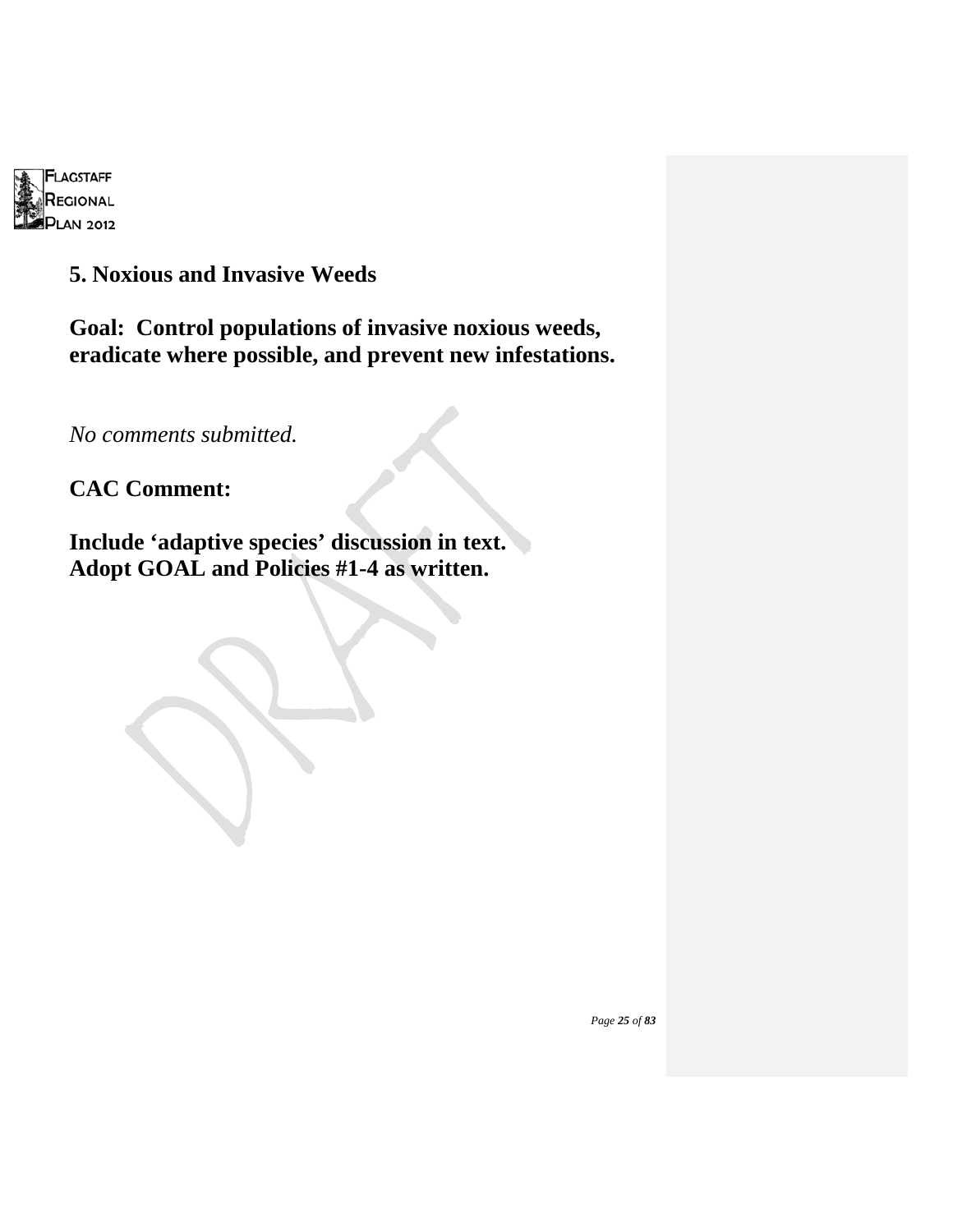

### **5. Noxious and Invasive Weeds**

**Goal: Control populations of invasive noxious weeds, eradicate where possible, and prevent new infestations.**

*No comments submitted.*

**CAC Comment:**

**Include 'adaptive species' discussion in text. Adopt GOAL and Policies #1-4 as written.**

*Page 25 of 83*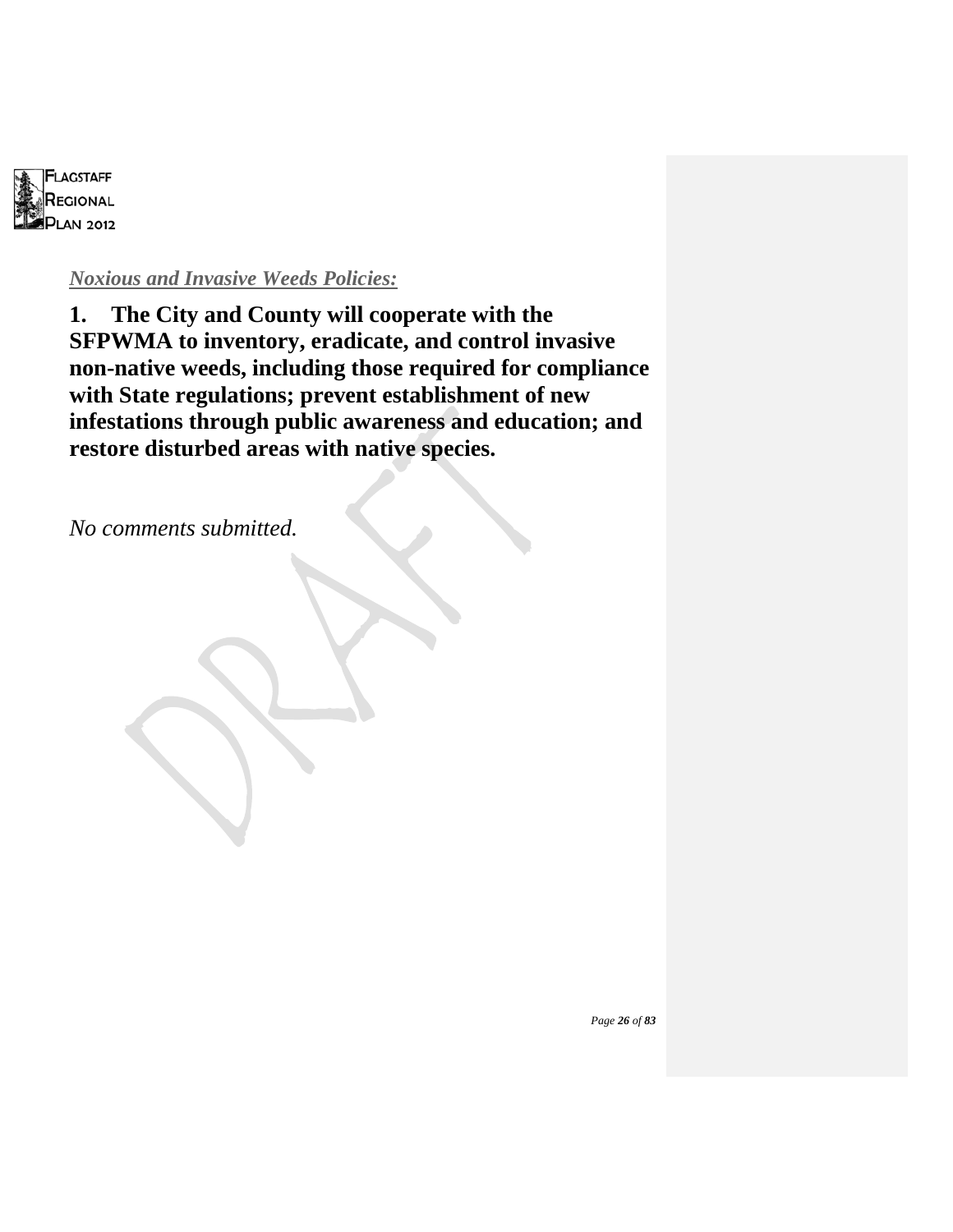

**1. The City and County will cooperate with the SFPWMA to inventory, eradicate, and control invasive non-native weeds, including those required for compliance with State regulations; prevent establishment of new infestations through public awareness and education; and restore disturbed areas with native species.**

*No comments submitted.*

*Page 26 of 83*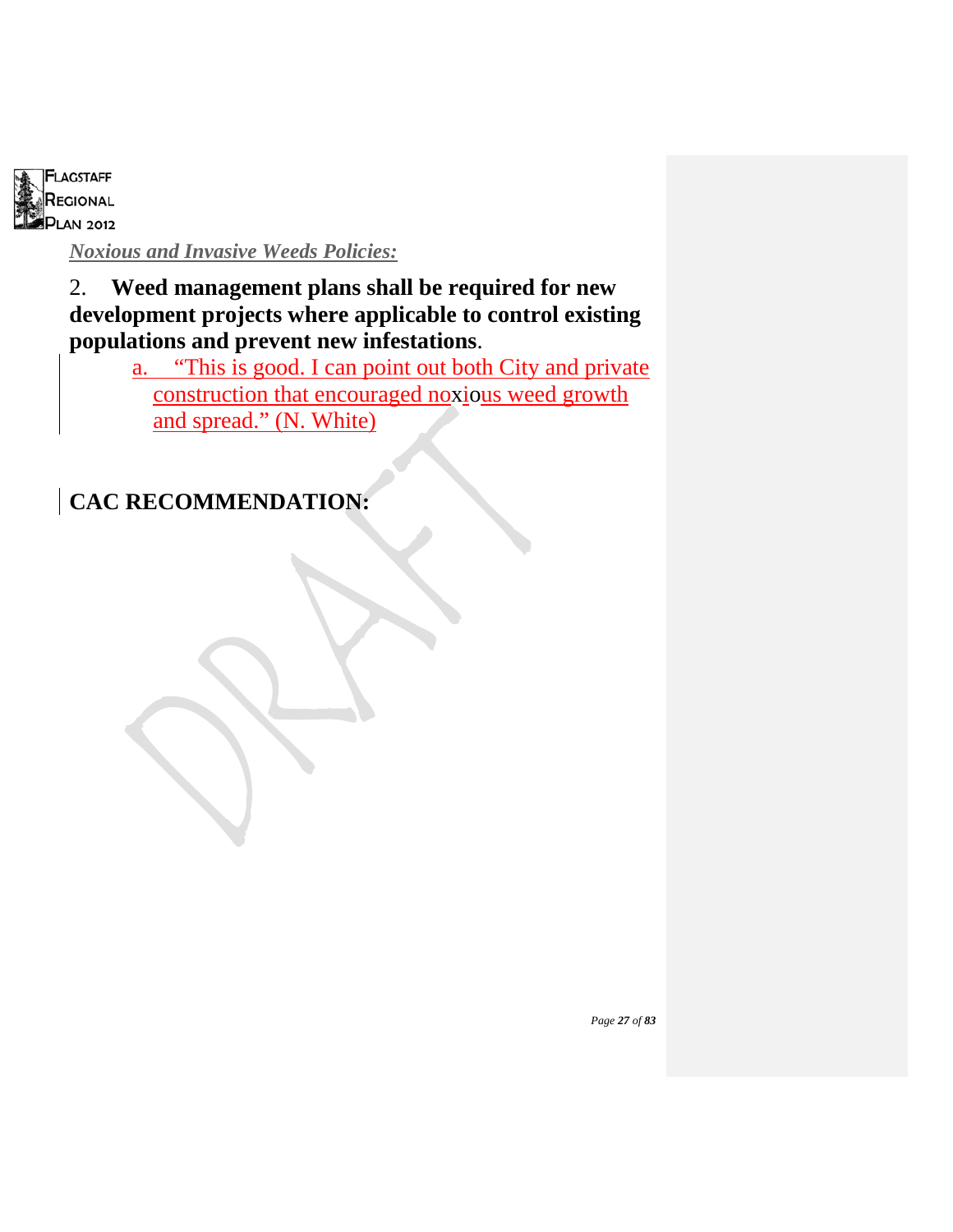

### 2. **Weed management plans shall be required for new development projects where applicable to control existing populations and prevent new infestations**.

a. "This is good. I can point out both City and private construction that encouraged noxious weed growth and spread." (N. White)

# **CAC RECOMMENDATION:**

*Page 27 of 83*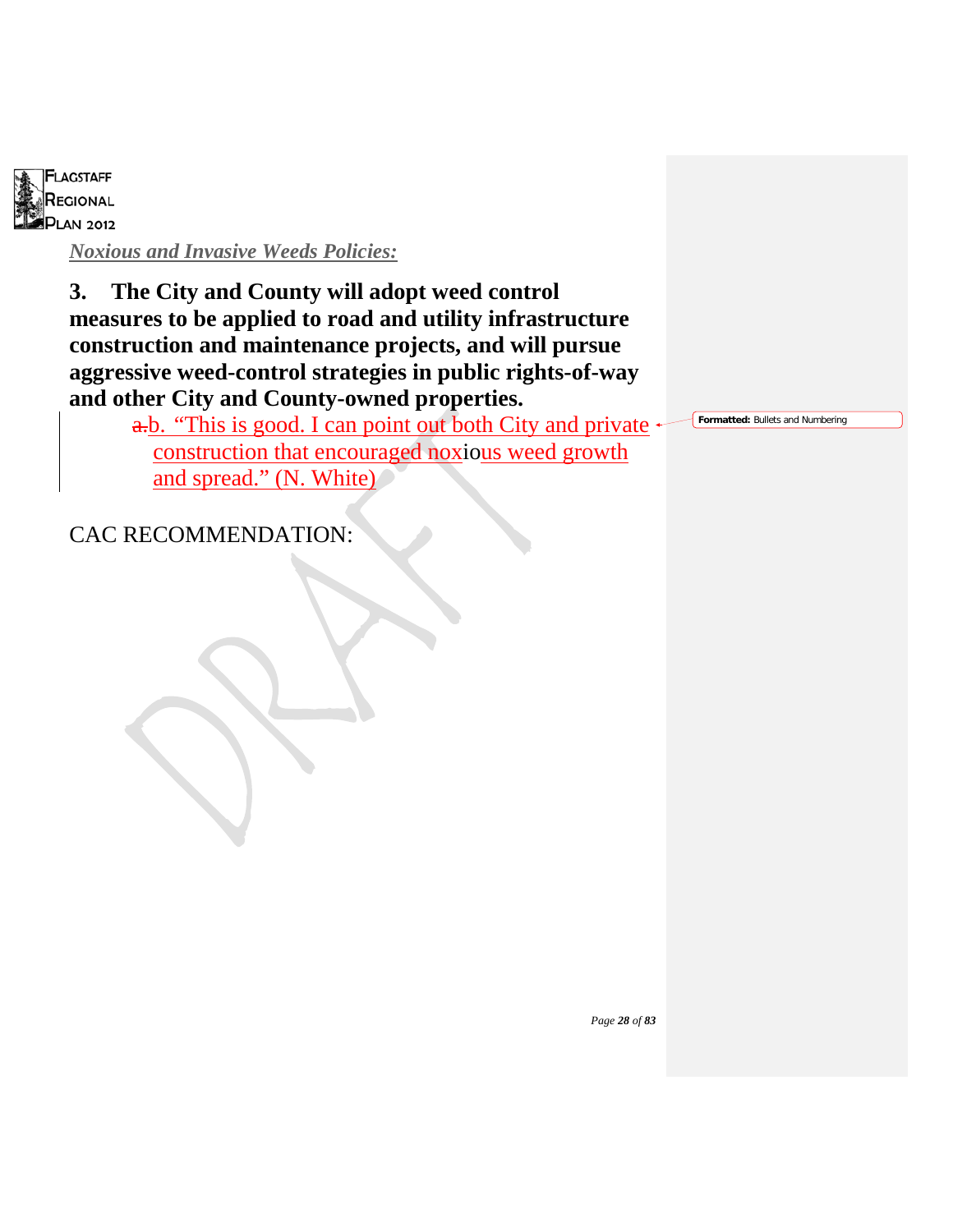

**3. The City and County will adopt weed control measures to be applied to road and utility infrastructure construction and maintenance projects, and will pursue aggressive weed-control strategies in public rights-of-way and other City and County-owned properties.**

a.b. "This is good. I can point out both City and private construction that encouraged noxious weed growth and spread." (N. White)

CAC RECOMMENDATION:

*Page 28 of 83*

**Formatted:** Bullets and Numbering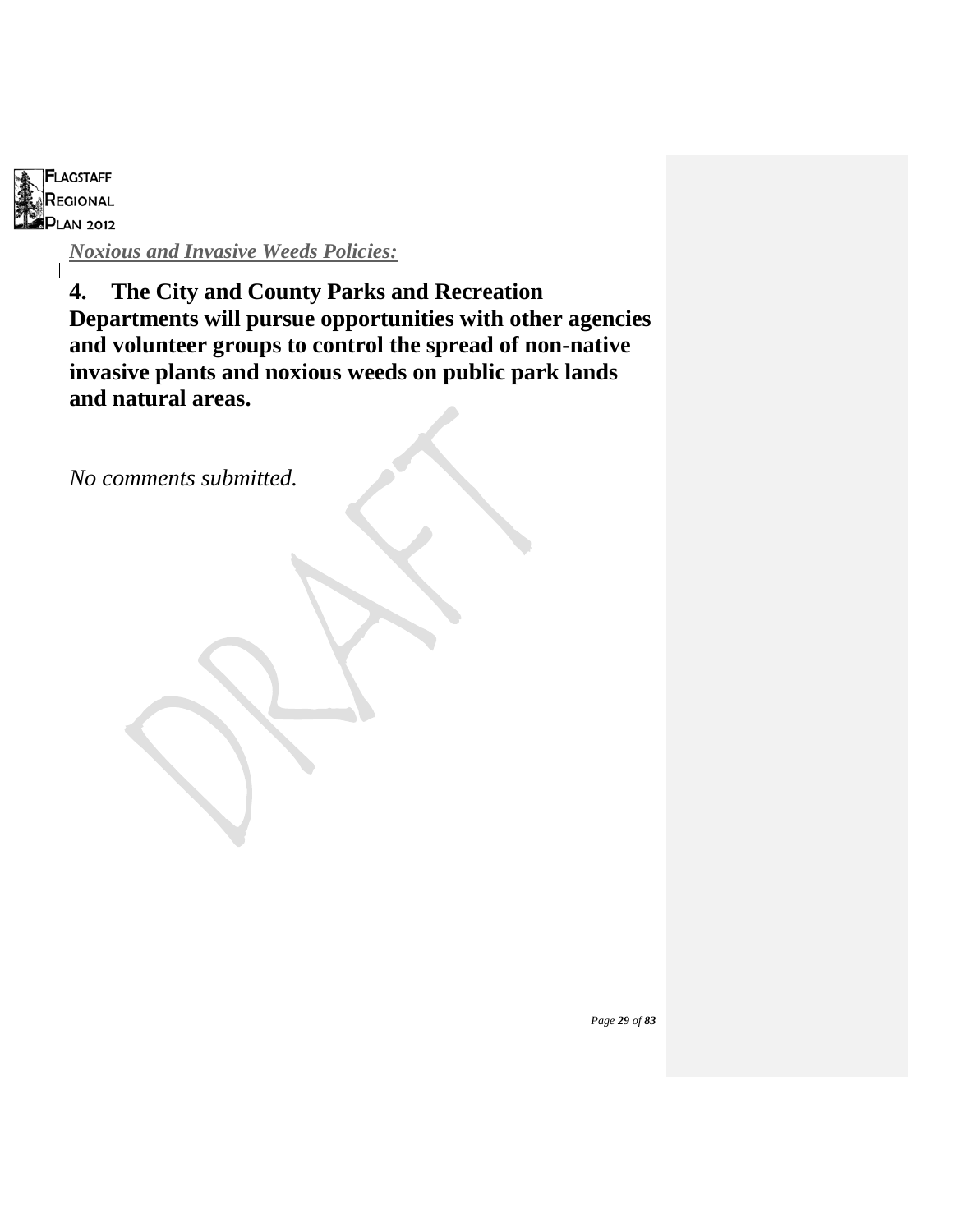

 $\mathbf{I}$ 

*Noxious and Invasive Weeds Policies:*

**4. The City and County Parks and Recreation Departments will pursue opportunities with other agencies and volunteer groups to control the spread of non-native invasive plants and noxious weeds on public park lands and natural areas.**

*No comments submitted.*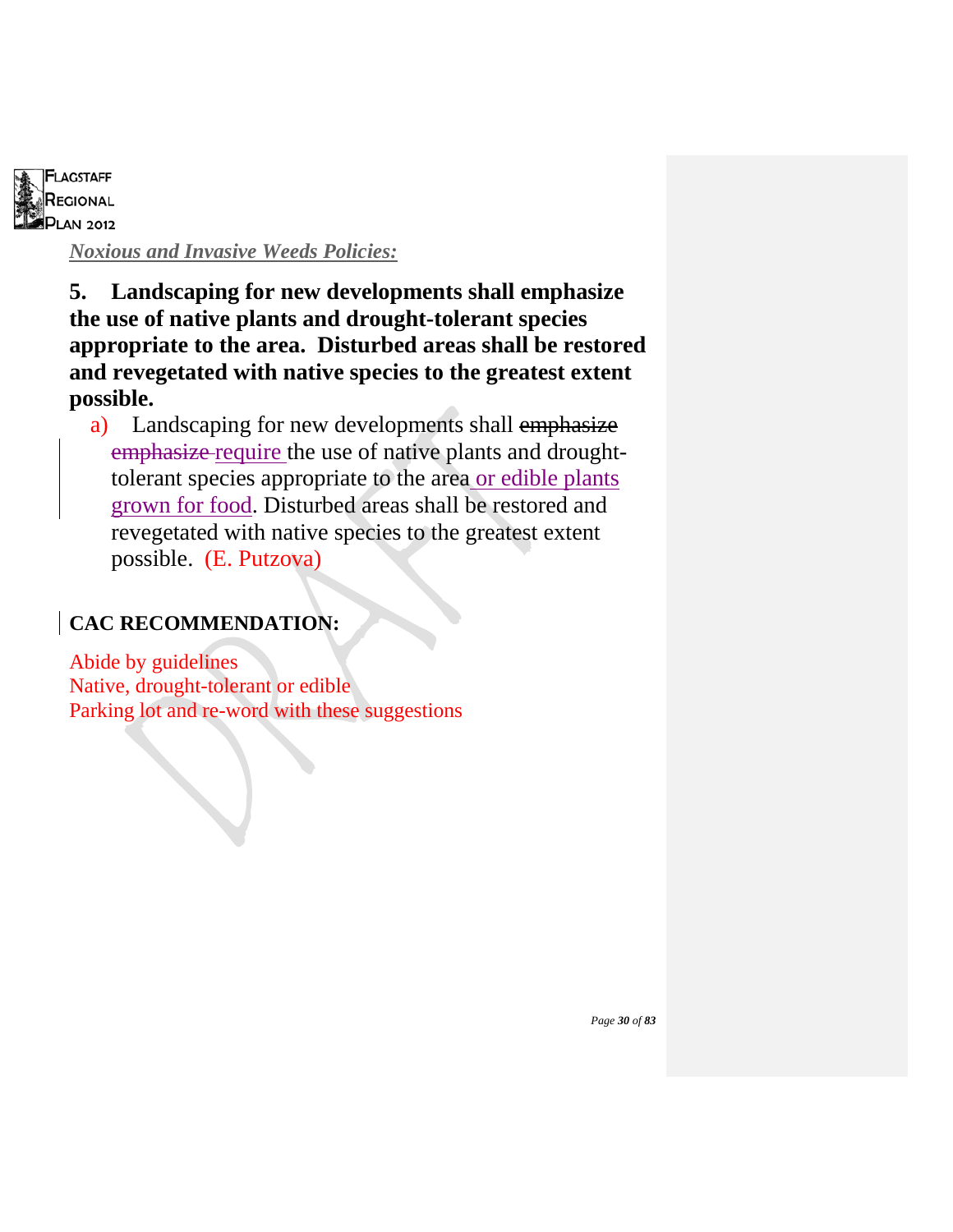

**5. Landscaping for new developments shall emphasize the use of native plants and drought-tolerant species appropriate to the area. Disturbed areas shall be restored and revegetated with native species to the greatest extent possible.**

a) Landscaping for new developments shall emphasize emphasize require the use of native plants and droughttolerant species appropriate to the area or edible plants grown for food. Disturbed areas shall be restored and revegetated with native species to the greatest extent possible. (E. Putzova)

## **CAC RECOMMENDATION:**

Abide by guidelines Native, drought-tolerant or edible Parking lot and re-word with these suggestions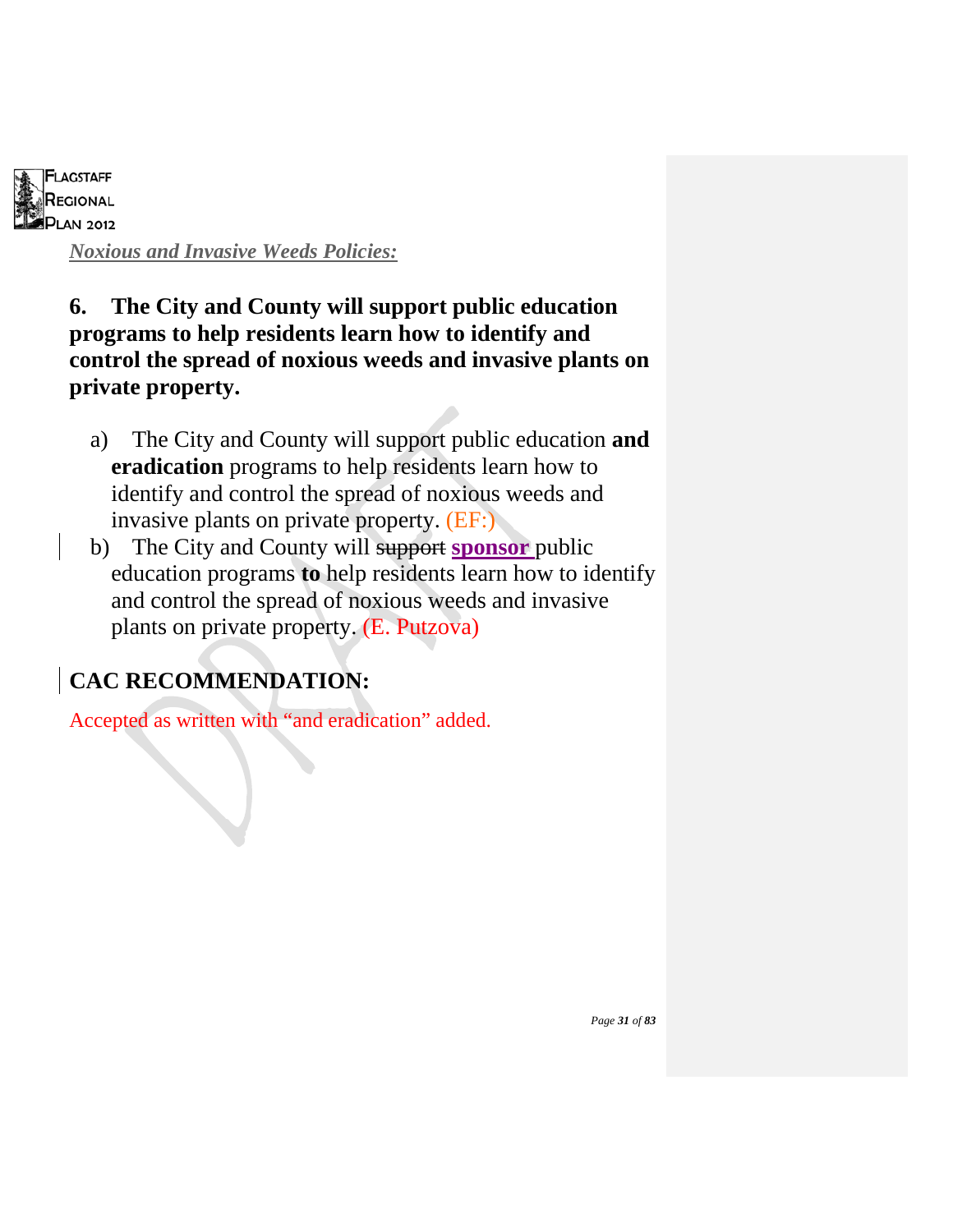

**6. The City and County will support public education programs to help residents learn how to identify and control the spread of noxious weeds and invasive plants on private property.**

- a) The City and County will support public education **and eradication** programs to help residents learn how to identify and control the spread of noxious weeds and invasive plants on private property. (EF:)
- b) The City and County will support **sponsor** public education programs **to** help residents learn how to identify and control the spread of noxious weeds and invasive plants on private property. (E. Putzova)

## **CAC RECOMMENDATION:**

Accepted as written with "and eradication" added.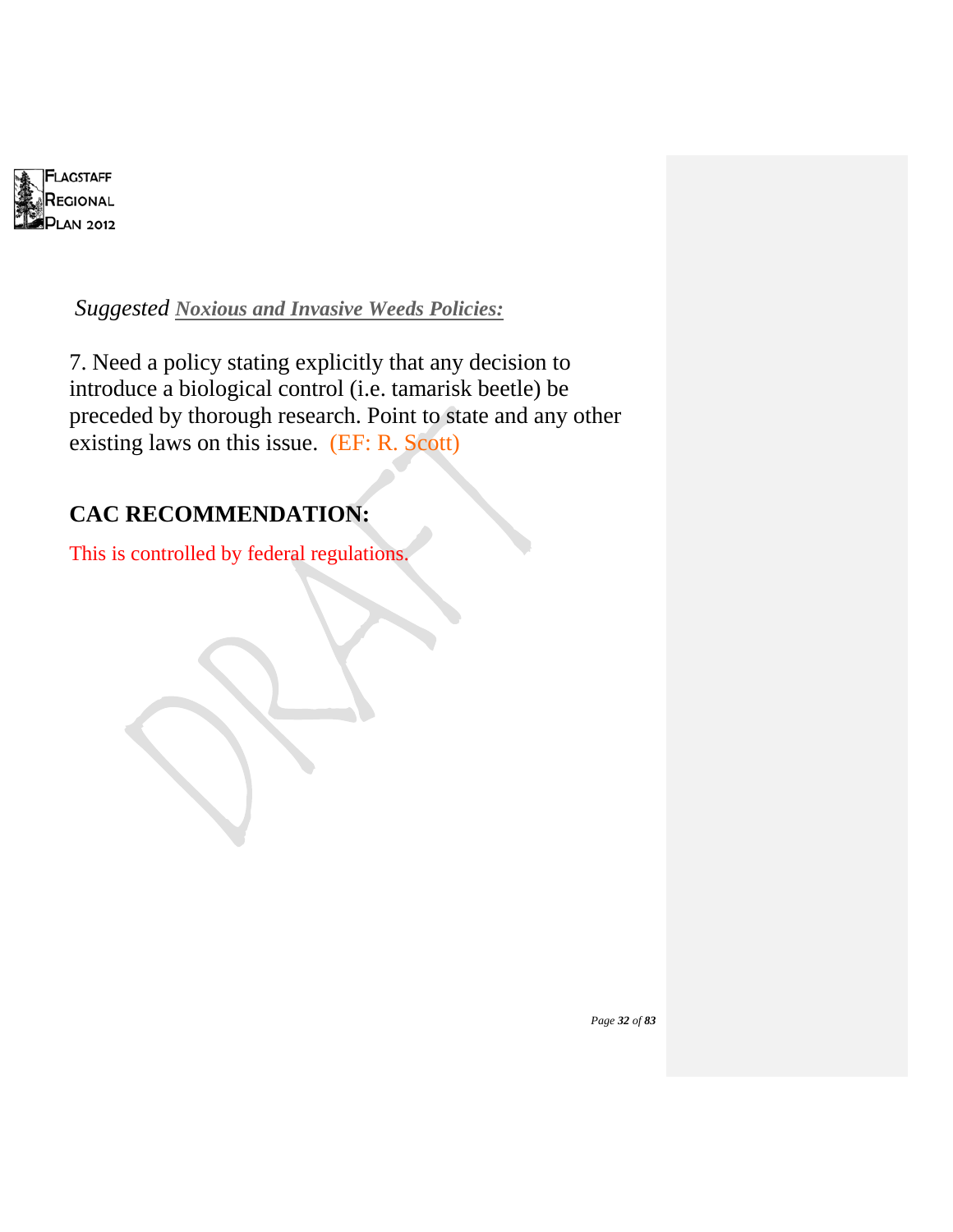

*Suggested Noxious and Invasive Weeds Policies:*

7. Need a policy stating explicitly that any decision to introduce a biological control (i.e. tamarisk beetle) be preceded by thorough research. Point to state and any other existing laws on this issue. (EF: R. Scott)

# **CAC RECOMMENDATION:**

This is controlled by federal regulations.

*Page 32 of 83*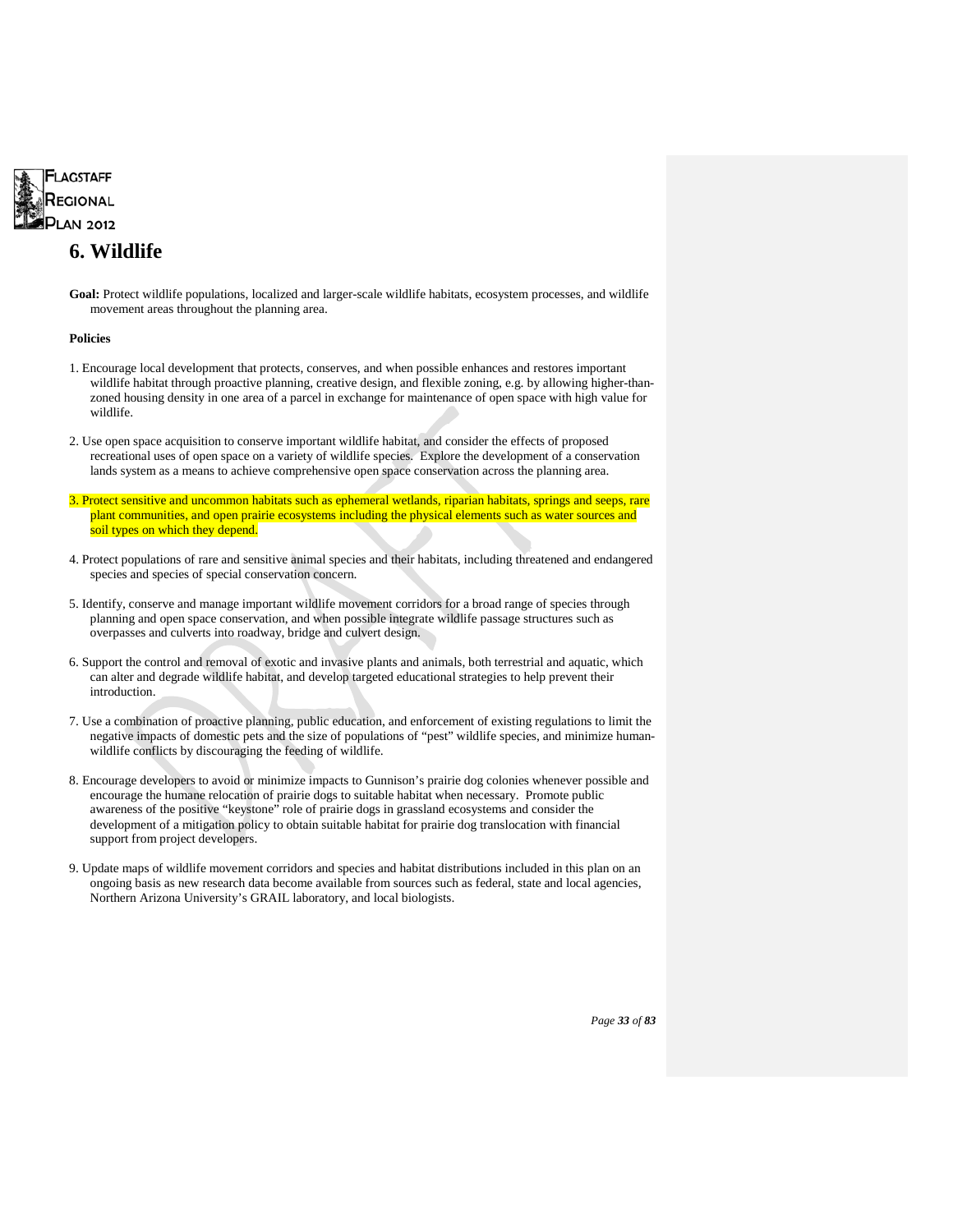

#### **6. Wildlife**

Goal: Protect wildlife populations, localized and larger-scale wildlife habitats, ecosystem processes, and wildlife movement areas throughout the planning area.

#### **Policies**

- 1. Encourage local development that protects, conserves, and when possible enhances and restores important wildlife habitat through proactive planning, creative design, and flexible zoning, e.g. by allowing higher-thanzoned housing density in one area of a parcel in exchange for maintenance of open space with high value for wildlife.
- 2. Use open space acquisition to conserve important wildlife habitat, and consider the effects of proposed recreational uses of open space on a variety of wildlife species. Explore the development of a conservation lands system as a means to achieve comprehensive open space conservation across the planning area.
- 3. Protect sensitive and uncommon habitats such as ephemeral wetlands, riparian habitats, springs and seeps, rare plant communities, and open prairie ecosystems including the physical elements such as water sources and soil types on which they depend.
- 4. Protect populations of rare and sensitive animal species and their habitats, including threatened and endangered species and species of special conservation concern.
- 5. Identify, conserve and manage important wildlife movement corridors for a broad range of species through planning and open space conservation, and when possible integrate wildlife passage structures such as overpasses and culverts into roadway, bridge and culvert design.
- 6. Support the control and removal of exotic and invasive plants and animals, both terrestrial and aquatic, which can alter and degrade wildlife habitat, and develop targeted educational strategies to help prevent their introduction.
- 7. Use a combination of proactive planning, public education, and enforcement of existing regulations to limit the negative impacts of domestic pets and the size of populations of "pest" wildlife species, and minimize humanwildlife conflicts by discouraging the feeding of wildlife.
- 8. Encourage developers to avoid or minimize impacts to Gunnison's prairie dog colonies whenever possible and encourage the humane relocation of prairie dogs to suitable habitat when necessary. Promote public awareness of the positive "keystone" role of prairie dogs in grassland ecosystems and consider the development of a mitigation policy to obtain suitable habitat for prairie dog translocation with financial support from project developers.
- 9. Update maps of wildlife movement corridors and species and habitat distributions included in this plan on an ongoing basis as new research data become available from sources such as federal, state and local agencies, Northern Arizona University's GRAIL laboratory, and local biologists.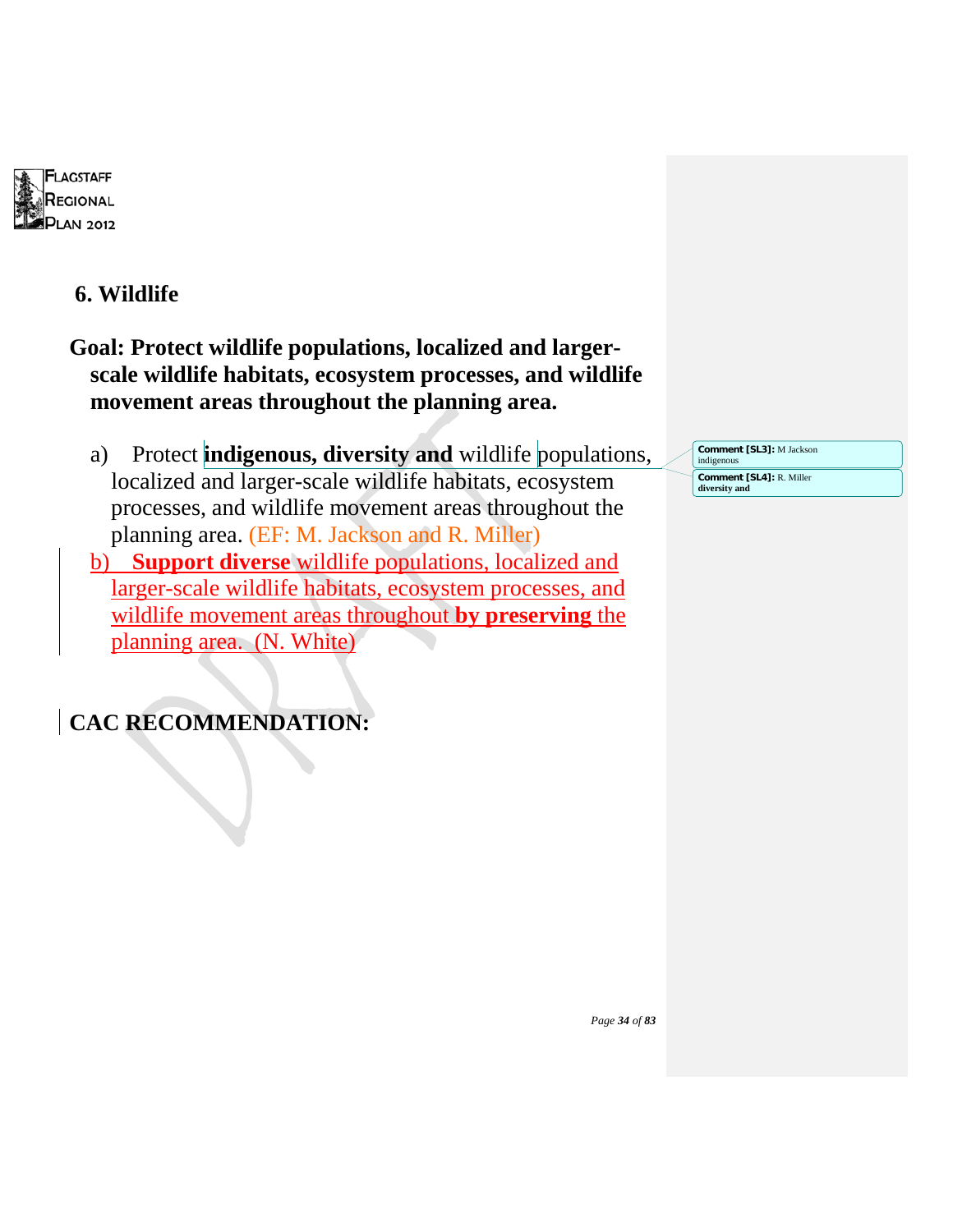

### **6. Wildlife**

**Goal: Protect wildlife populations, localized and largerscale wildlife habitats, ecosystem processes, and wildlife movement areas throughout the planning area.**

- a) Protect **indigenous, diversity and** wildlife populations, localized and larger-scale wildlife habitats, ecosystem processes, and wildlife movement areas throughout the planning area. (EF: M. Jackson and R. Miller)
- b) **Support diverse** wildlife populations, localized and larger-scale wildlife habitats, ecosystem processes, and wildlife movement areas throughout **by preserving** the planning area. (N. White)

**Comment [SL3]:** M Jackson indigenou

**Comment [SL4]:** R. Miller **diversity and**

**CAC RECOMMENDATION:**

*Page 34 of 83*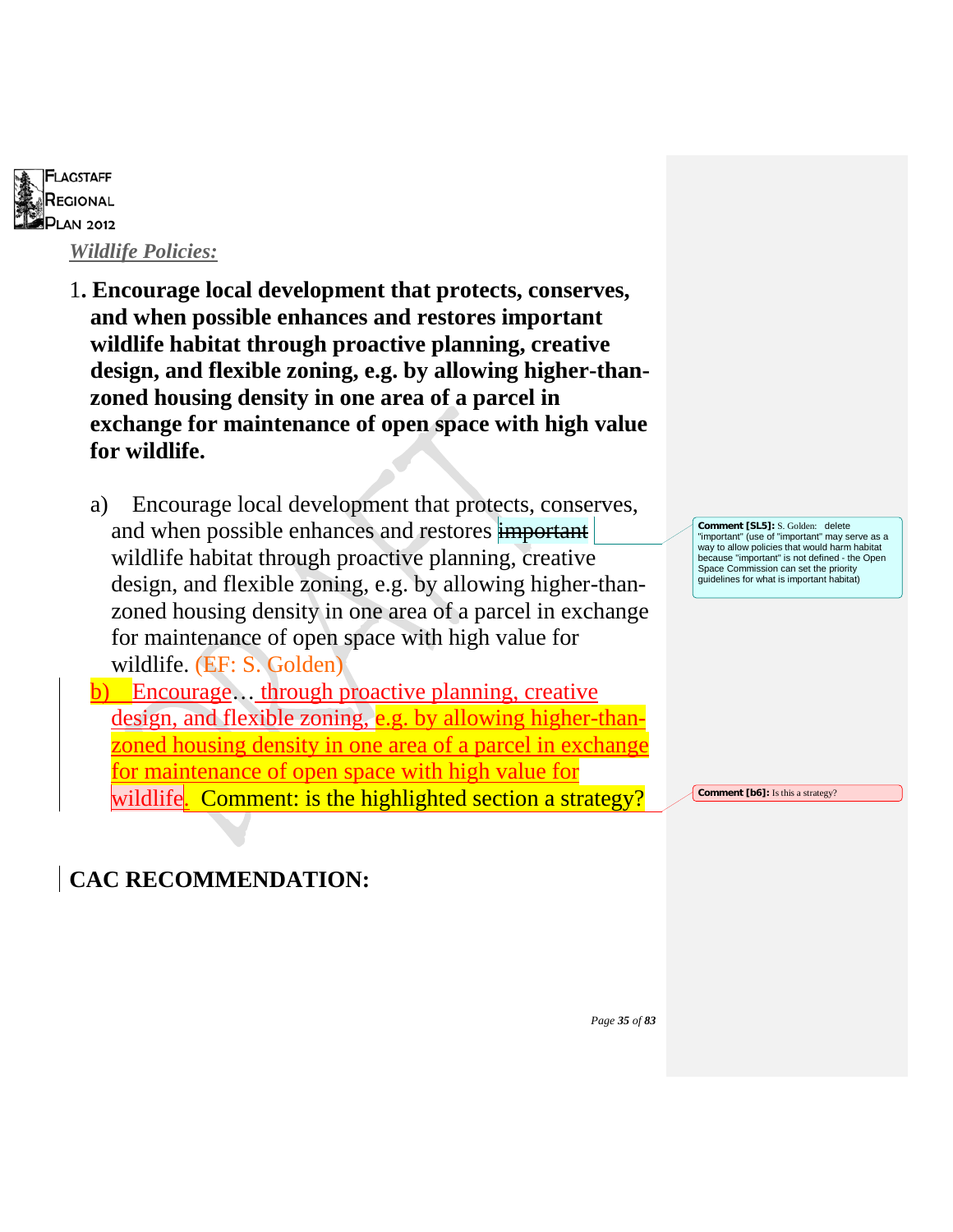

*Wildlife Policies:*

- 1**. Encourage local development that protects, conserves, and when possible enhances and restores important wildlife habitat through proactive planning, creative design, and flexible zoning, e.g. by allowing higher-thanzoned housing density in one area of a parcel in exchange for maintenance of open space with high value for wildlife.**
	- a) Encourage local development that protects, conserves, and when possible enhances and restores important wildlife habitat through proactive planning, creative design, and flexible zoning, e.g. by allowing higher-thanzoned housing density in one area of a parcel in exchange for maintenance of open space with high value for wildlife. (EF: S. Golden)
	- b) Encourage... through proactive planning, creative design, and flexible zoning, e.g. by allowing higher-thanzoned housing density in one area of a parcel in exchange for maintenance of open space with high value for wildlife. Comment: is the highlighted section a strategy?

**Comment [SL5]:** S. Golden: delete "important" (use of "important" may serve as a way to allow policies that would harm habitat because "important" is not defined - the Open Space Commission can set the priority guidelines for what is important habitat)

**Comment [b6]:** Is this a strategy?

### **CAC RECOMMENDATION:**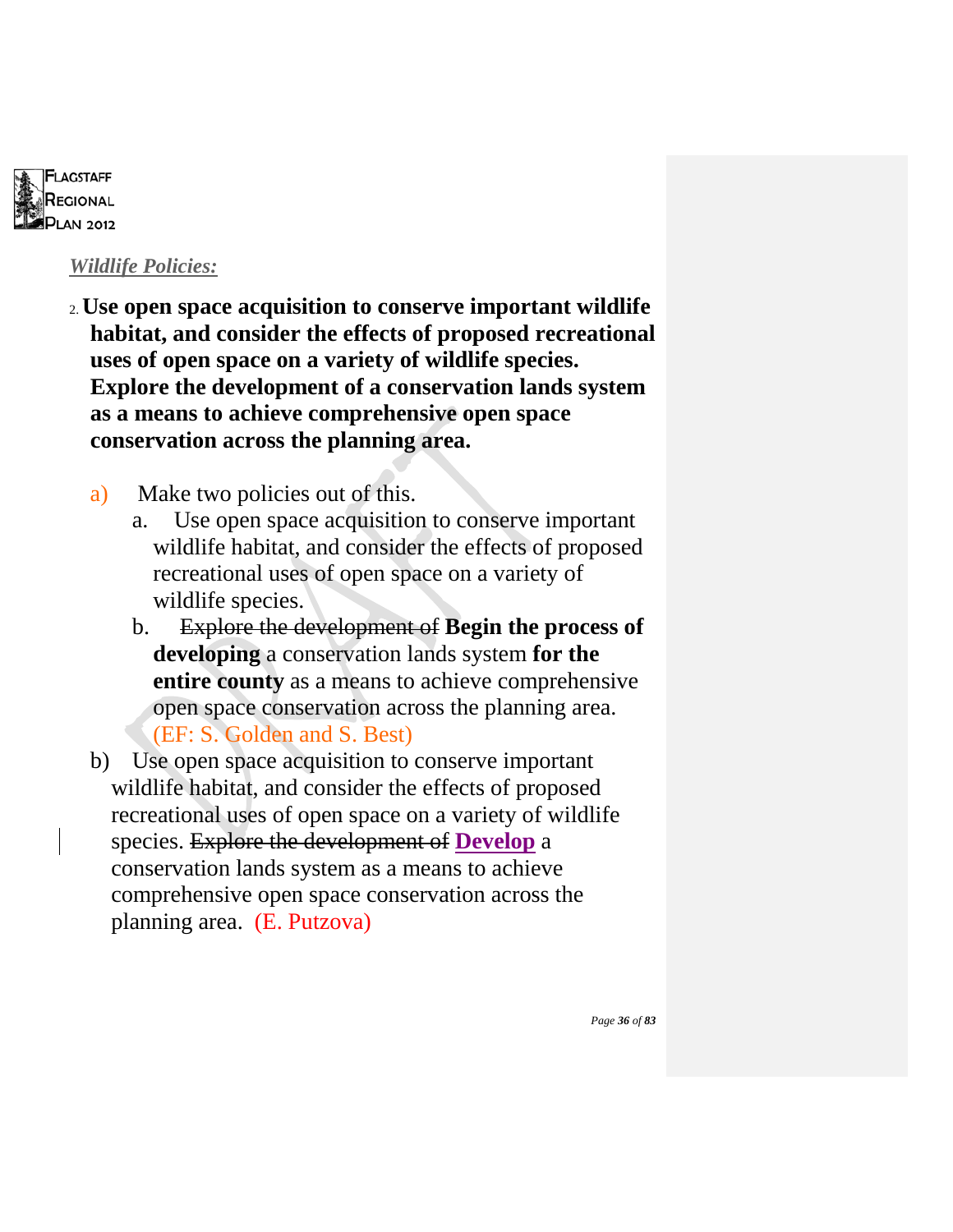

### *Wildlife Policies:*

- 2. **Use open space acquisition to conserve important wildlife habitat, and consider the effects of proposed recreational uses of open space on a variety of wildlife species. Explore the development of a conservation lands system as a means to achieve comprehensive open space conservation across the planning area.**
	- a) Make two policies out of this.
		- a. Use open space acquisition to conserve important wildlife habitat, and consider the effects of proposed recreational uses of open space on a variety of wildlife species.
		- b. Explore the development of **Begin the process of developing** a conservation lands system **for the entire county** as a means to achieve comprehensive open space conservation across the planning area. (EF: S. Golden and S. Best)
	- b) Use open space acquisition to conserve important wildlife habitat, and consider the effects of proposed recreational uses of open space on a variety of wildlife species. Explore the development of **Develop** a conservation lands system as a means to achieve comprehensive open space conservation across the planning area. (E. Putzova)

*Page 36 of 83*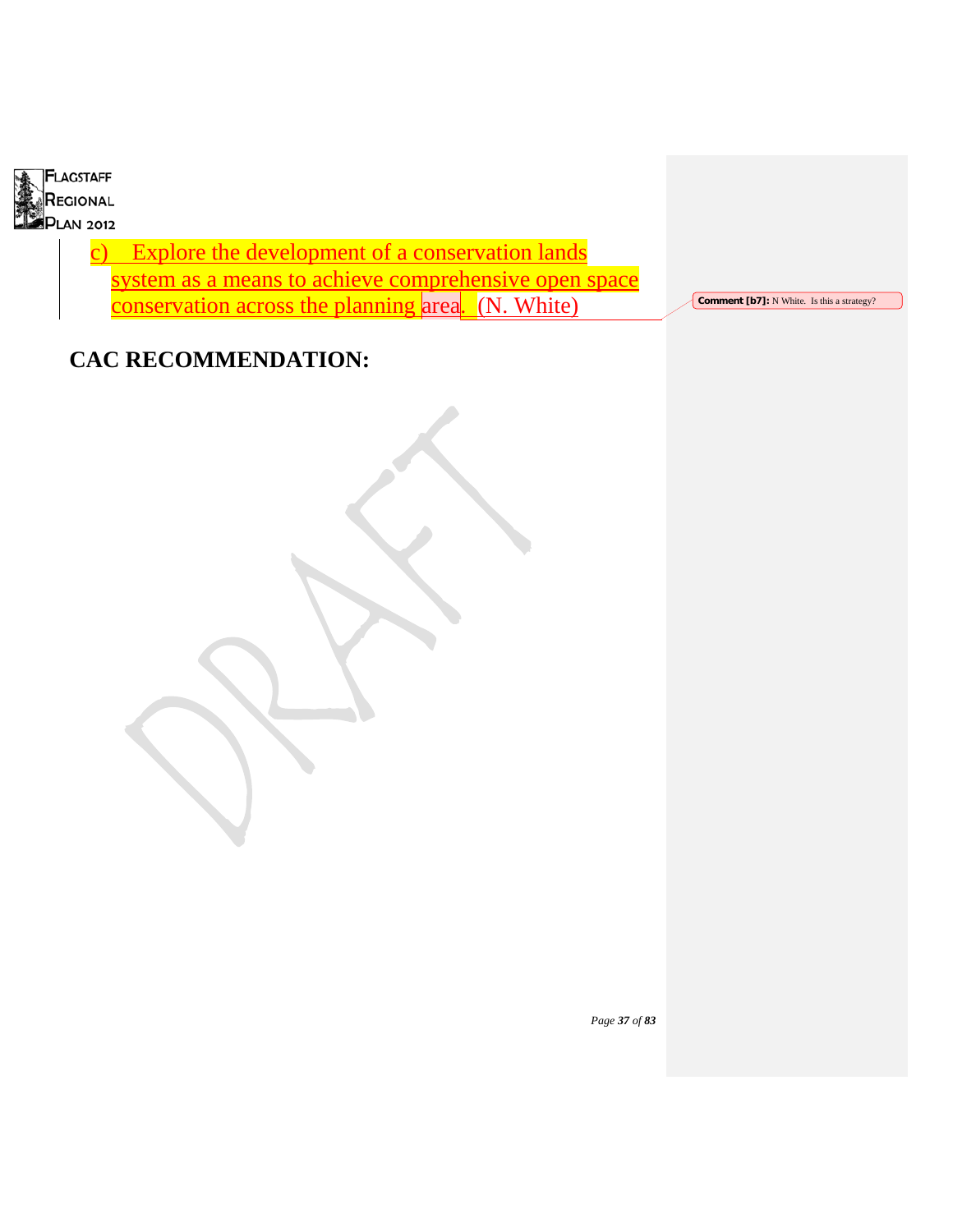

c) Explore the development of a conservation lands system as a means to achieve comprehensive open space conservation across the planning area. (N. White)

**Comment [b7]:** N White. Is this a strategy?

## **CAC RECOMMENDATION:**

*Page 37 of 83*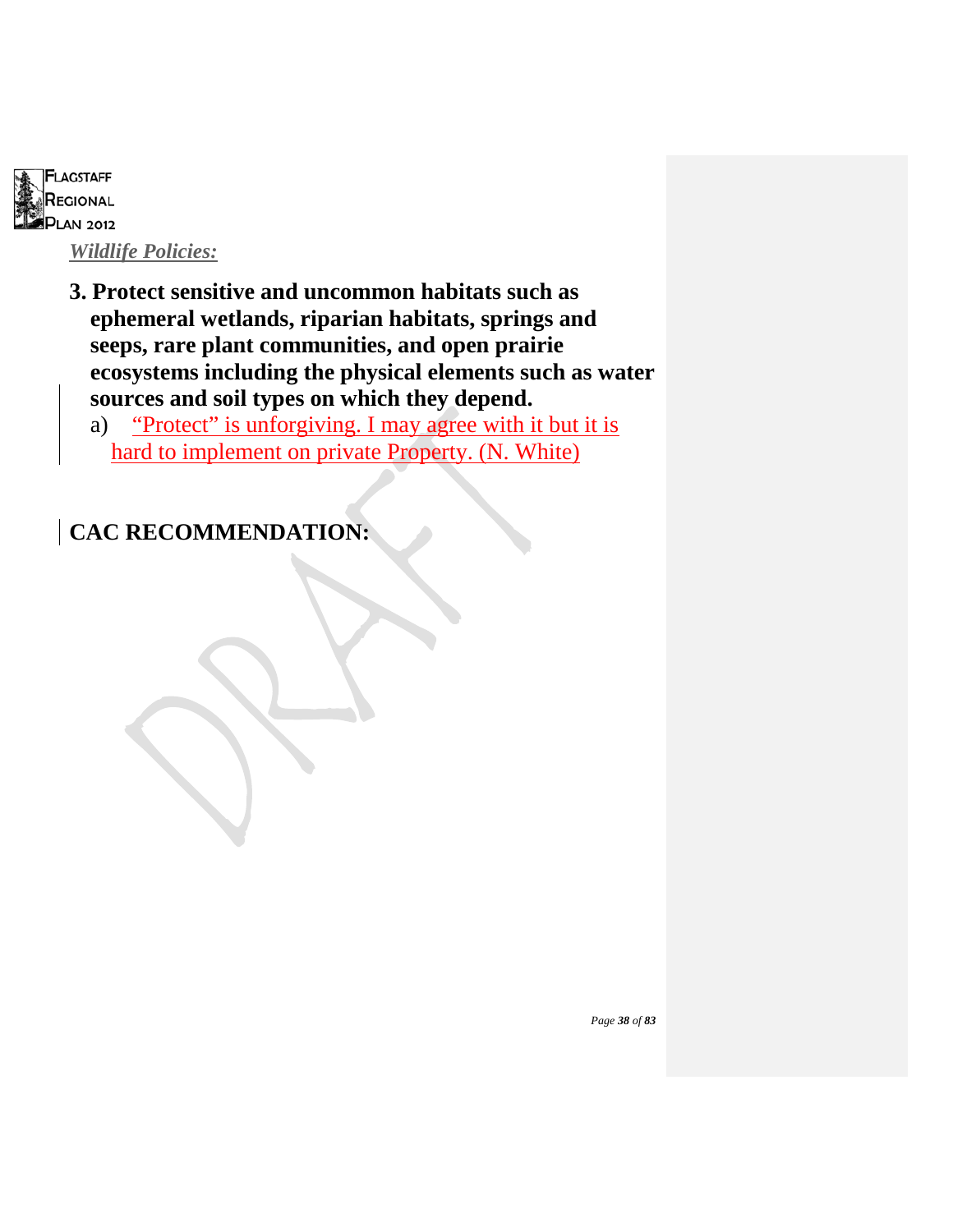

- **3. Protect sensitive and uncommon habitats such as ephemeral wetlands, riparian habitats, springs and seeps, rare plant communities, and open prairie ecosystems including the physical elements such as water sources and soil types on which they depend.**
	- a) "Protect" is unforgiving. I may agree with it but it is hard to implement on private Property. (N. White)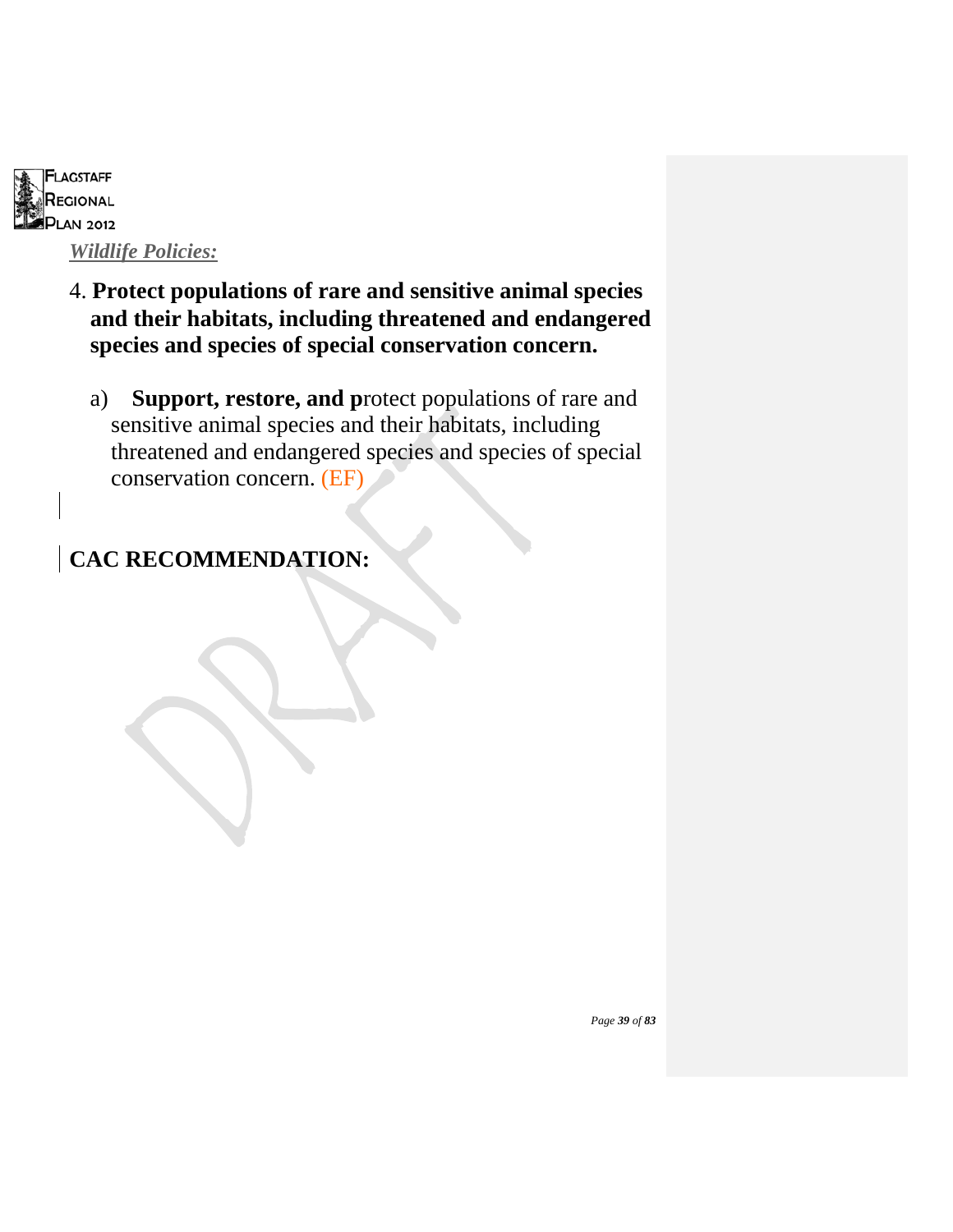

- 4. **Protect populations of rare and sensitive animal species and their habitats, including threatened and endangered species and species of special conservation concern.**
	- a) **Support, restore, and p**rotect populations of rare and sensitive animal species and their habitats, including threatened and endangered species and species of special conservation concern. (EF)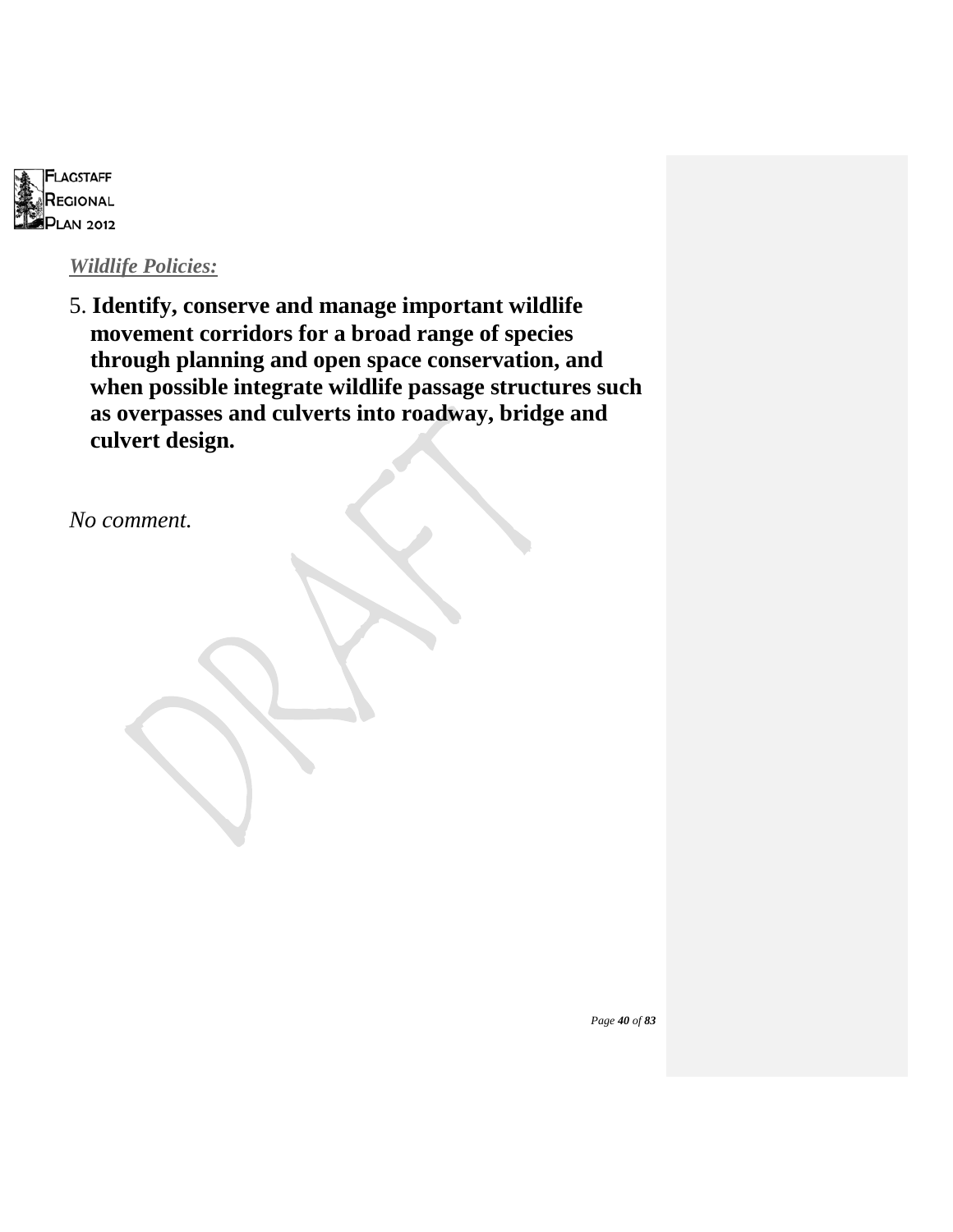

5. **Identify, conserve and manage important wildlife movement corridors for a broad range of species through planning and open space conservation, and when possible integrate wildlife passage structures such as overpasses and culverts into roadway, bridge and culvert design.**

*No comment.*

*Page 40 of 83*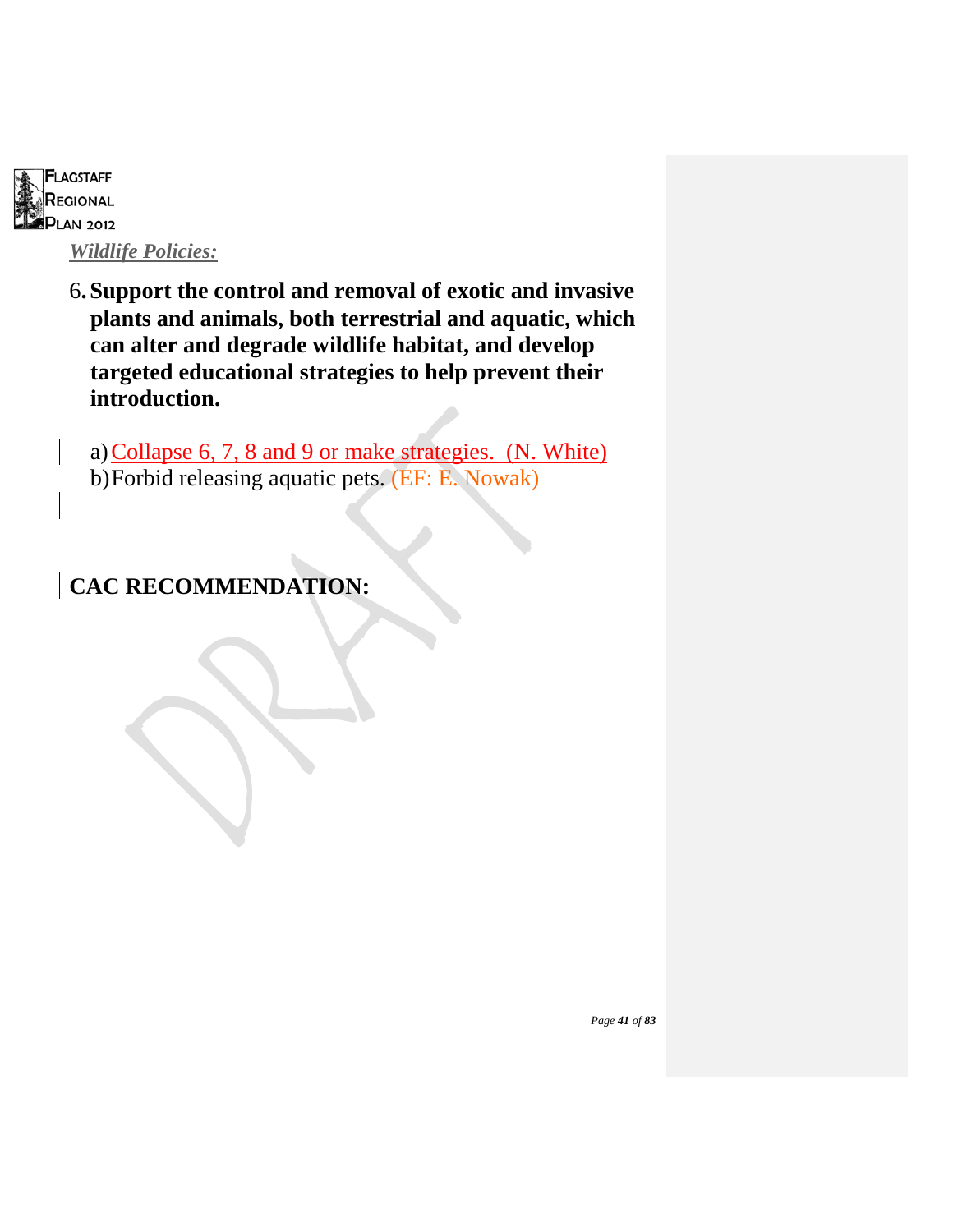

6**.Support the control and removal of exotic and invasive plants and animals, both terrestrial and aquatic, which can alter and degrade wildlife habitat, and develop targeted educational strategies to help prevent their introduction.**

a)Collapse 6, 7, 8 and 9 or make strategies. (N. White) b)Forbid releasing aquatic pets. (EF: E. Nowak)

**CAC RECOMMENDATION:**

*Page 41 of 83*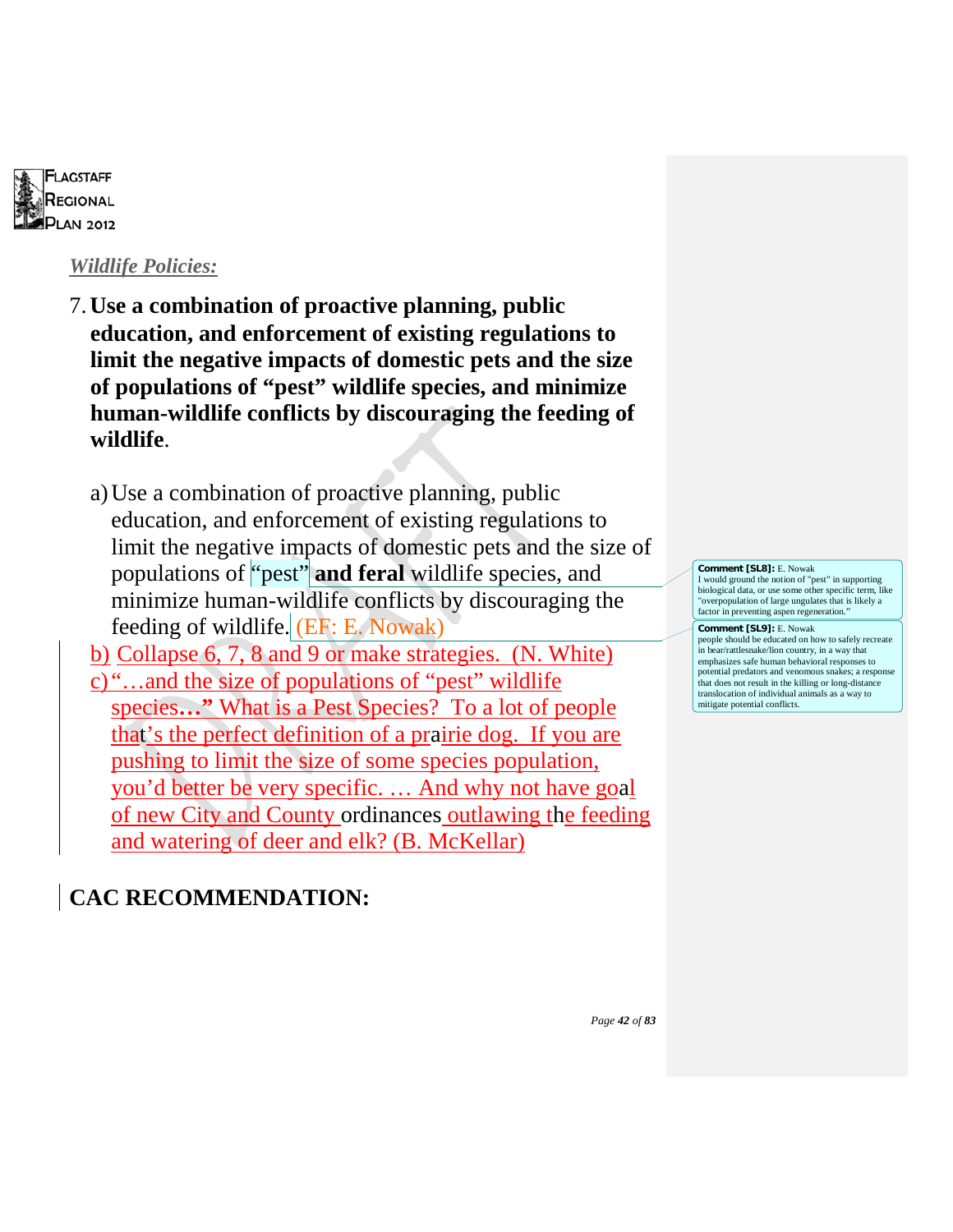

- 7.**Use a combination of proactive planning, public education, and enforcement of existing regulations to limit the negative impacts of domestic pets and the size of populations of "pest" wildlife species, and minimize human-wildlife conflicts by discouraging the feeding of wildlife**.
	- a)Use a combination of proactive planning, public education, and enforcement of existing regulations to limit the negative impacts of domestic pets and the size of populations of "pest" **and feral** wildlife species, and minimize human-wildlife conflicts by discouraging the feeding of wildlife. (EF: E. Nowak)
	- b) Collapse 6, 7, 8 and 9 or make strategies. (N. White)
	- c) "…and the size of populations of "pest" wildlife species**…"** What is a Pest Species? To a lot of people that's the perfect definition of a prairie dog. If you are pushing to limit the size of some species population, you'd better be very specific. … And why not have goal of new City and County ordinances outlawing the feeding and watering of deer and elk? (B. McKellar)

## **CAC RECOMMENDATION:**

#### **Comment [SL8]:** E. Nowak

I would ground the notion of "pest" in supporting biological data, or use some other specific term, like "overpopulation of large ungulates that is likely a factor in preventing aspen regeneration." **Comment [SL9]:** E. Nowak

people should be educated on how to safely recreate in bear/rattlesnake/lion country, in a way that emphasizes safe human behavioral responses to potential predators and venomous snakes; a response that does not result in the killing or long-distance translocation of individual animals as a way to mitigate potential conflicts.

*Page 42 of 83*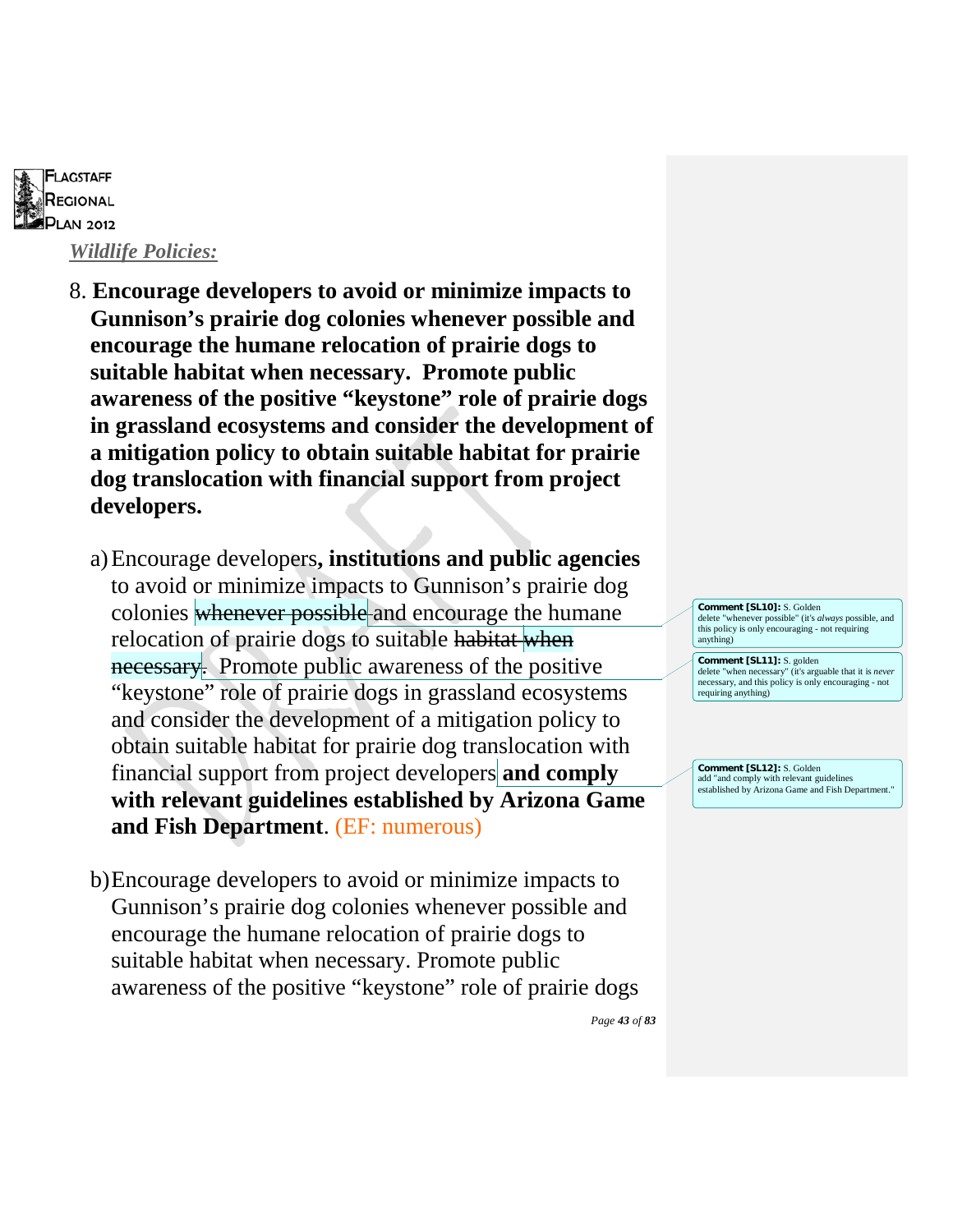

- 8. **Encourage developers to avoid or minimize impacts to Gunnison's prairie dog colonies whenever possible and encourage the humane relocation of prairie dogs to suitable habitat when necessary. Promote public awareness of the positive "keystone" role of prairie dogs in grassland ecosystems and consider the development of a mitigation policy to obtain suitable habitat for prairie dog translocation with financial support from project developers.**
	- a)Encourage developers**, institutions and public agencies** to avoid or minimize impacts to Gunnison's prairie dog colonies whenever possible and encourage the humane relocation of prairie dogs to suitable habitat when necessary. Promote public awareness of the positive "keystone" role of prairie dogs in grassland ecosystems and consider the development of a mitigation policy to obtain suitable habitat for prairie dog translocation with financial support from project developers **and comply with relevant guidelines established by Arizona Game and Fish Department**. (EF: numerous)
	- b)Encourage developers to avoid or minimize impacts to Gunnison's prairie dog colonies whenever possible and encourage the humane relocation of prairie dogs to suitable habitat when necessary. Promote public awareness of the positive "keystone" role of prairie dogs



**Comment [SL11]:** S. golden delete "when necessary" (it's arguable that it is *never*  necessary, and this policy is only encouraging - not requiring anything)

**Comment [SL12]:** S. Golden add "and comply with relevant guidelines established by Arizona Game and Fish Department."

*Page 43 of 83*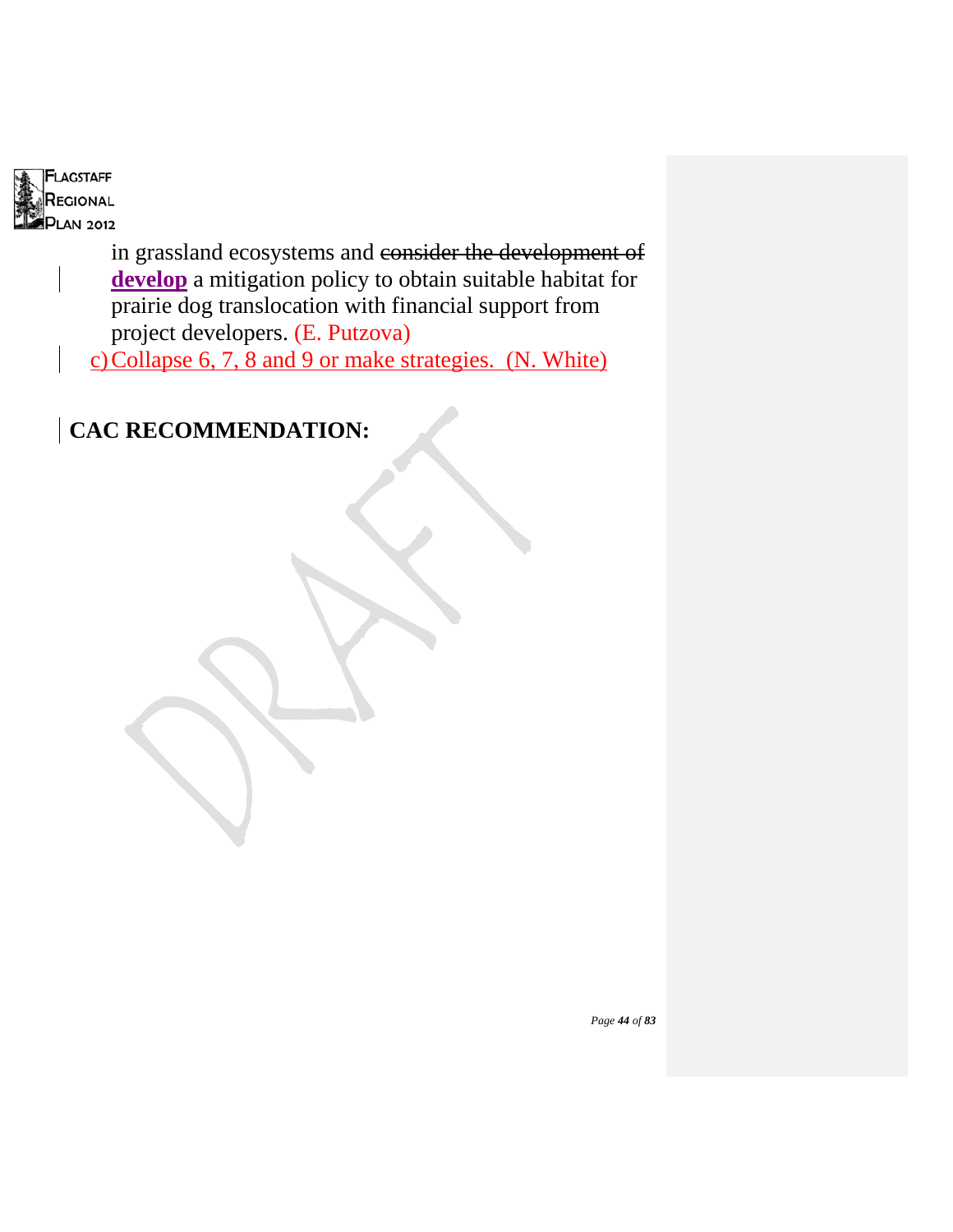

in grassland ecosystems and consider the development of **develop** a mitigation policy to obtain suitable habitat for prairie dog translocation with financial support from project developers. (E. Putzova) c)Collapse 6, 7, 8 and 9 or make strategies. (N. White)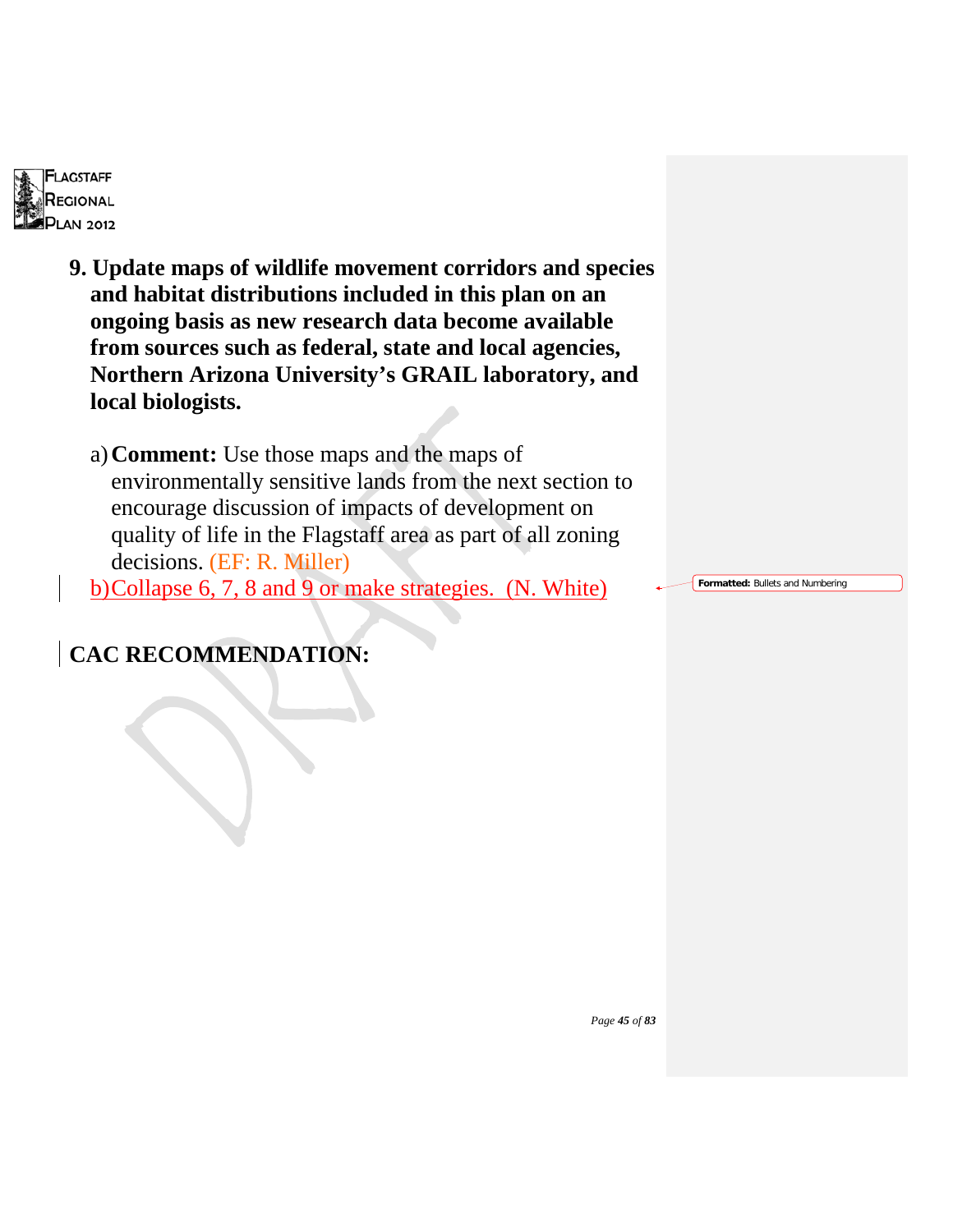

- **9. Update maps of wildlife movement corridors and species and habitat distributions included in this plan on an ongoing basis as new research data become available from sources such as federal, state and local agencies, Northern Arizona University's GRAIL laboratory, and local biologists.**
	- a)**Comment:** Use those maps and the maps of environmentally sensitive lands from the next section to encourage discussion of impacts of development on quality of life in the Flagstaff area as part of all zoning decisions. (EF: R. Miller)

b)Collapse 6, 7, 8 and 9 or make strategies. (N. White)

**Formatted:** Bullets and Numbering

**CAC RECOMMENDATION:**

*Page 45 of 83*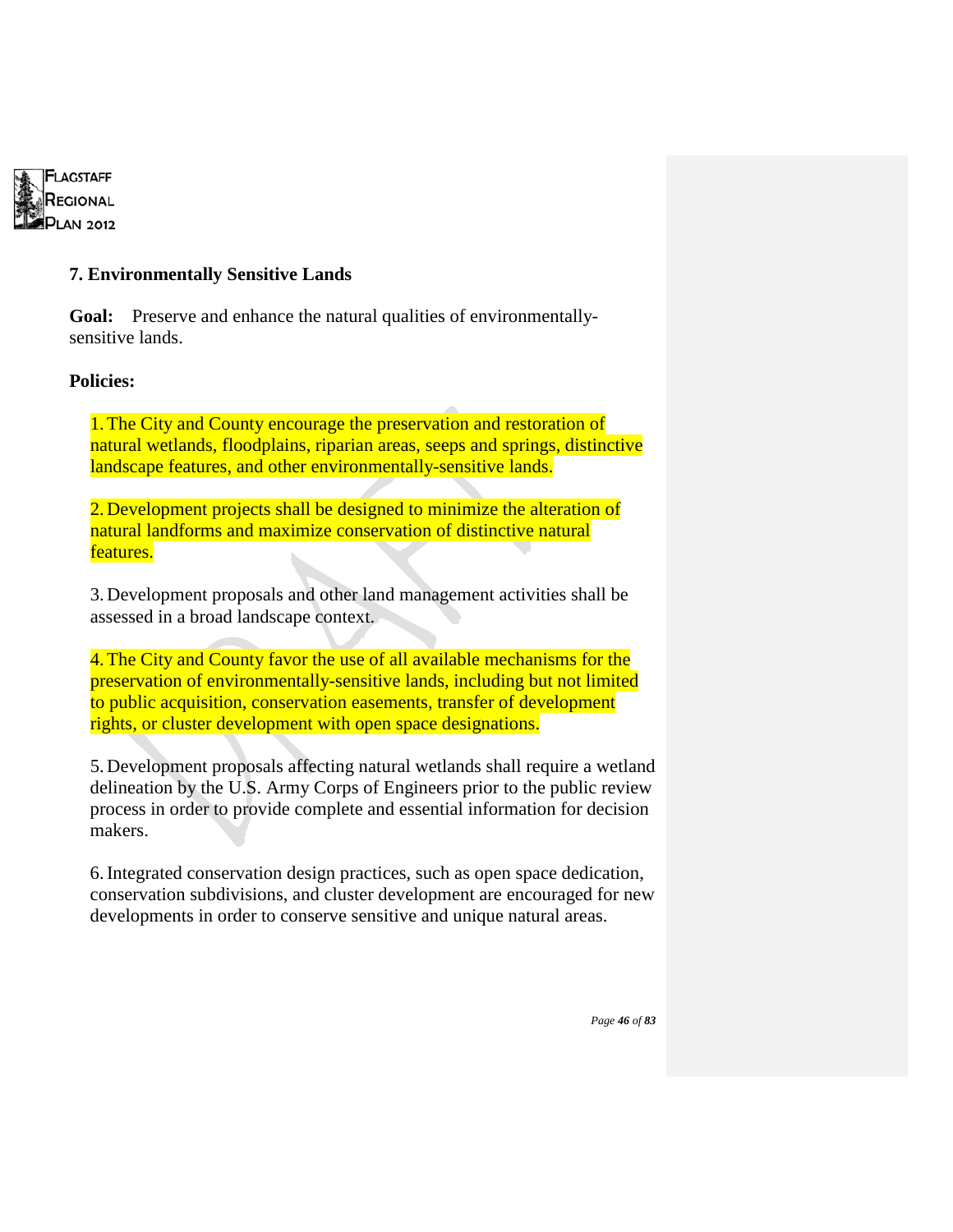

#### **7. Environmentally Sensitive Lands**

**Goal:** Preserve and enhance the natural qualities of environmentallysensitive lands.

#### **Policies:**

1.The City and County encourage the preservation and restoration of natural wetlands, floodplains, riparian areas, seeps and springs, distinctive landscape features, and other environmentally-sensitive lands.

2. Development projects shall be designed to minimize the alteration of natural landforms and maximize conservation of distinctive natural features.

3. Development proposals and other land management activities shall be assessed in a broad landscape context.

4.The City and County favor the use of all available mechanisms for the preservation of environmentally-sensitive lands, including but not limited to public acquisition, conservation easements, transfer of development rights, or cluster development with open space designations.

5. Development proposals affecting natural wetlands shall require a wetland delineation by the U.S. Army Corps of Engineers prior to the public review process in order to provide complete and essential information for decision makers.

6.Integrated conservation design practices, such as open space dedication, conservation subdivisions, and cluster development are encouraged for new developments in order to conserve sensitive and unique natural areas.

*Page 46 of 83*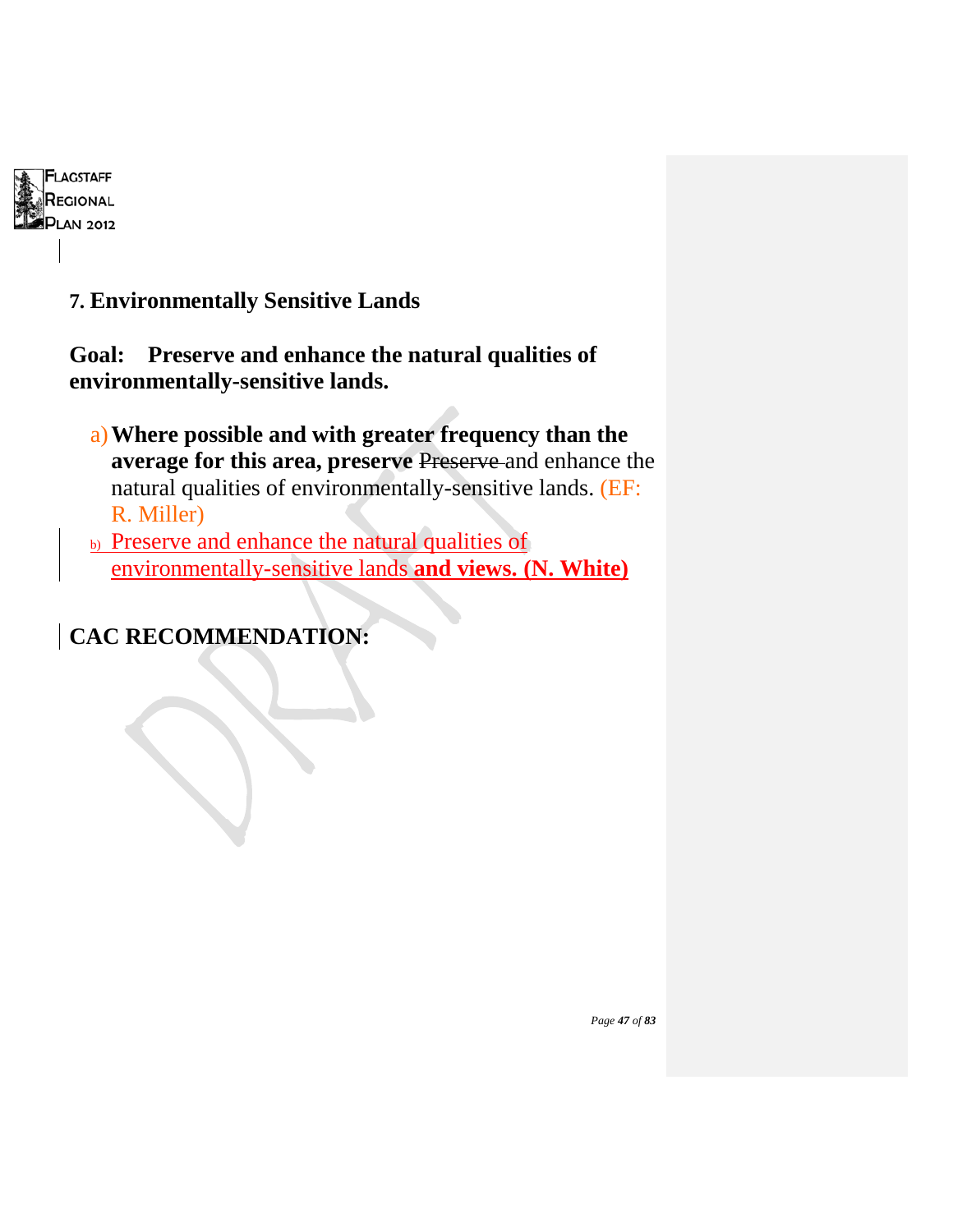

## **7. Environmentally Sensitive Lands**

**Goal: Preserve and enhance the natural qualities of environmentally-sensitive lands.**

- a)**Where possible and with greater frequency than the average for this area, preserve Preserve** and enhance the natural qualities of environmentally-sensitive lands. (EF: R. Miller)
- b) Preserve and enhance the natural qualities of environmentally-sensitive lands **and views. (N. White)**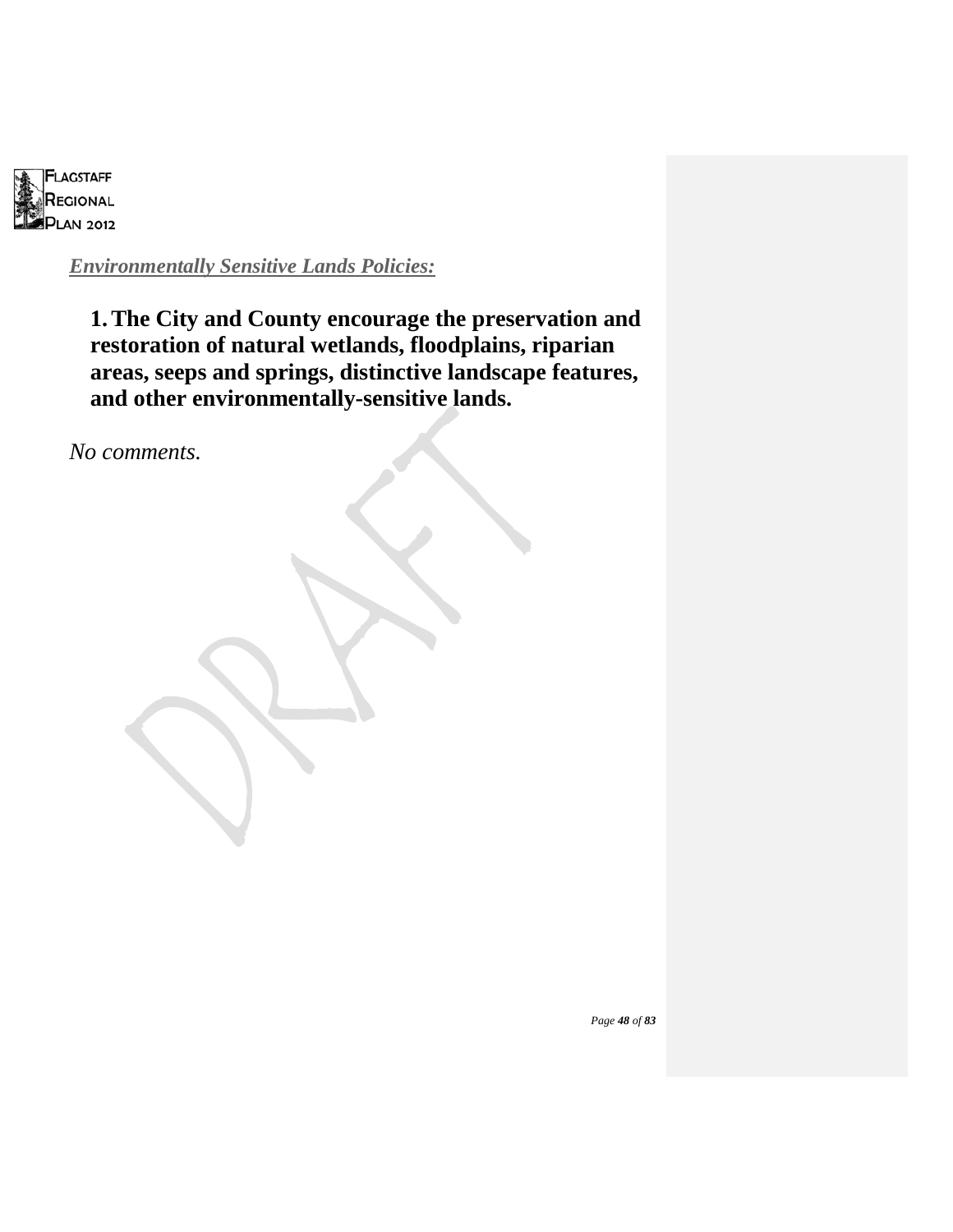

**1.The City and County encourage the preservation and restoration of natural wetlands, floodplains, riparian areas, seeps and springs, distinctive landscape features, and other environmentally-sensitive lands.**

*No comments.*

*Page 48 of 83*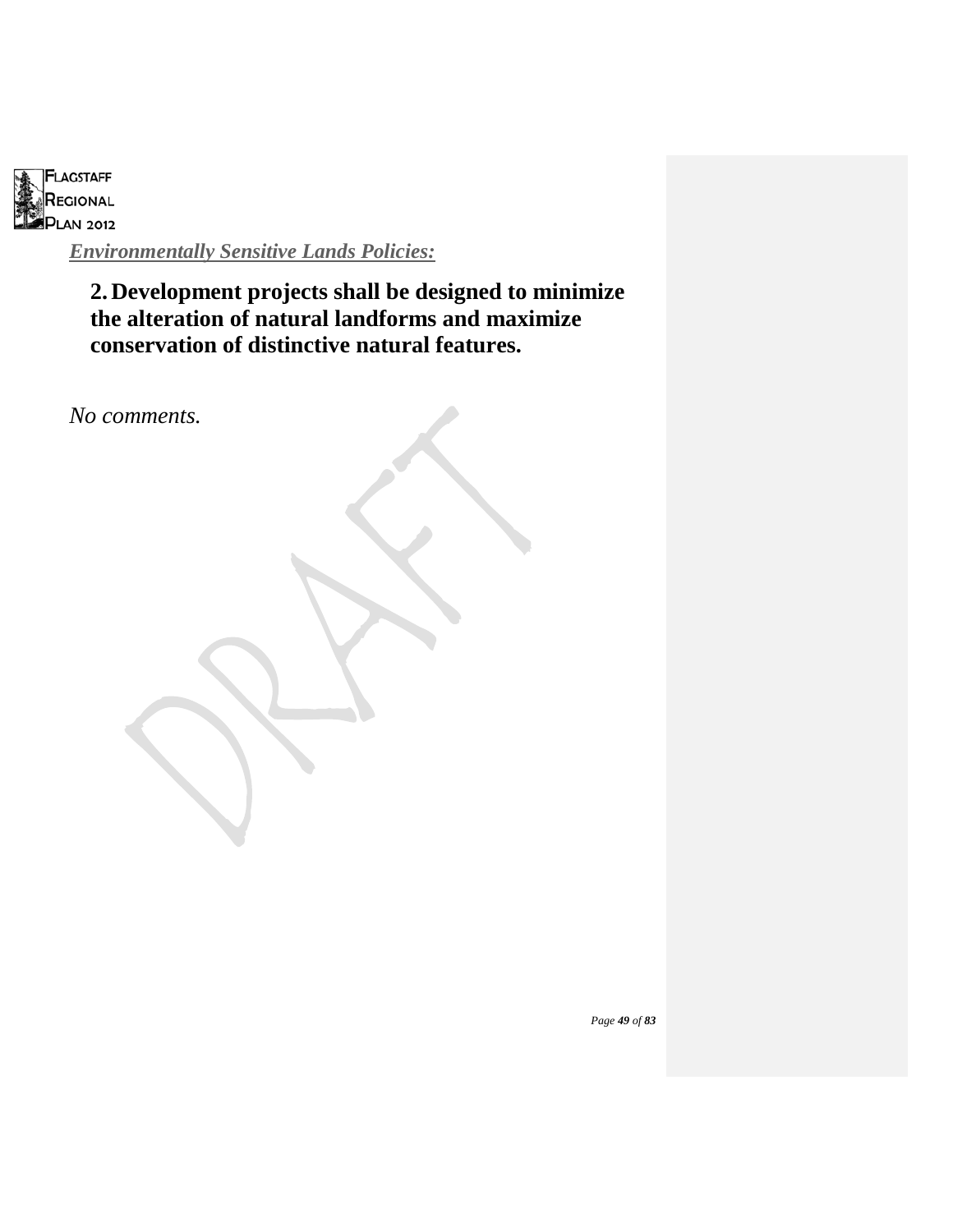

**2. Development projects shall be designed to minimize the alteration of natural landforms and maximize conservation of distinctive natural features.**

*No comments.*

*Page 49 of 83*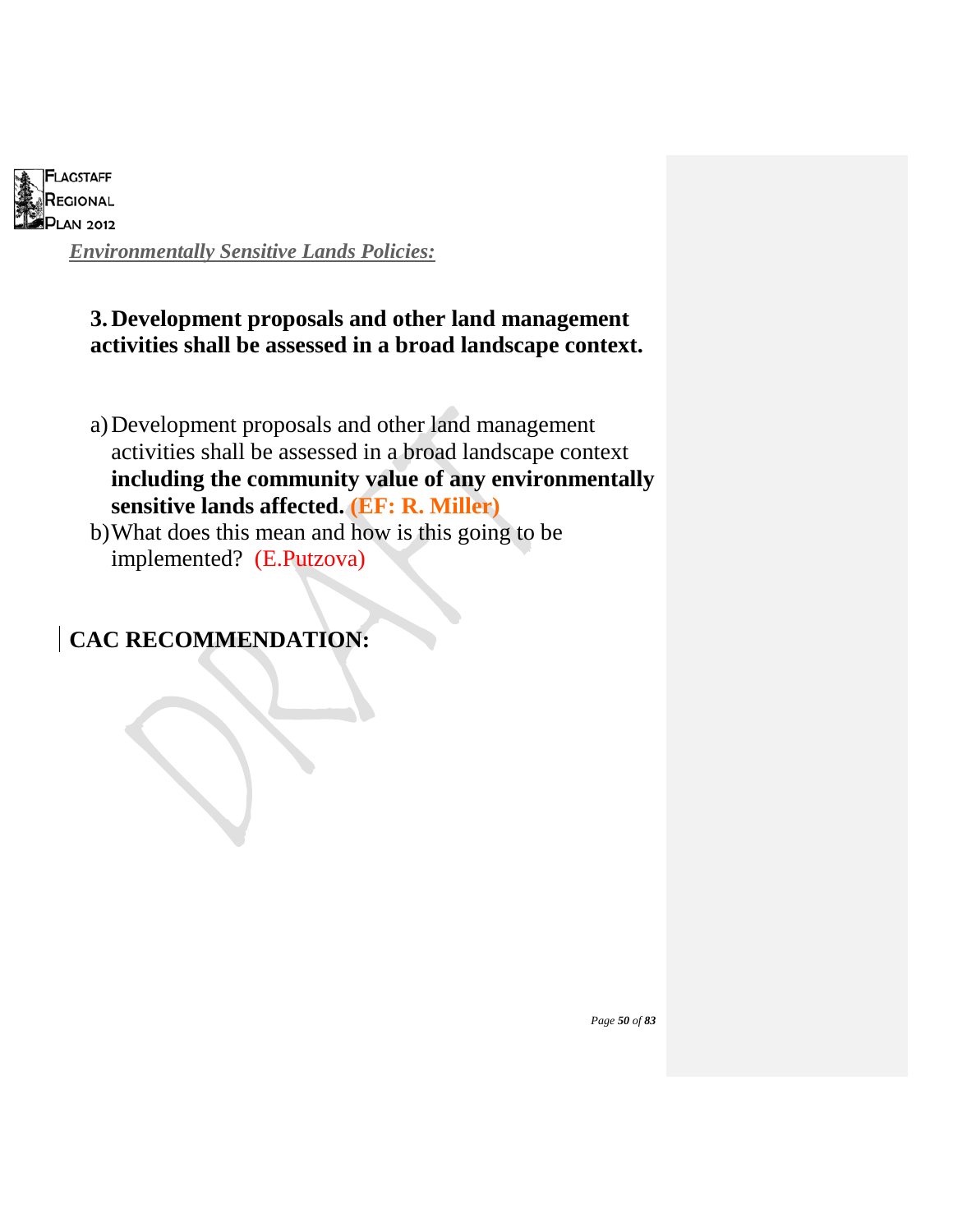

## **3. Development proposals and other land management activities shall be assessed in a broad landscape context.**

- a)Development proposals and other land management activities shall be assessed in a broad landscape context **including the community value of any environmentally sensitive lands affected. (EF: R. Miller)**
- b)What does this mean and how is this going to be implemented? (E.Putzova)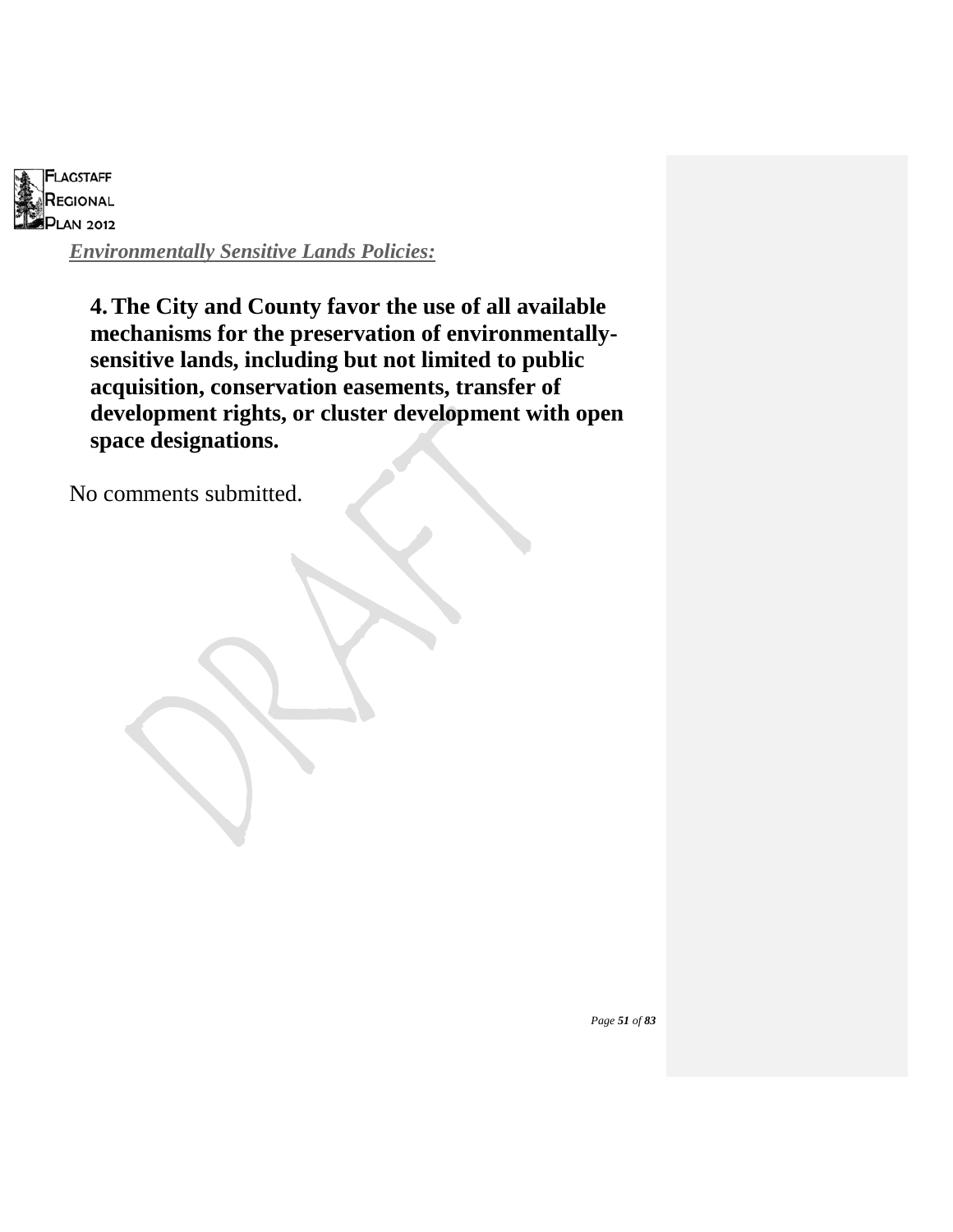

**4.The City and County favor the use of all available mechanisms for the preservation of environmentallysensitive lands, including but not limited to public acquisition, conservation easements, transfer of development rights, or cluster development with open space designations.**

No comments submitted.

*Page 51 of 83*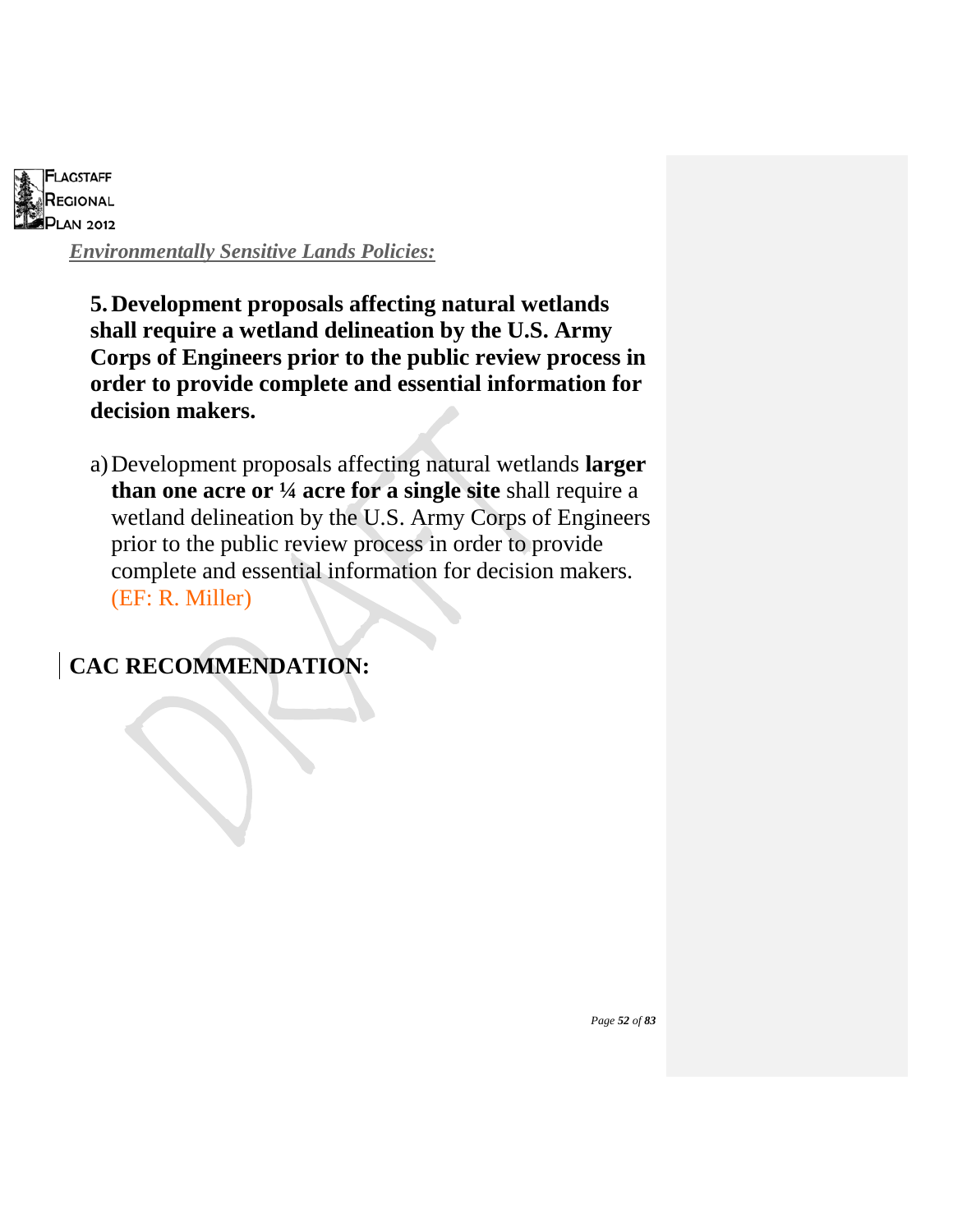

**5. Development proposals affecting natural wetlands shall require a wetland delineation by the U.S. Army Corps of Engineers prior to the public review process in order to provide complete and essential information for decision makers.**

a)Development proposals affecting natural wetlands **larger than one acre or ¼ acre for a single site** shall require a wetland delineation by the U.S. Army Corps of Engineers prior to the public review process in order to provide complete and essential information for decision makers. (EF: R. Miller)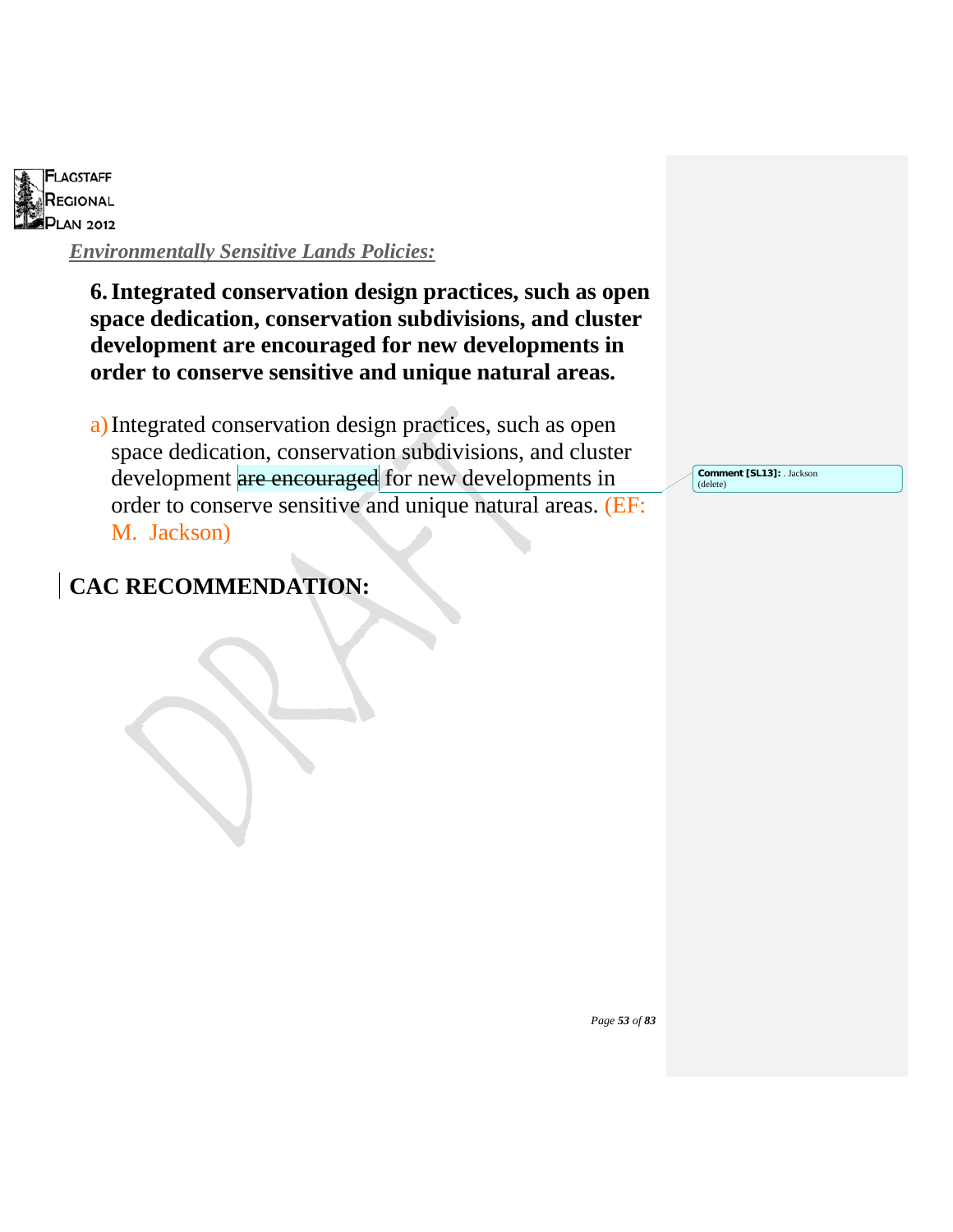

**6.Integrated conservation design practices, such as open space dedication, conservation subdivisions, and cluster development are encouraged for new developments in order to conserve sensitive and unique natural areas.**

a)Integrated conservation design practices, such as open space dedication, conservation subdivisions, and cluster development are encouraged for new developments in order to conserve sensitive and unique natural areas. (EF: M. Jackson)

# **CAC RECOMMENDATION:**

**Comment [SL13]:** . Jackson (delete)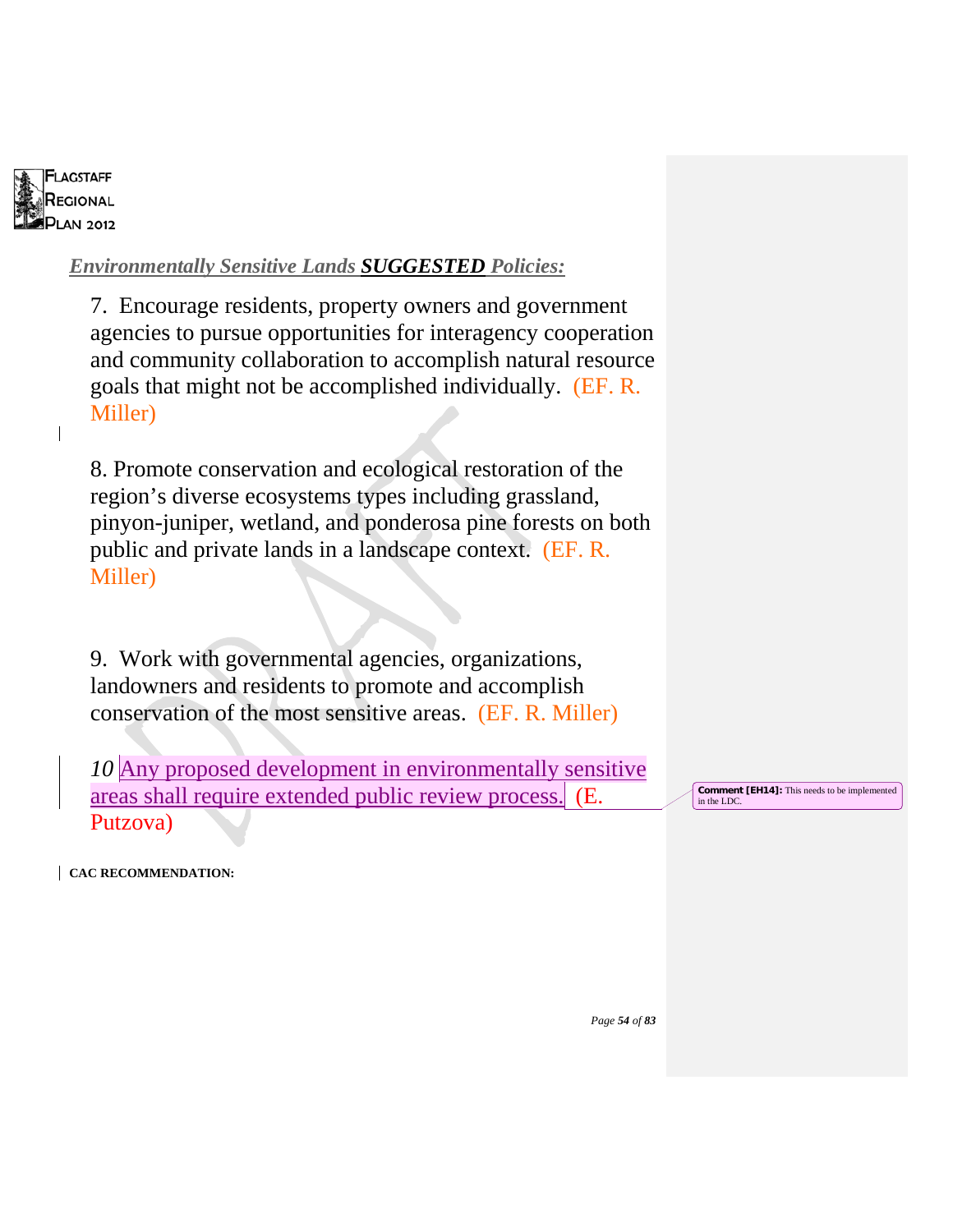

 $\overline{\phantom{a}}$ 

### *Environmentally Sensitive Lands SUGGESTED Policies:*

7. Encourage residents, property owners and government agencies to pursue opportunities for interagency cooperation and community collaboration to accomplish natural resource goals that might not be accomplished individually. (EF. R. Miller)

8. Promote conservation and ecological restoration of the region's diverse ecosystems types including grassland, pinyon-juniper, wetland, and ponderosa pine forests on both public and private lands in a landscape context. (EF. R. Miller)

9. Work with governmental agencies, organizations, landowners and residents to promote and accomplish conservation of the most sensitive areas. (EF. R. Miller)

*10* Any proposed development in environmentally sensitive areas shall require extended public review process. (E. Putzova)

**Comment [EH14]:** This needs to be implemented in the LDC.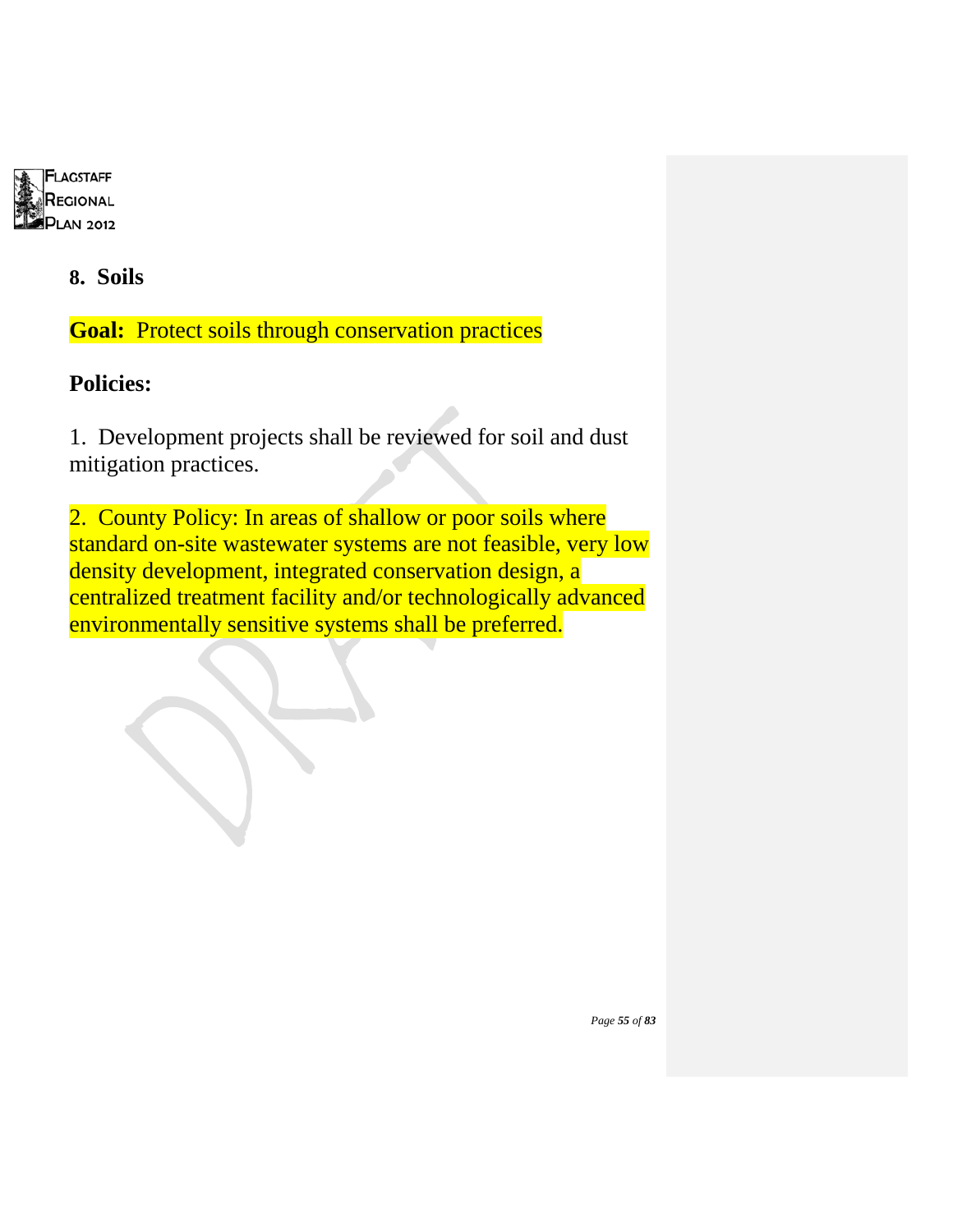

## **8. Soils**

**Goal:** Protect soils through conservation practices

## **Policies:**

1. Development projects shall be reviewed for soil and dust mitigation practices.

2. County Policy: In areas of shallow or poor soils where standard on-site wastewater systems are not feasible, very low density development, integrated conservation design, a centralized treatment facility and/or technologically advanced environmentally sensitive systems shall be preferred.

*Page 55 of 83*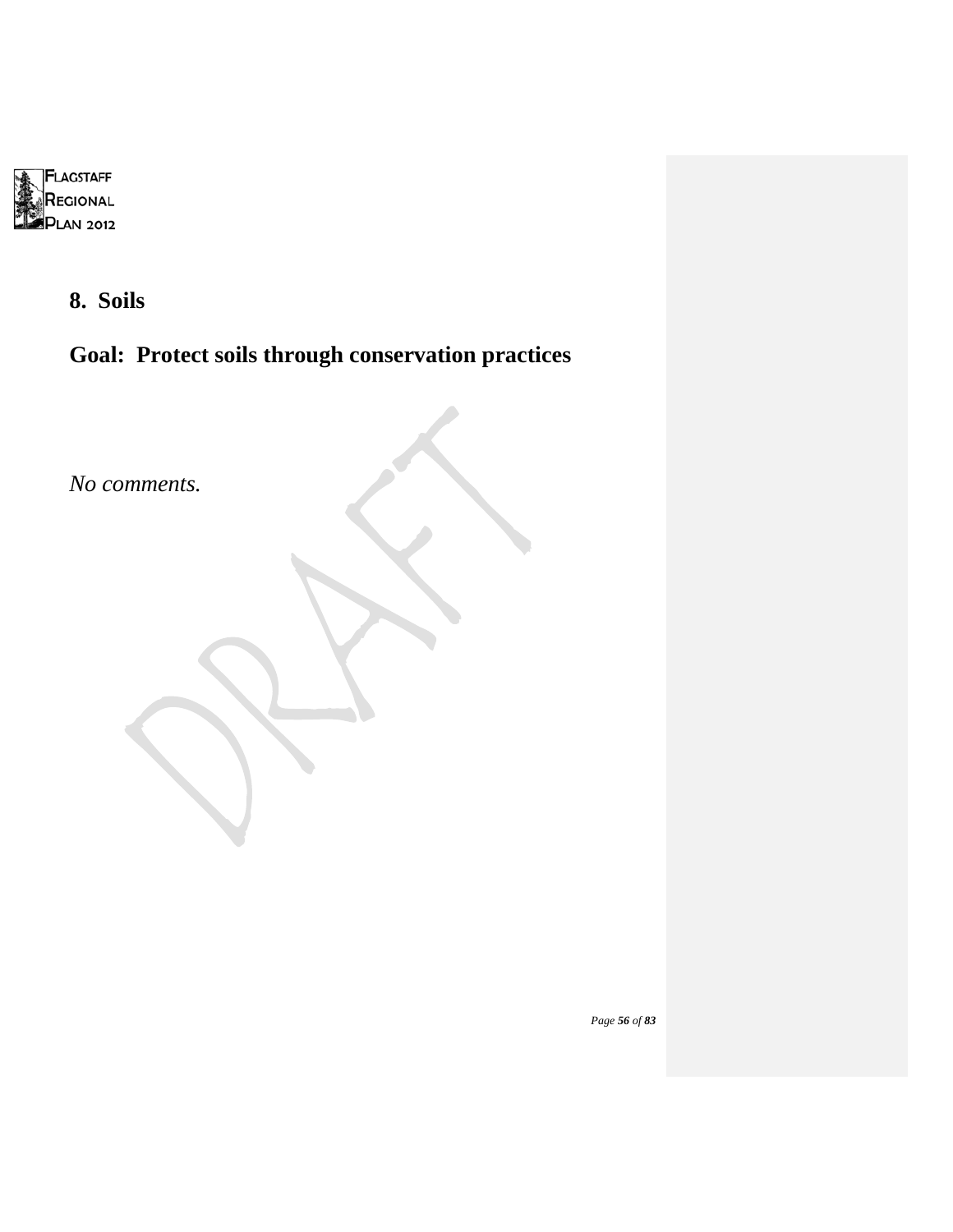

**8. Soils**

**Goal: Protect soils through conservation practices**

*No comments.*

*Page 56 of 83*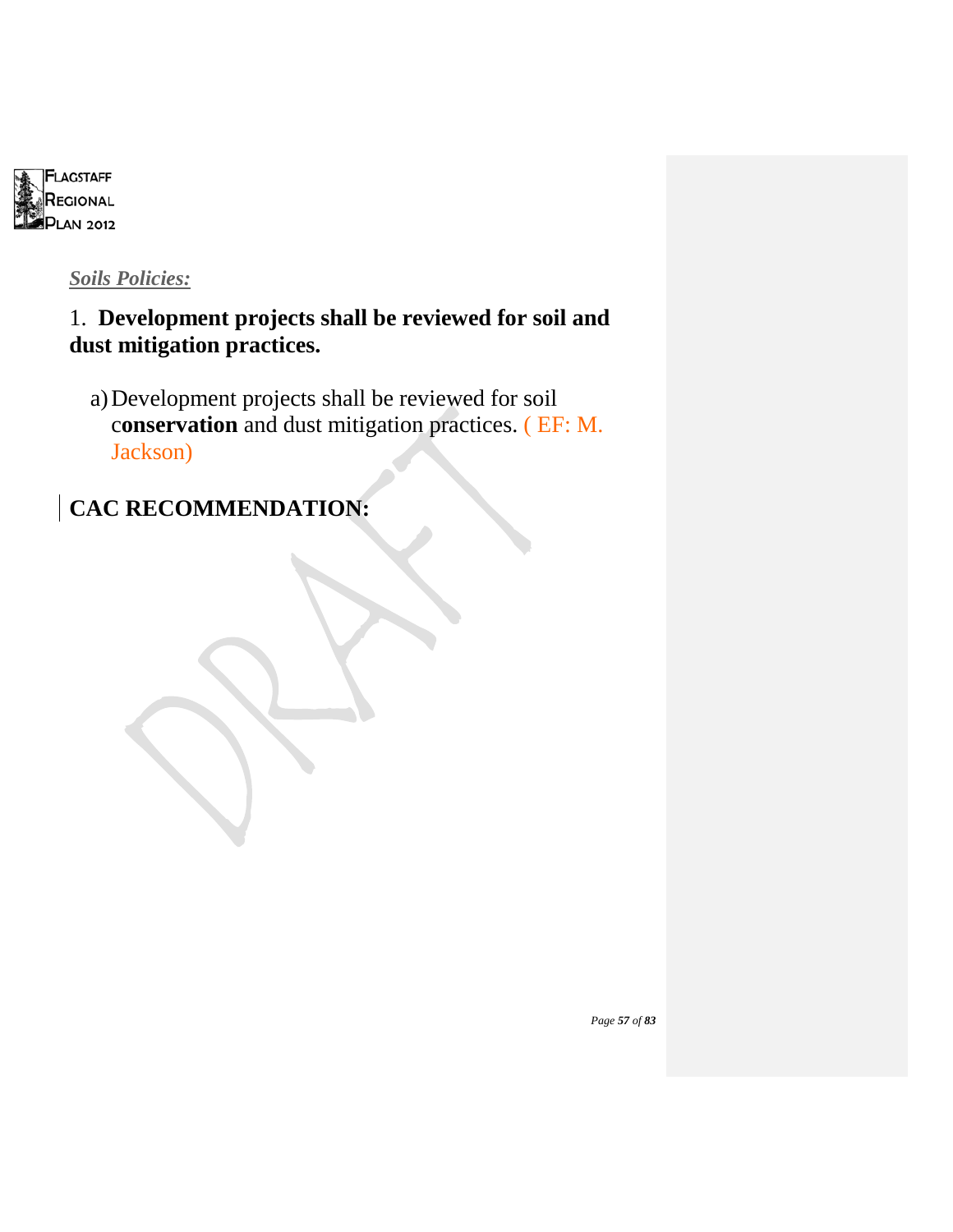

#### *Soils Policies:*

## 1. **Development projects shall be reviewed for soil and dust mitigation practices.**

a)Development projects shall be reviewed for soil c**onservation** and dust mitigation practices. ( EF: M. Jackson)

# **CAC RECOMMENDATION:**

*Page 57 of 83*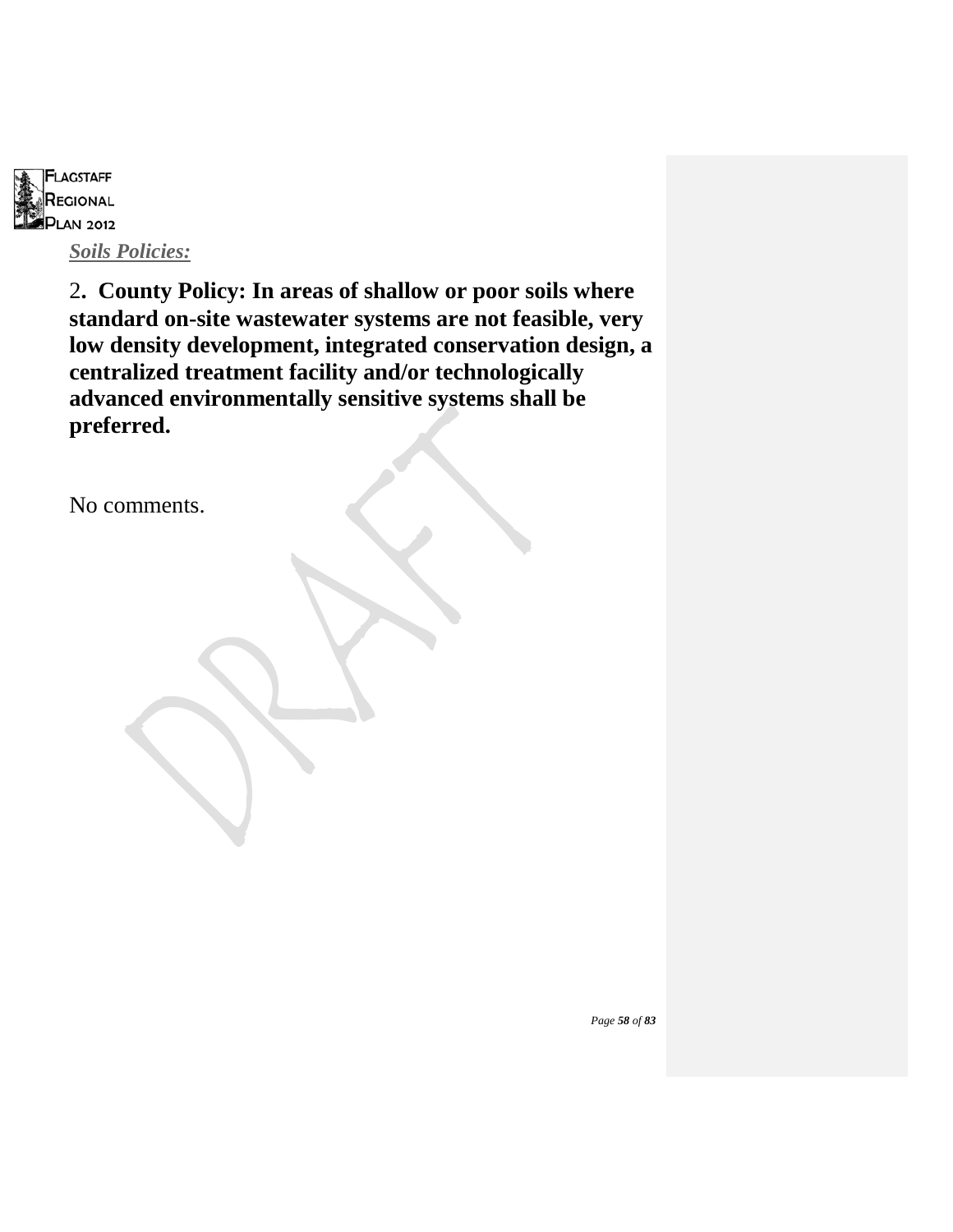

*Soils Policies:*

2**. County Policy: In areas of shallow or poor soils where standard on-site wastewater systems are not feasible, very low density development, integrated conservation design, a centralized treatment facility and/or technologically advanced environmentally sensitive systems shall be preferred.**

No comments.

*Page 58 of 83*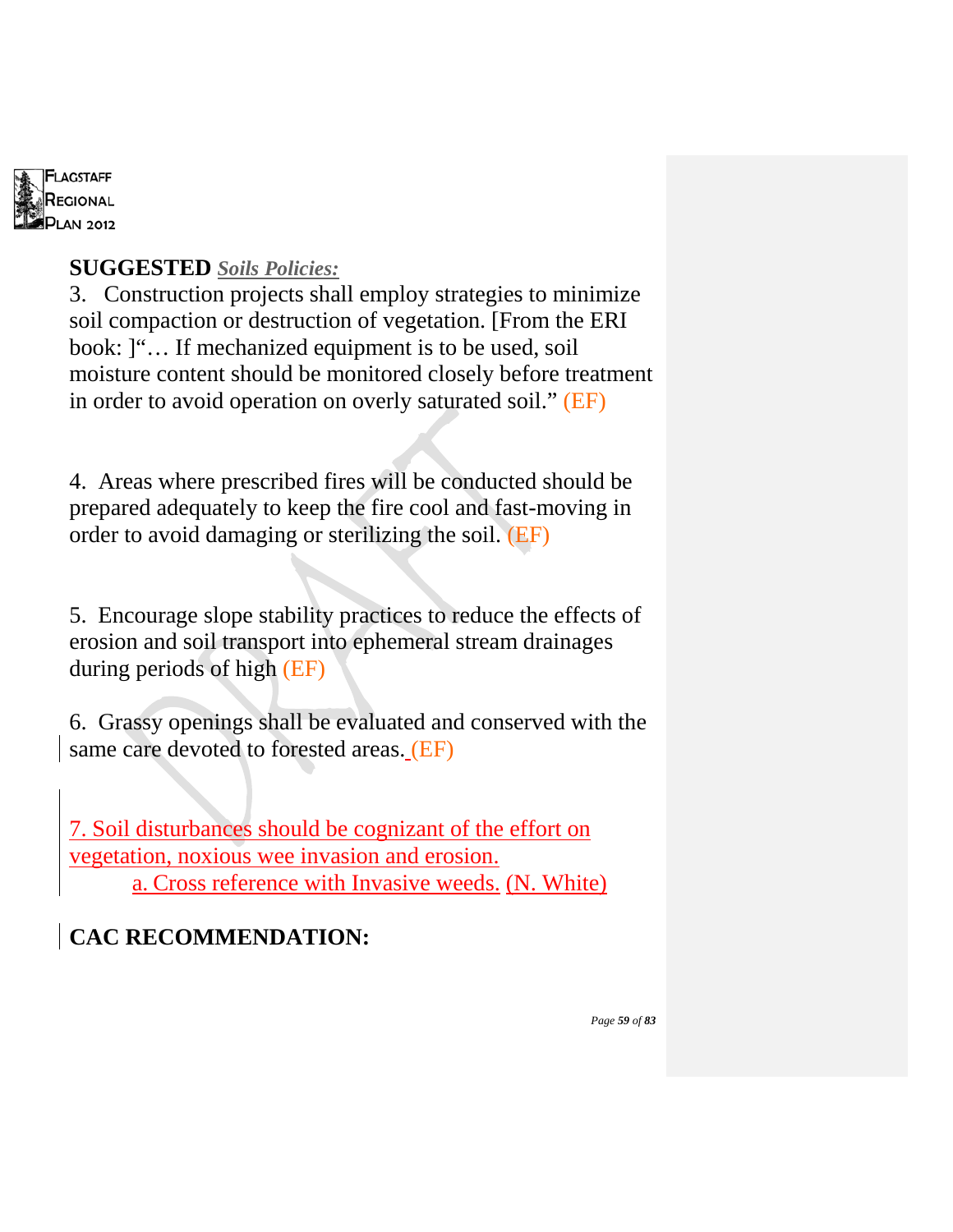

## **SUGGESTED**  *Soils Policies:*

3. Construction projects shall employ strategies to minimize soil compaction or destruction of vegetation. [From the ERI book: ]"… If mechanized equipment is to be used, soil moisture content should be monitored closely before treatment in order to avoid operation on overly saturated soil." (EF)

4. Areas where prescribed fires will be conducted should be prepared adequately to keep the fire cool and fast-moving in order to avoid damaging or sterilizing the soil. (EF)

5. Encourage slope stability practices to reduce the effects of erosion and soil transport into ephemeral stream drainages during periods of high (EF)

6. Grassy openings shall be evaluated and conserved with the same care devoted to forested areas. (EF)

7. Soil disturbances should be cognizant of the effort on vegetation, noxious wee invasion and erosion. a. Cross reference with Invasive weeds. (N. White)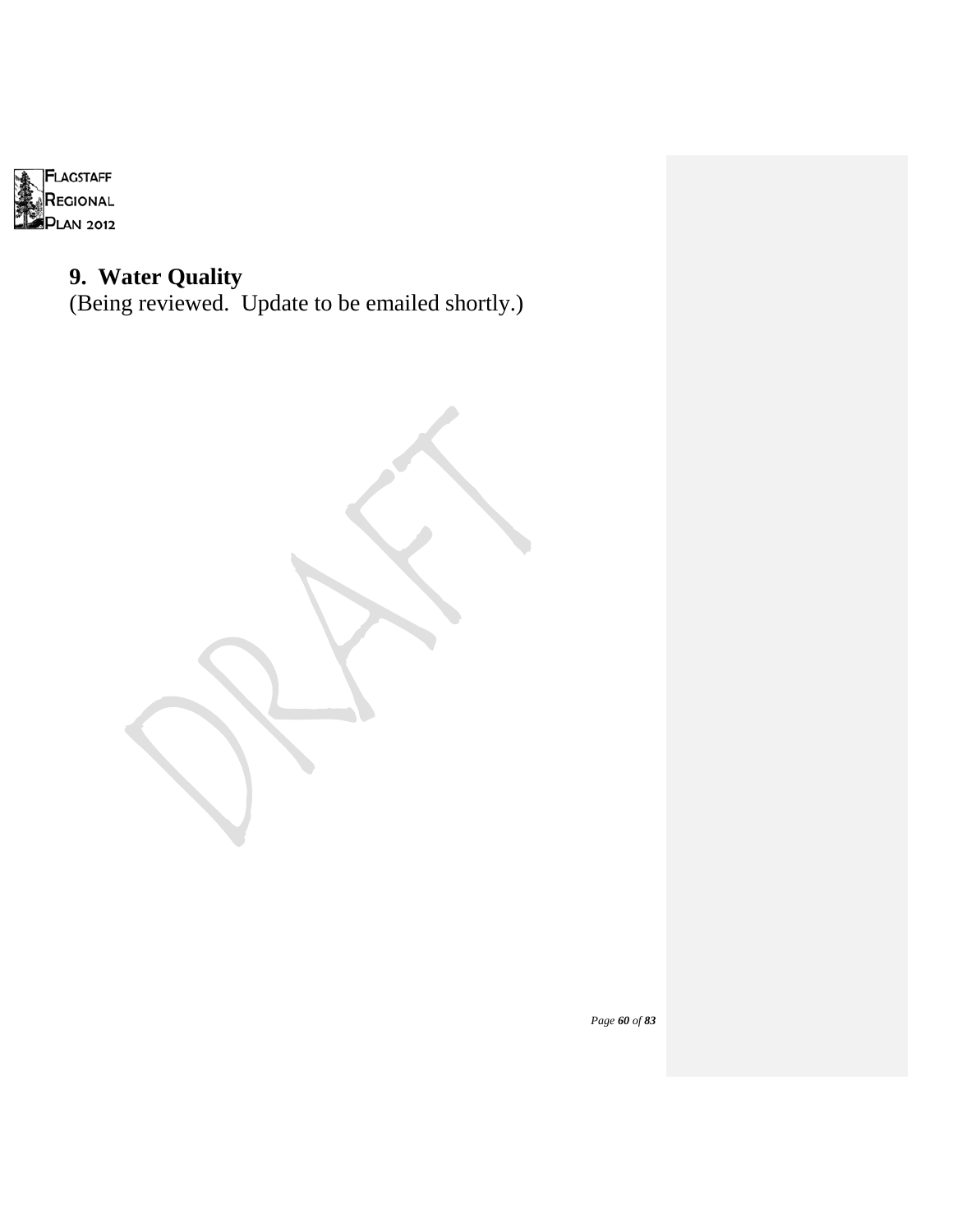

## **9. Water Quality**

(Being reviewed. Update to be emailed shortly.)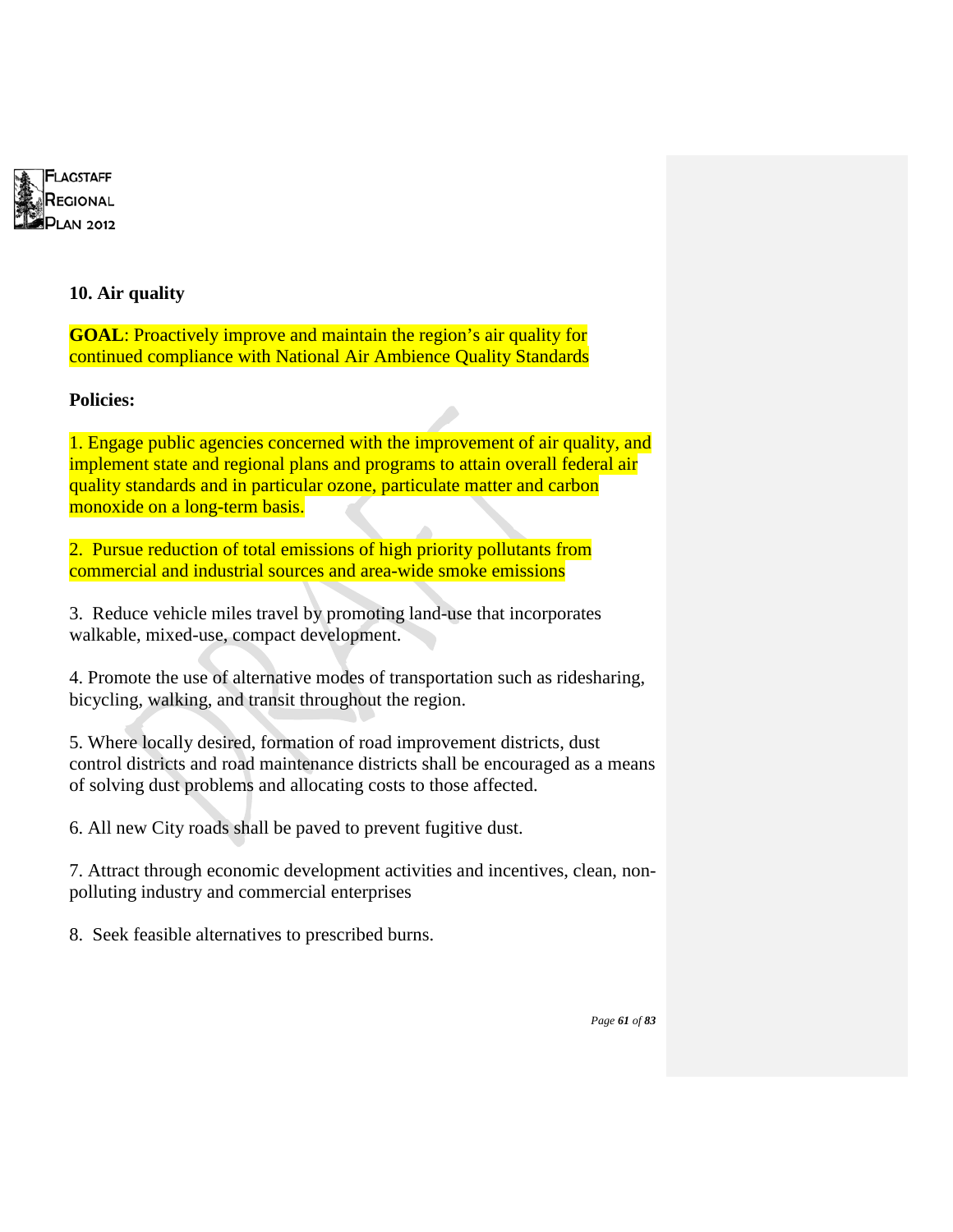

#### **10. Air quality**

**GOAL**: Proactively improve and maintain the region's air quality for continued compliance with National Air Ambience Quality Standards

#### **Policies:**

1. Engage public agencies concerned with the improvement of air quality, and implement state and regional plans and programs to attain overall federal air quality standards and in particular ozone, particulate matter and carbon monoxide on a long-term basis.

2. Pursue reduction of total emissions of high priority pollutants from commercial and industrial sources and area-wide smoke emissions

3. Reduce vehicle miles travel by promoting land-use that incorporates walkable, mixed-use, compact development.

4. Promote the use of alternative modes of transportation such as ridesharing, bicycling, walking, and transit throughout the region.

5. Where locally desired, formation of road improvement districts, dust control districts and road maintenance districts shall be encouraged as a means of solving dust problems and allocating costs to those affected.

6. All new City roads shall be paved to prevent fugitive dust.

7. Attract through economic development activities and incentives, clean, nonpolluting industry and commercial enterprises

8. Seek feasible alternatives to prescribed burns.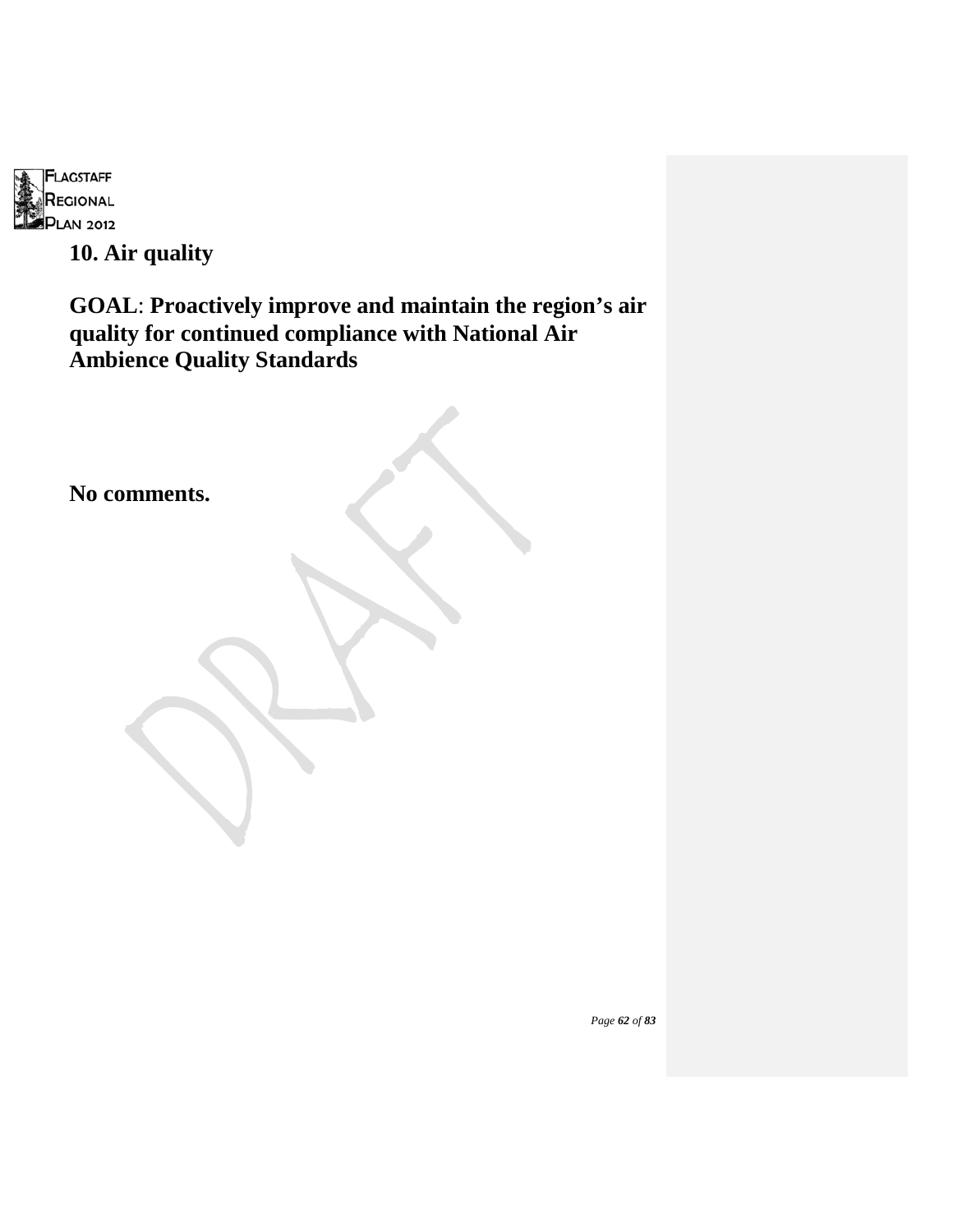

**10. Air quality**

**GOAL**: **Proactively improve and maintain the region's air quality for continued compliance with National Air Ambience Quality Standards**

**No comments.**

*Page 62 of 83*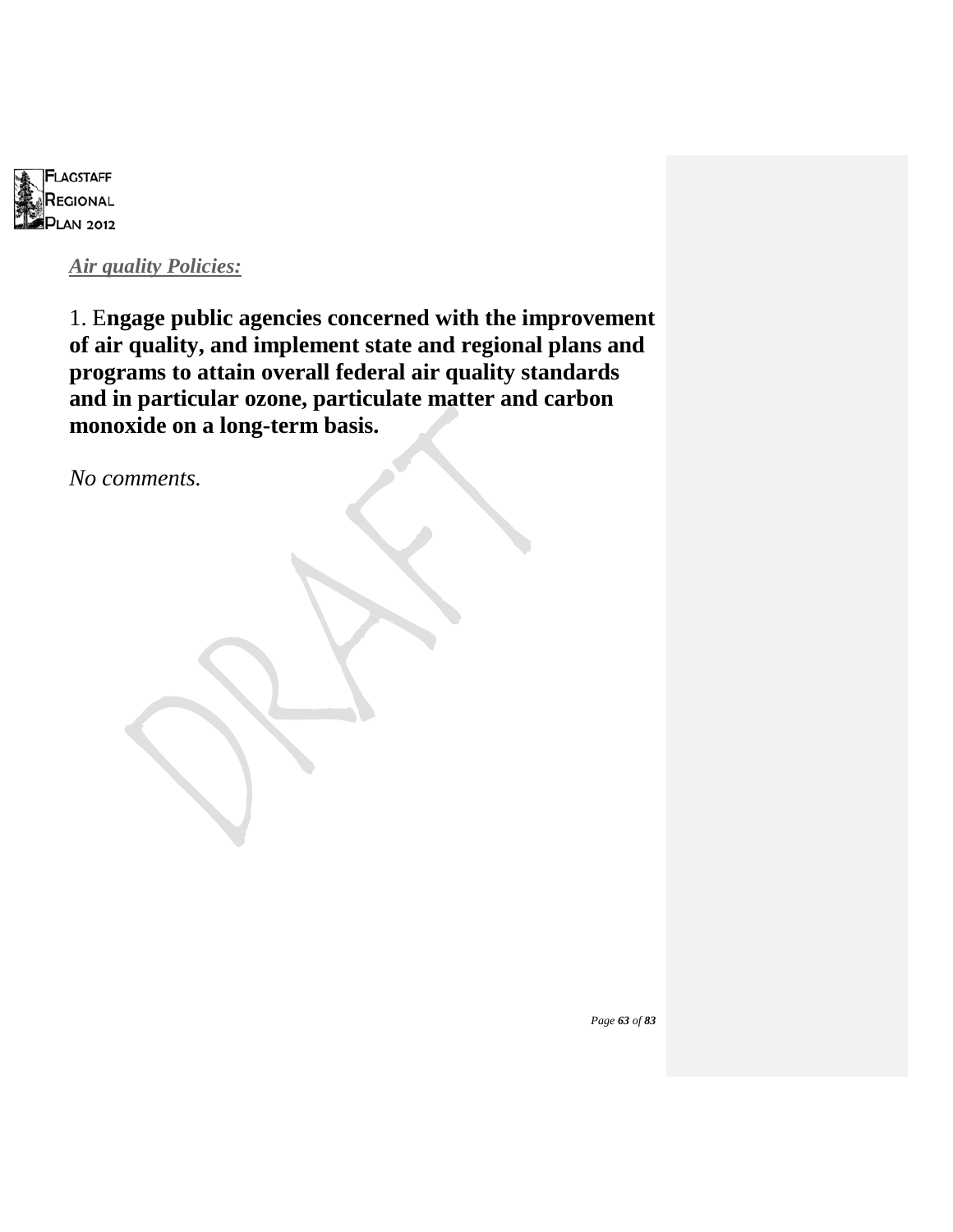

1. E**ngage public agencies concerned with the improvement of air quality, and implement state and regional plans and programs to attain overall federal air quality standards and in particular ozone, particulate matter and carbon monoxide on a long-term basis.**

*No comments.*

*Page 63 of 83*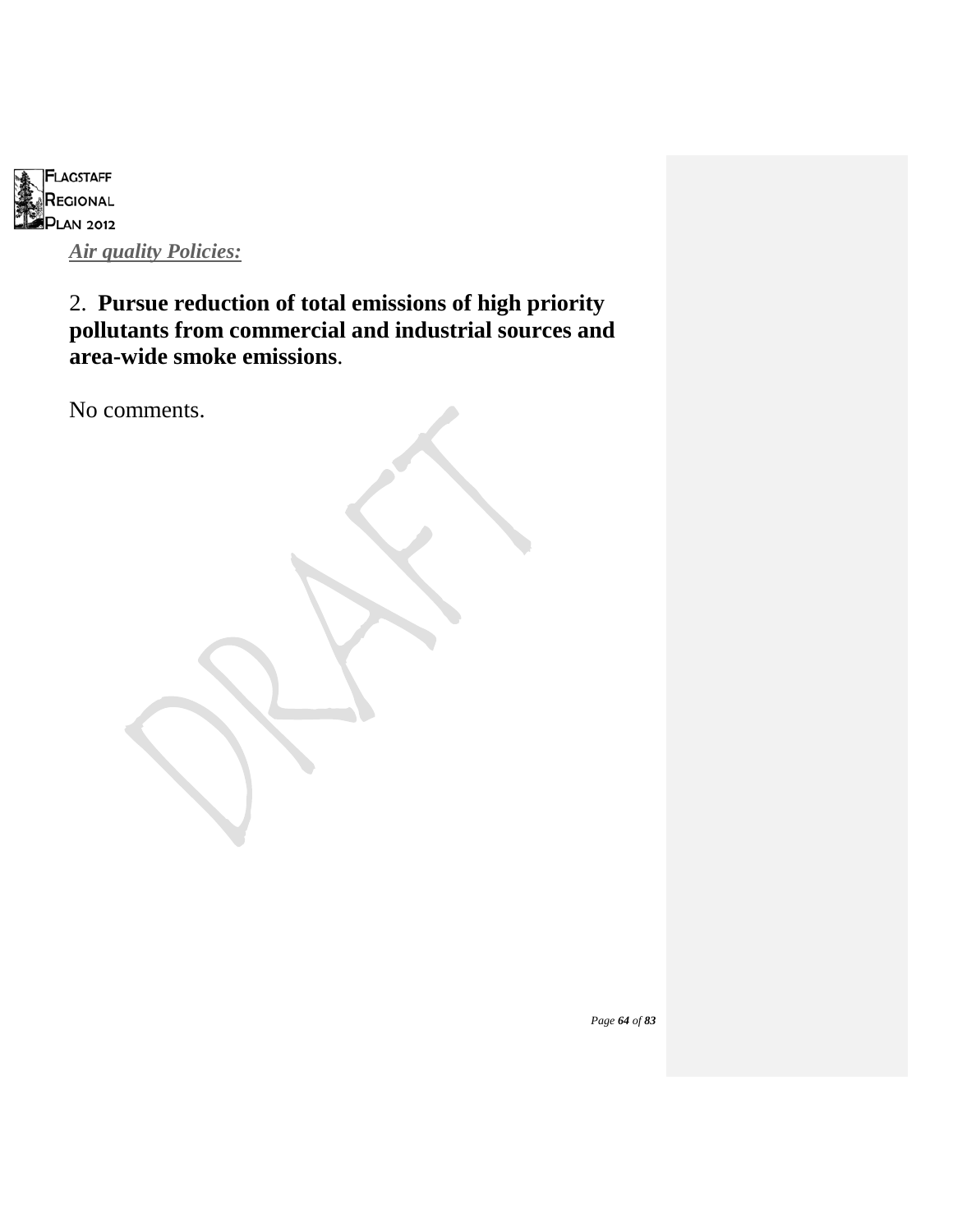

2. **Pursue reduction of total emissions of high priority pollutants from commercial and industrial sources and area-wide smoke emissions**.

No comments.

*Page 64 of 83*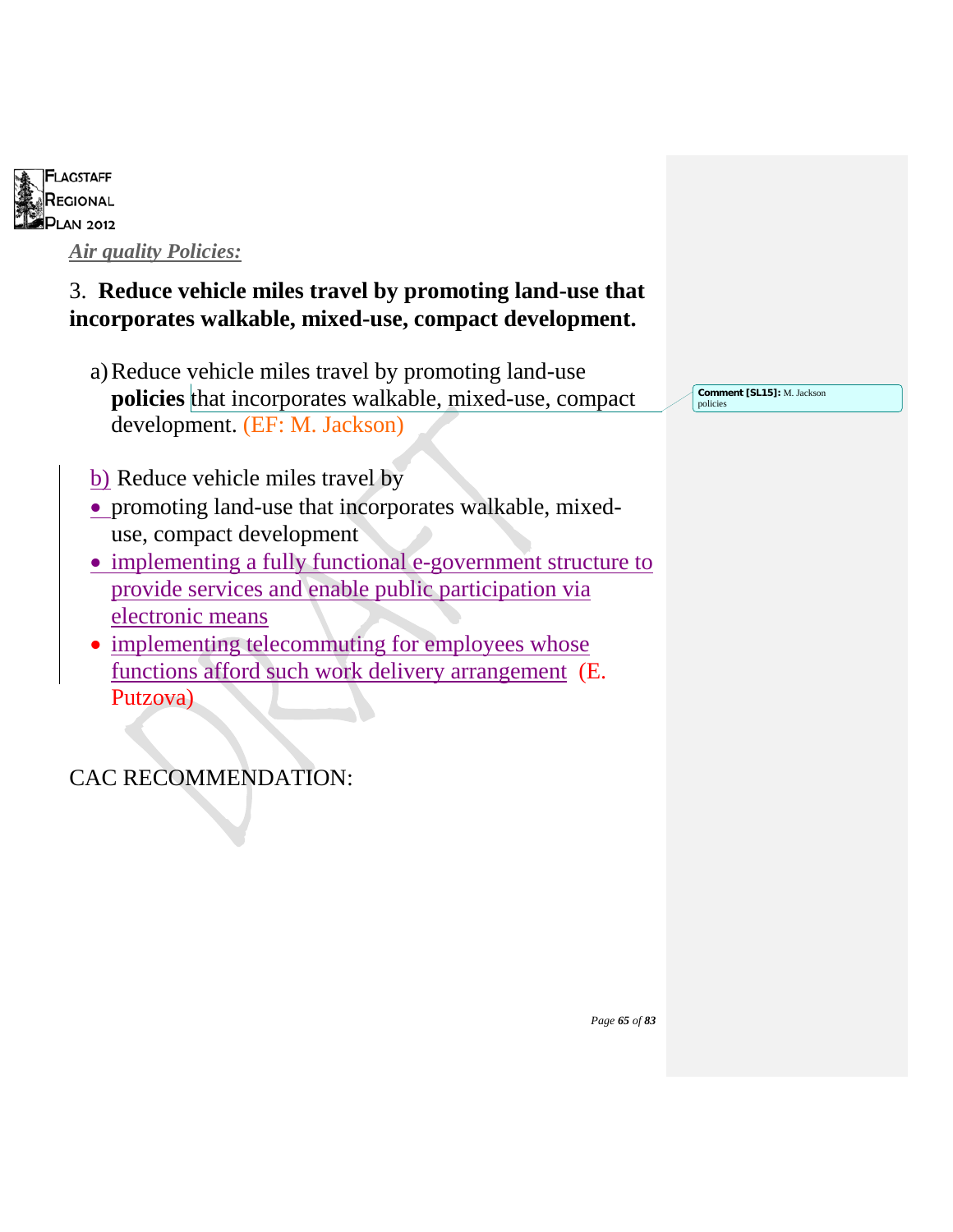

## 3. **Reduce vehicle miles travel by promoting land-use that incorporates walkable, mixed-use, compact development.**

a)Reduce vehicle miles travel by promoting land-use **policies** that incorporates walkable, mixed-use, compact development. (EF: M. Jackson)

**Comment [SL15]:** M. Jackson policies

- b) Reduce vehicle miles travel by
- promoting land-use that incorporates walkable, mixeduse, compact development
- implementing a fully functional e-government structure to provide services and enable public participation via electronic means
- implementing telecommuting for employees whose functions afford such work delivery arrangement (E. Putzova)

CAC RECOMMENDATION:

*Page 65 of 83*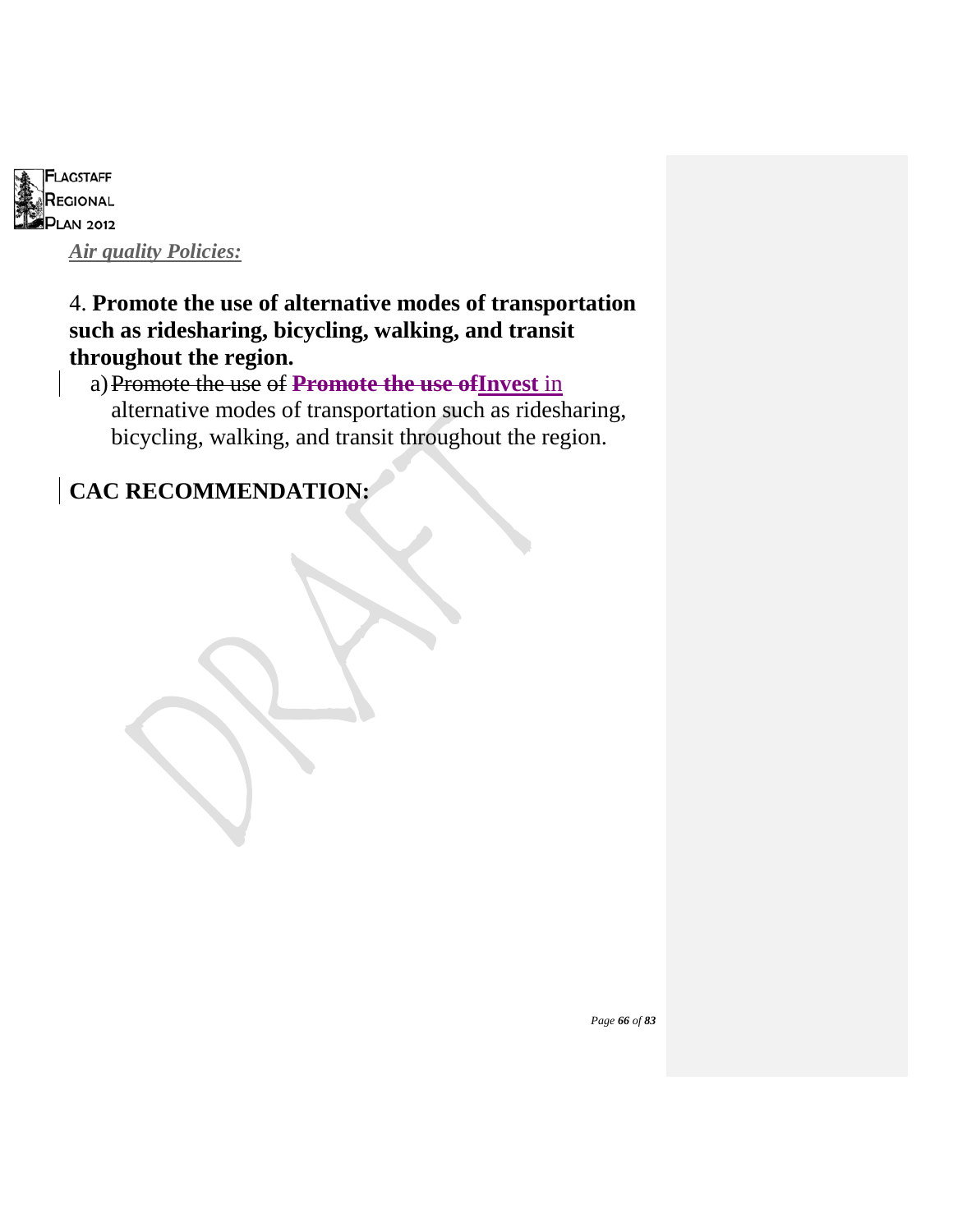

## 4. **Promote the use of alternative modes of transportation such as ridesharing, bicycling, walking, and transit throughout the region.**

a)Promote the use of **Promote the use ofInvest** in alternative modes of transportation such as ridesharing, bicycling, walking, and transit throughout the region.

# **CAC RECOMMENDATION:**

*Page 66 of 83*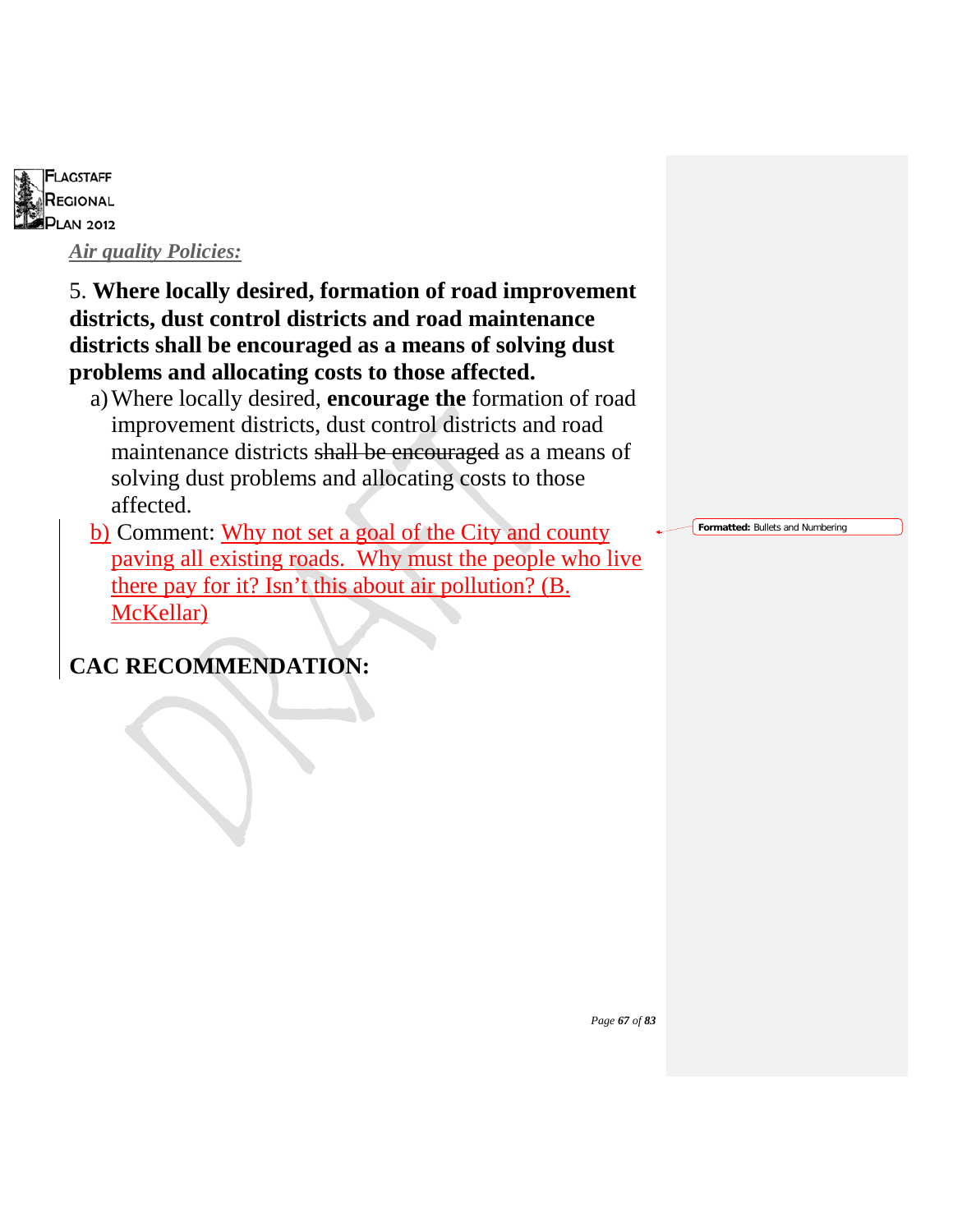

5. **Where locally desired, formation of road improvement districts, dust control districts and road maintenance districts shall be encouraged as a means of solving dust problems and allocating costs to those affected.** 

- a)Where locally desired, **encourage the** formation of road improvement districts, dust control districts and road maintenance districts shall be encouraged as a means of solving dust problems and allocating costs to those affected.
- b) Comment: Why not set a goal of the City and county paving all existing roads. Why must the people who live there pay for it? Isn't this about air pollution? (B. McKellar)

**CAC RECOMMENDATION:**

**Formatted:** Bullets and Numbering

*Page 67 of 83*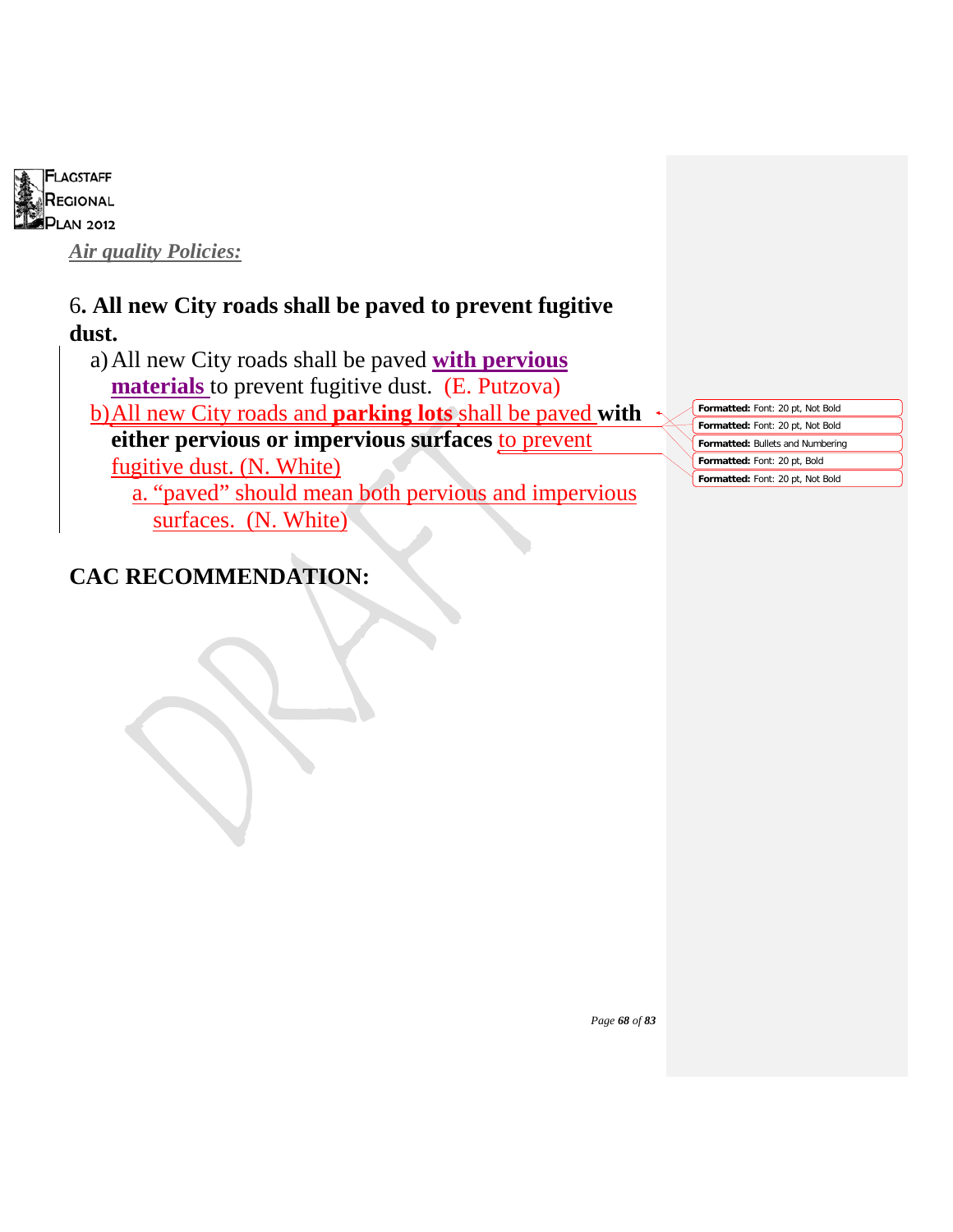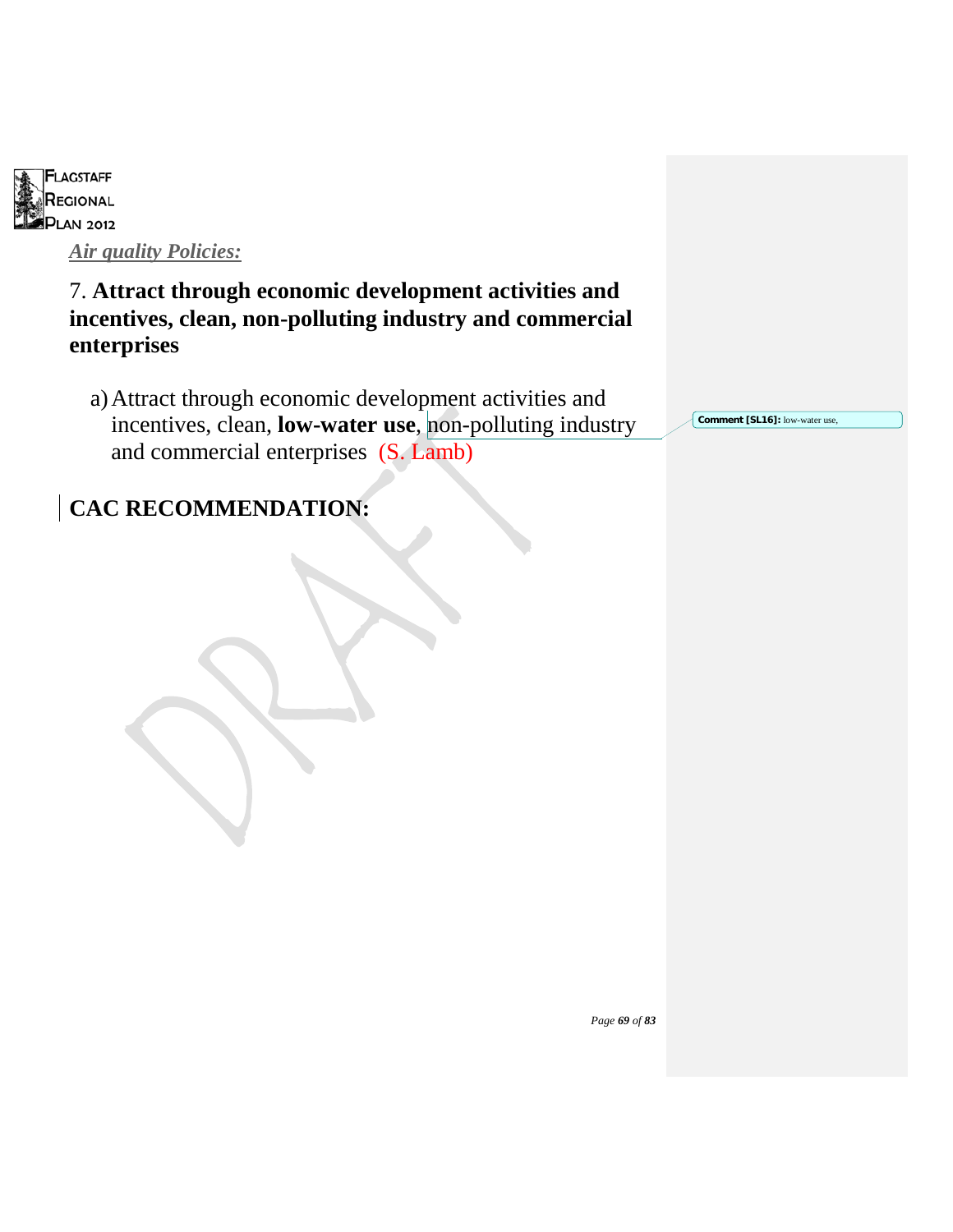

7. **Attract through economic development activities and incentives, clean, non-polluting industry and commercial enterprises**

a)Attract through economic development activities and incentives, clean, **low-water use**, non-polluting industry and commercial enterprises (S. Lamb)

# **CAC RECOMMENDATION:**

*Page 69 of 83*

**Comment [SL16]:** low-water use,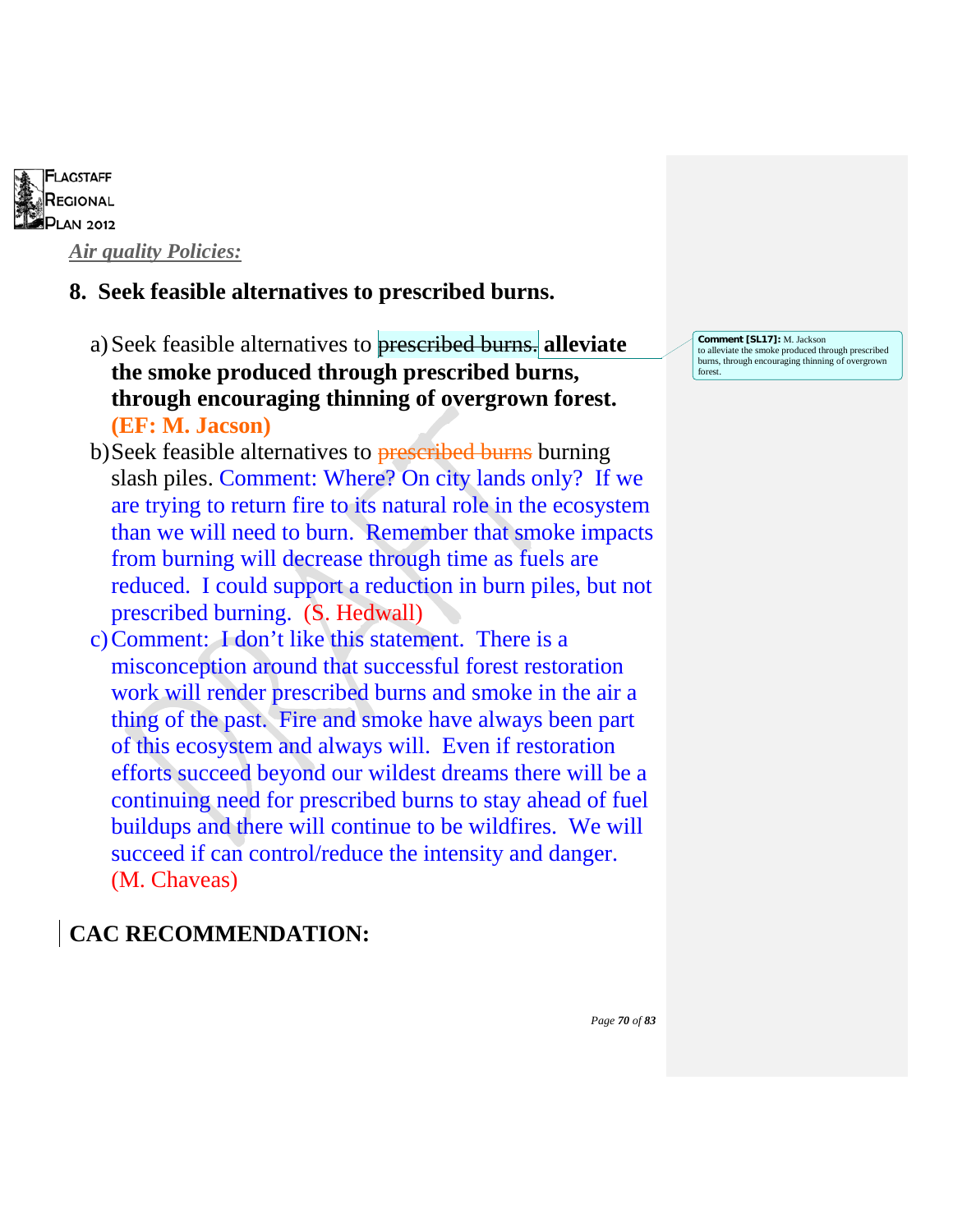

### **8. Seek feasible alternatives to prescribed burns.**

- a)Seek feasible alternatives to prescribed burns. **alleviate the smoke produced through prescribed burns, through encouraging thinning of overgrown forest. (EF: M. Jacson)**
- b)Seek feasible alternatives to **prescribed burns** burning slash piles. Comment: Where? On city lands only? If we are trying to return fire to its natural role in the ecosystem than we will need to burn. Remember that smoke impacts from burning will decrease through time as fuels are reduced. I could support a reduction in burn piles, but not prescribed burning. (S. Hedwall)
- c)Comment: I don't like this statement. There is a misconception around that successful forest restoration work will render prescribed burns and smoke in the air a thing of the past. Fire and smoke have always been part of this ecosystem and always will. Even if restoration efforts succeed beyond our wildest dreams there will be a continuing need for prescribed burns to stay ahead of fuel buildups and there will continue to be wildfires. We will succeed if can control/reduce the intensity and danger. (M. Chaveas)

## **CAC RECOMMENDATION:**

**Comment [SL17]:** M. Jackson to alleviate the smoke produced through prescribed burns, through encouraging thinning of overgrown forest.

*Page 70 of 83*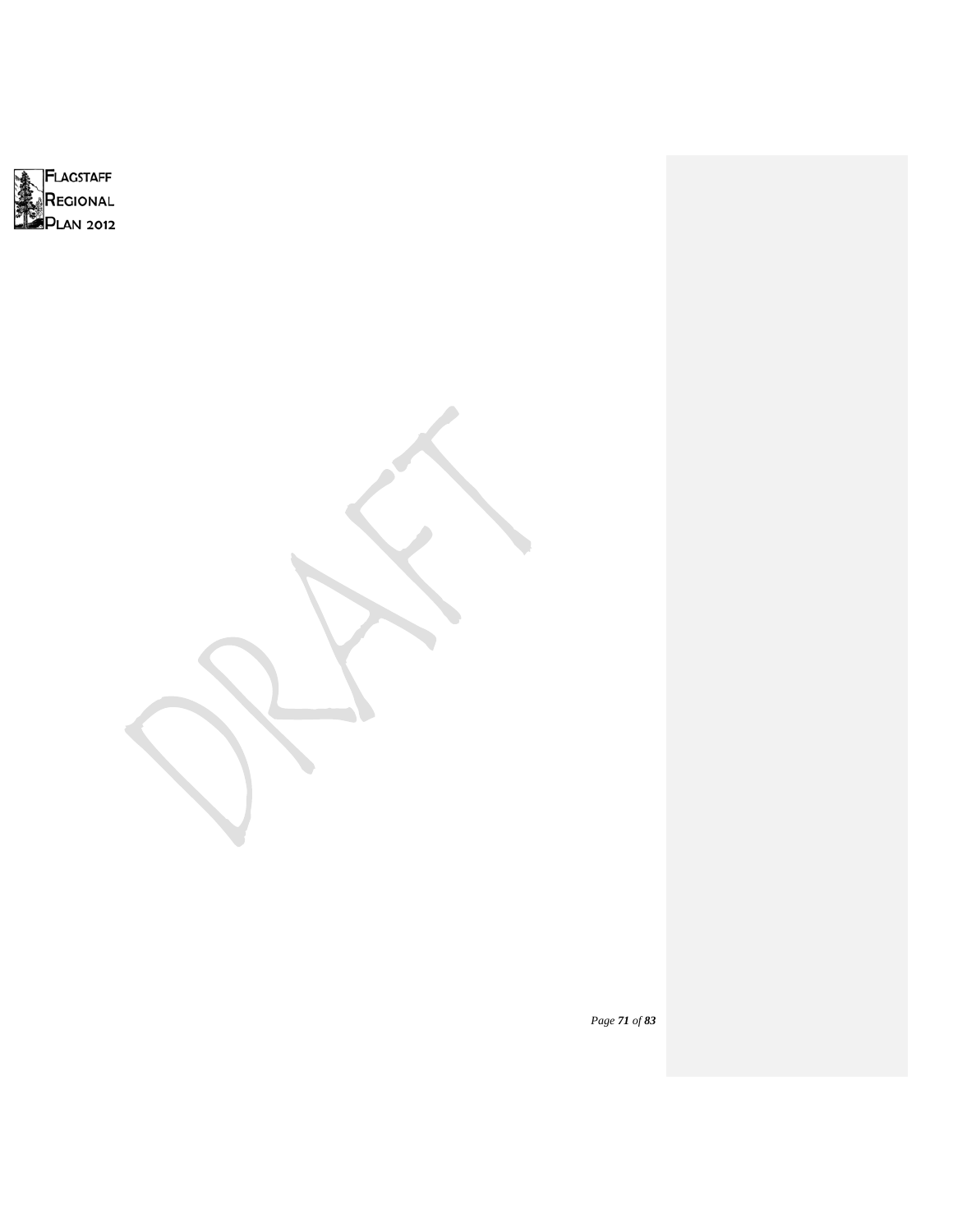

*Page 71 of 83*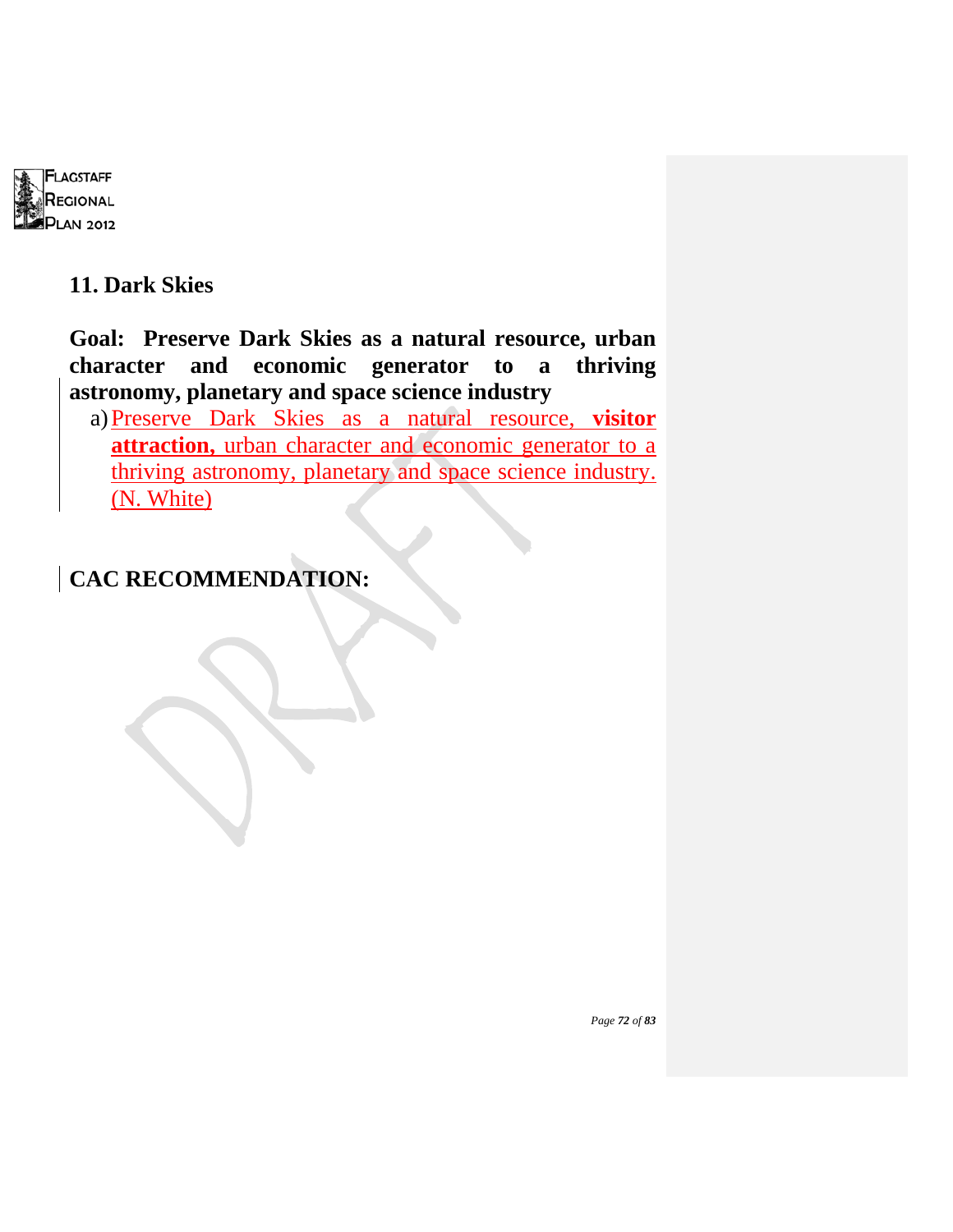

## **11. Dark Skies**

**Goal: Preserve Dark Skies as a natural resource, urban character and economic generator to a thriving astronomy, planetary and space science industry**

a)Preserve Dark Skies as a natural resource, **visitor attraction,** urban character and economic generator to a thriving astronomy, planetary and space science industry. (N. White)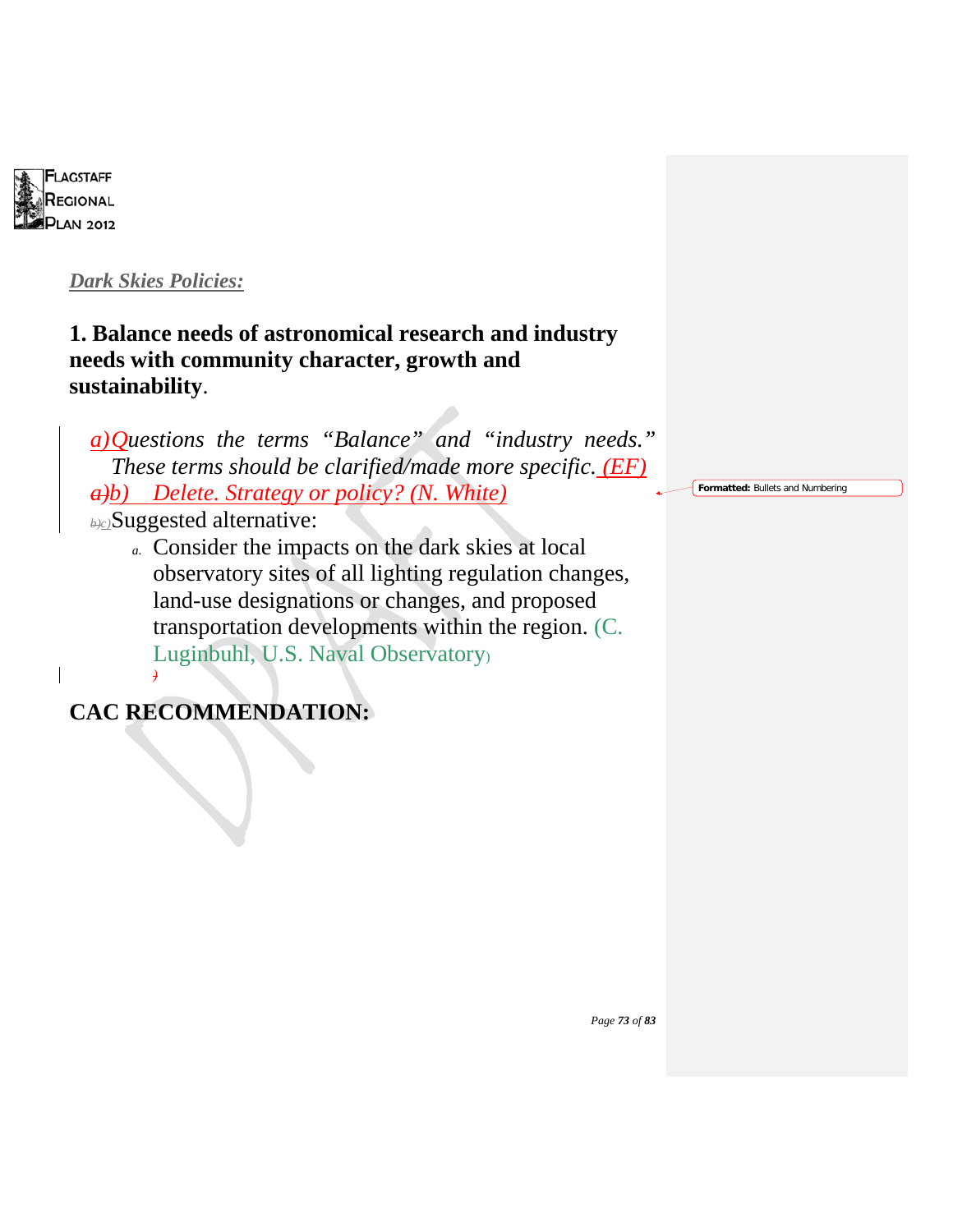

**1. Balance needs of astronomical research and industry needs with community character, growth and sustainability**.

*a)Questions the terms "Balance" and "industry needs." These terms should be clarified/made more specific. (EF) a)b) Delete. Strategy or policy? (N. White) b)c)*Suggested alternative:

*a.* Consider the impacts on the dark skies at local observatory sites of all lighting regulation changes, land-use designations or changes, and proposed transportation developments within the region. (C. Luginbuhl, U.S. Naval Observatory) *)*

**CAC RECOMMENDATION:**

**Formatted:** Bullets and Numbering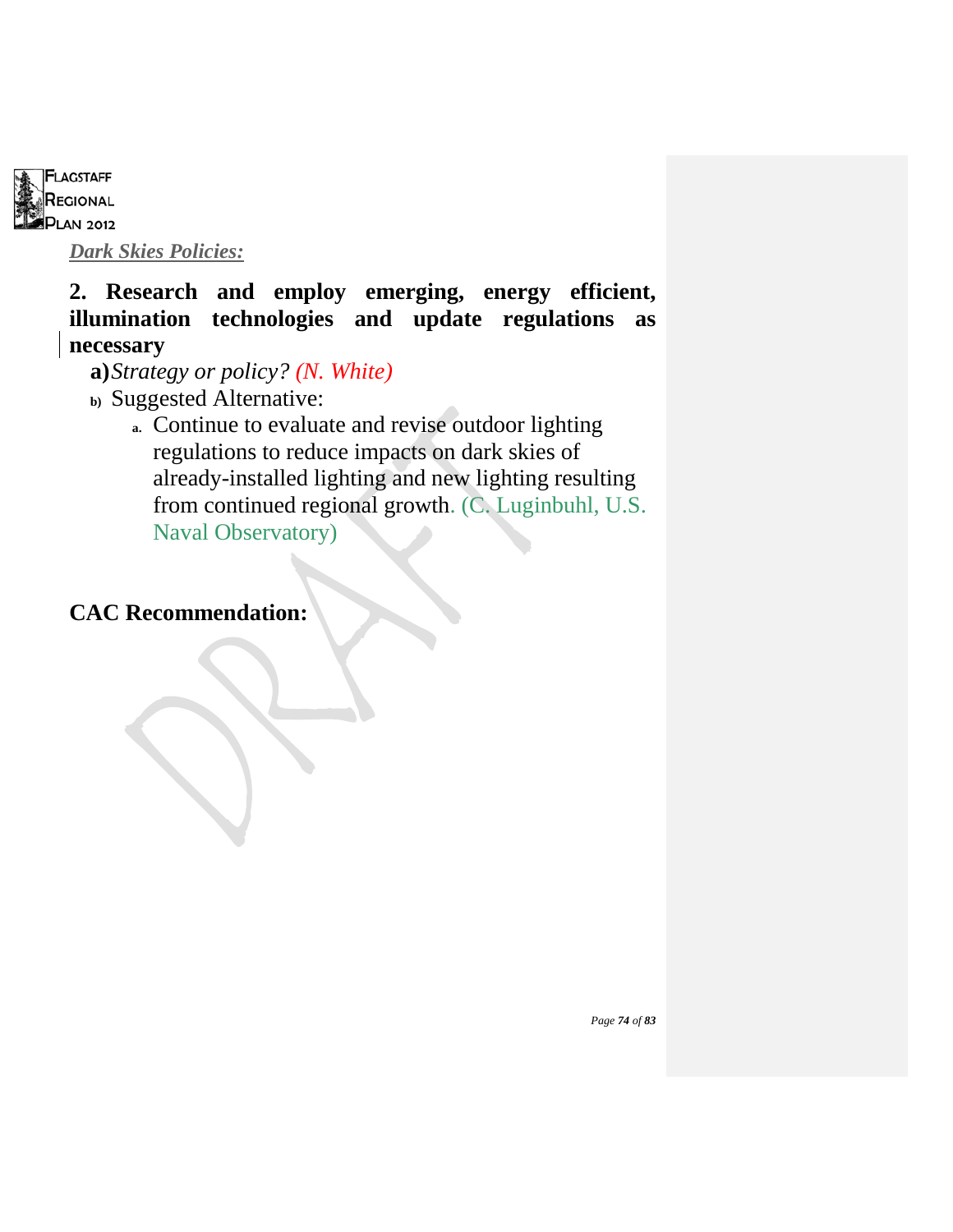

**2. Research and employ emerging, energy efficient, illumination technologies and update regulations as necessary** 

**a)***Strategy or policy? (N. White)*

**b)** Suggested Alternative:

**a.** Continue to evaluate and revise outdoor lighting regulations to reduce impacts on dark skies of already-installed lighting and new lighting resulting from continued regional growth. (C. Luginbuhl, U.S. Naval Observatory)

## **CAC Recommendation:**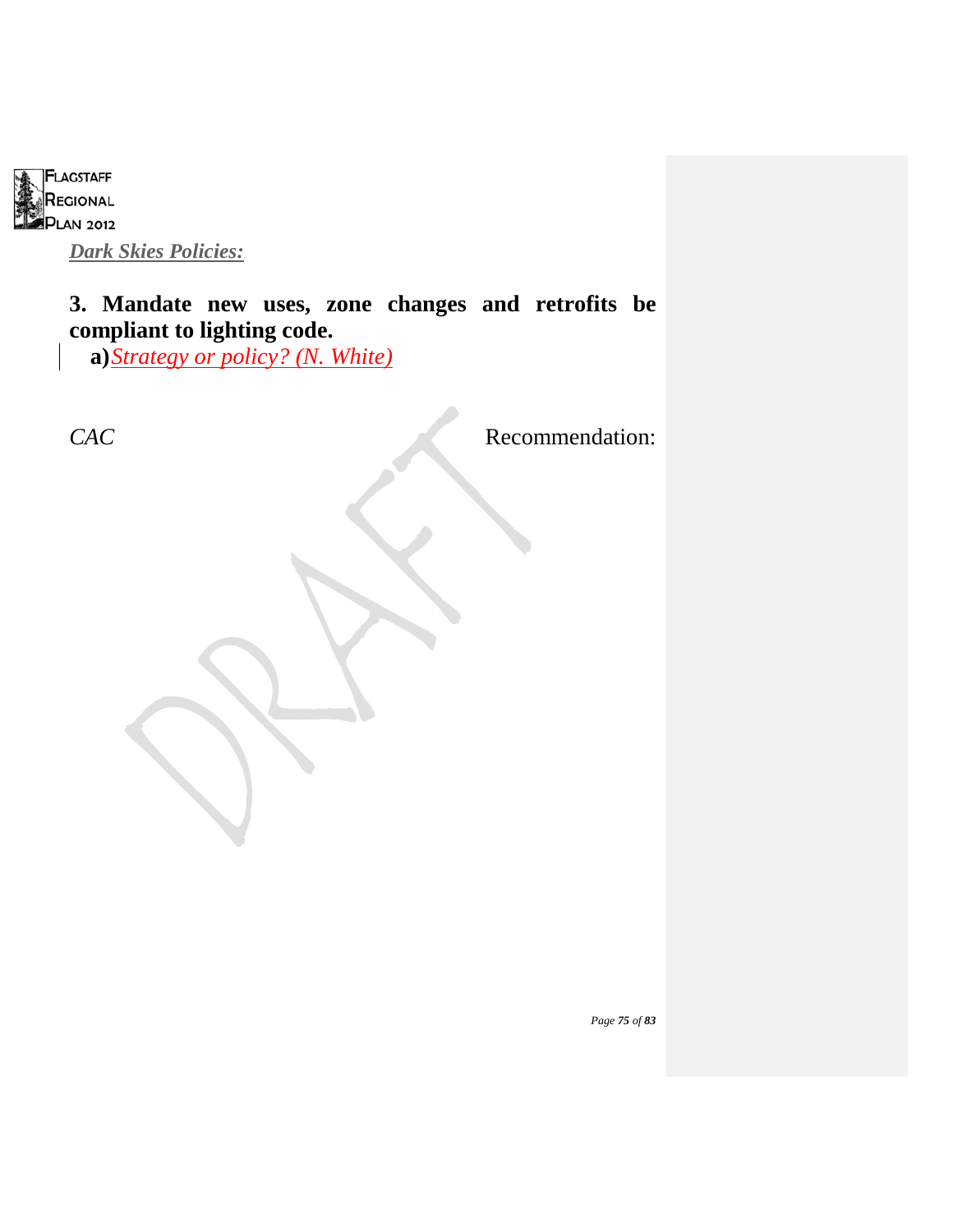

**3. Mandate new uses, zone changes and retrofits be compliant to lighting code.**

**a)***Strategy or policy? (N. White)*

**CAC** Recommendation:

*Page 75 of 83*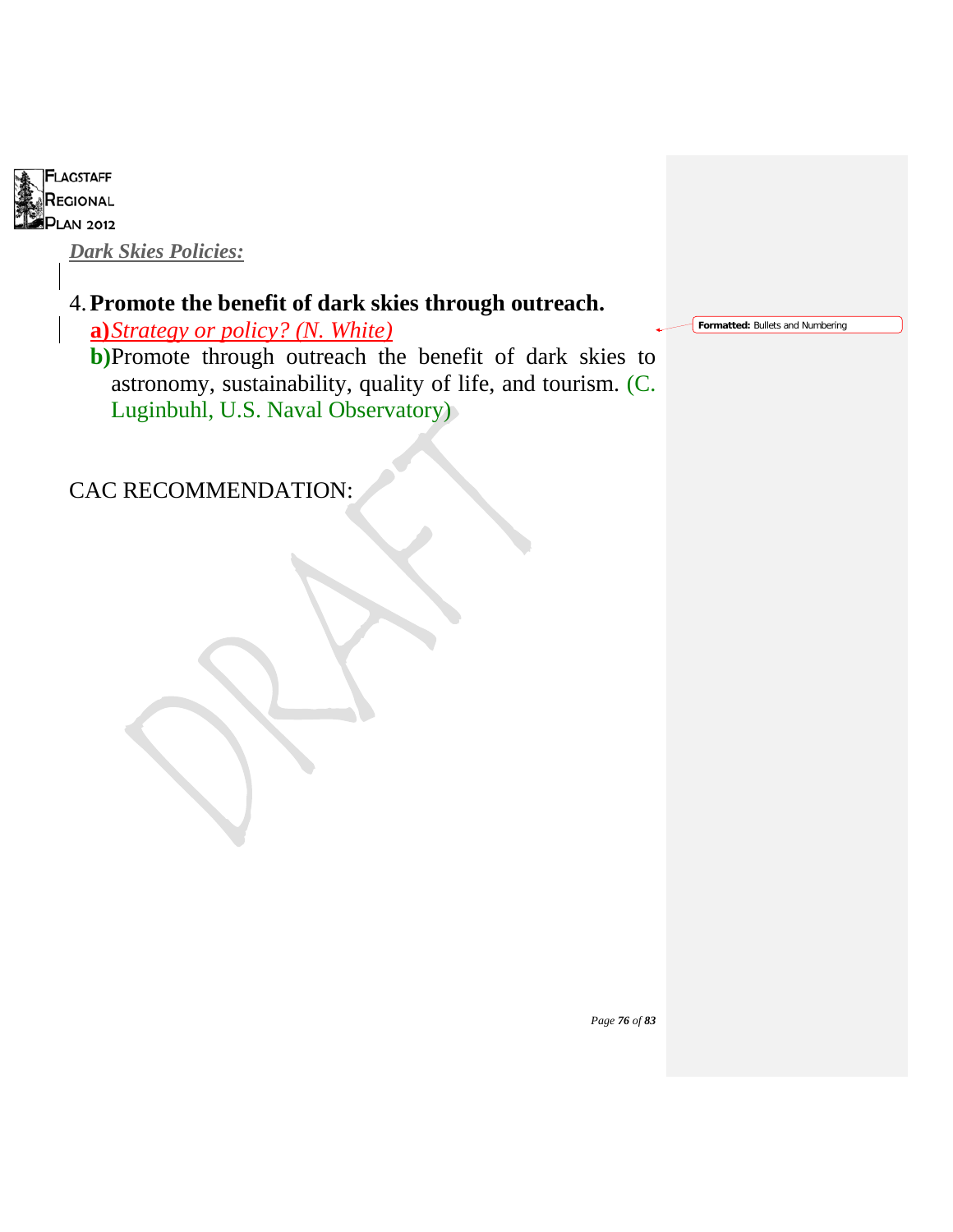

## 4.**Promote the benefit of dark skies through outreach.**

**a)***Strategy or policy? (N. White)*

**b)**Promote through outreach the benefit of dark skies to astronomy, sustainability, quality of life, and tourism. (C. Luginbuhl, U.S. Naval Observatory)

CAC RECOMMENDATION:

**Formatted:** Bullets and Numbering

*Page 76 of 83*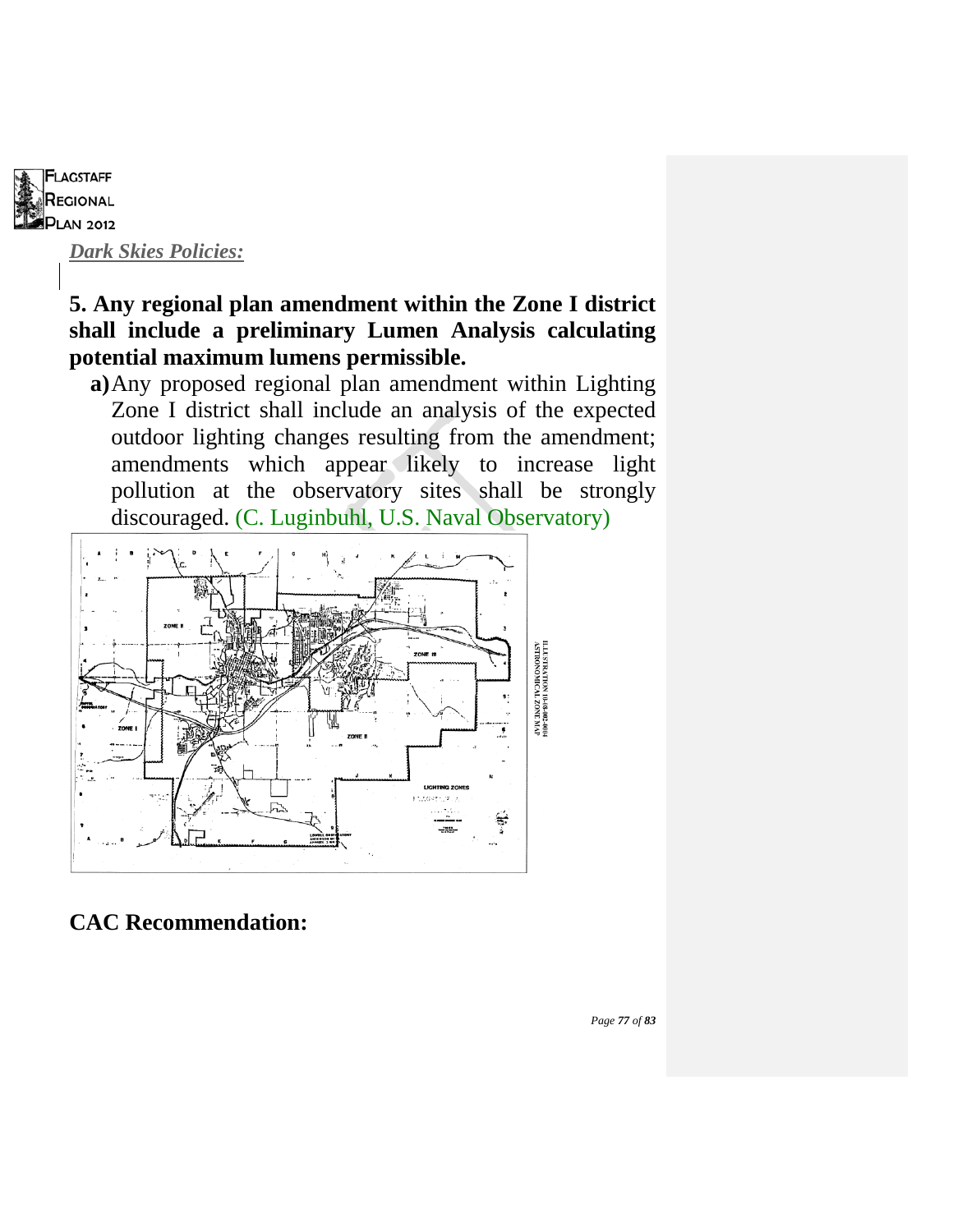

## **5. Any regional plan amendment within the Zone I district shall include a preliminary Lumen Analysis calculating potential maximum lumens permissible.**

**a)**Any proposed regional plan amendment within Lighting Zone I district shall include an analysis of the expected outdoor lighting changes resulting from the amendment; amendments which appear likely to increase light pollution at the observatory sites shall be strongly discouraged. (C. Luginbuhl, U.S. Naval Observatory)



**CAC Recommendation:**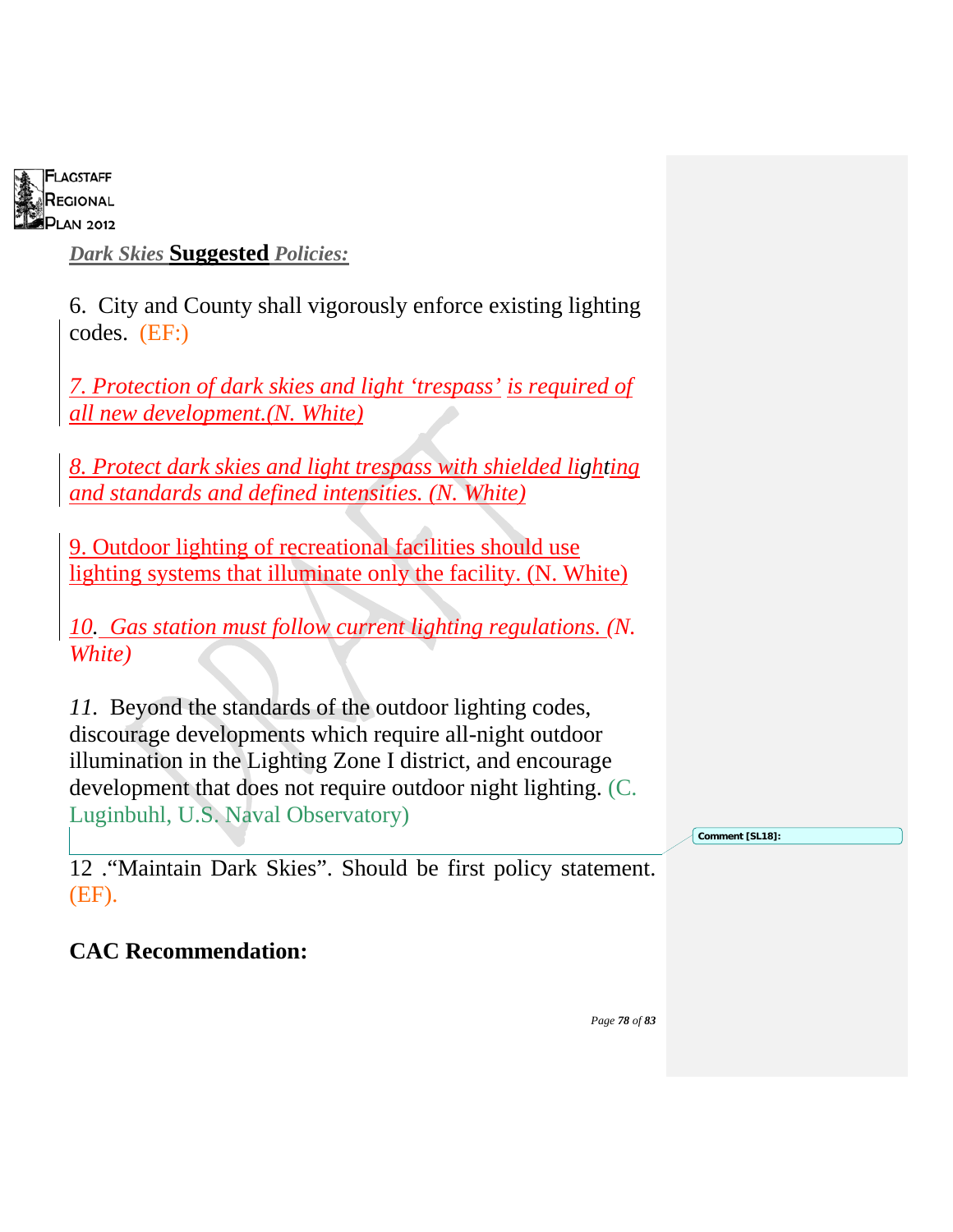

*Dark Skies* **Suggested** *Policies:* 

6. City and County shall vigorously enforce existing lighting codes. (EF:)

*7. Protection of dark skies and light 'trespass' is required of all new development.(N. White)*

*8. Protect dark skies and light trespass with shielded lighting and standards and defined intensities. (N. White)*

9. Outdoor lighting of recreational facilities should use lighting systems that illuminate only the facility. (N. White)

*10. Gas station must follow current lighting regulations. (N. White)*

*11.* Beyond the standards of the outdoor lighting codes, discourage developments which require all-night outdoor illumination in the Lighting Zone I district, and encourage development that does not require outdoor night lighting. (C. Luginbuhl, U.S. Naval Observatory)

12 ."Maintain Dark Skies". Should be first policy statement. (EF).

**CAC Recommendation:** 

**Comment [SL18]:** 

*Page 78 of 83*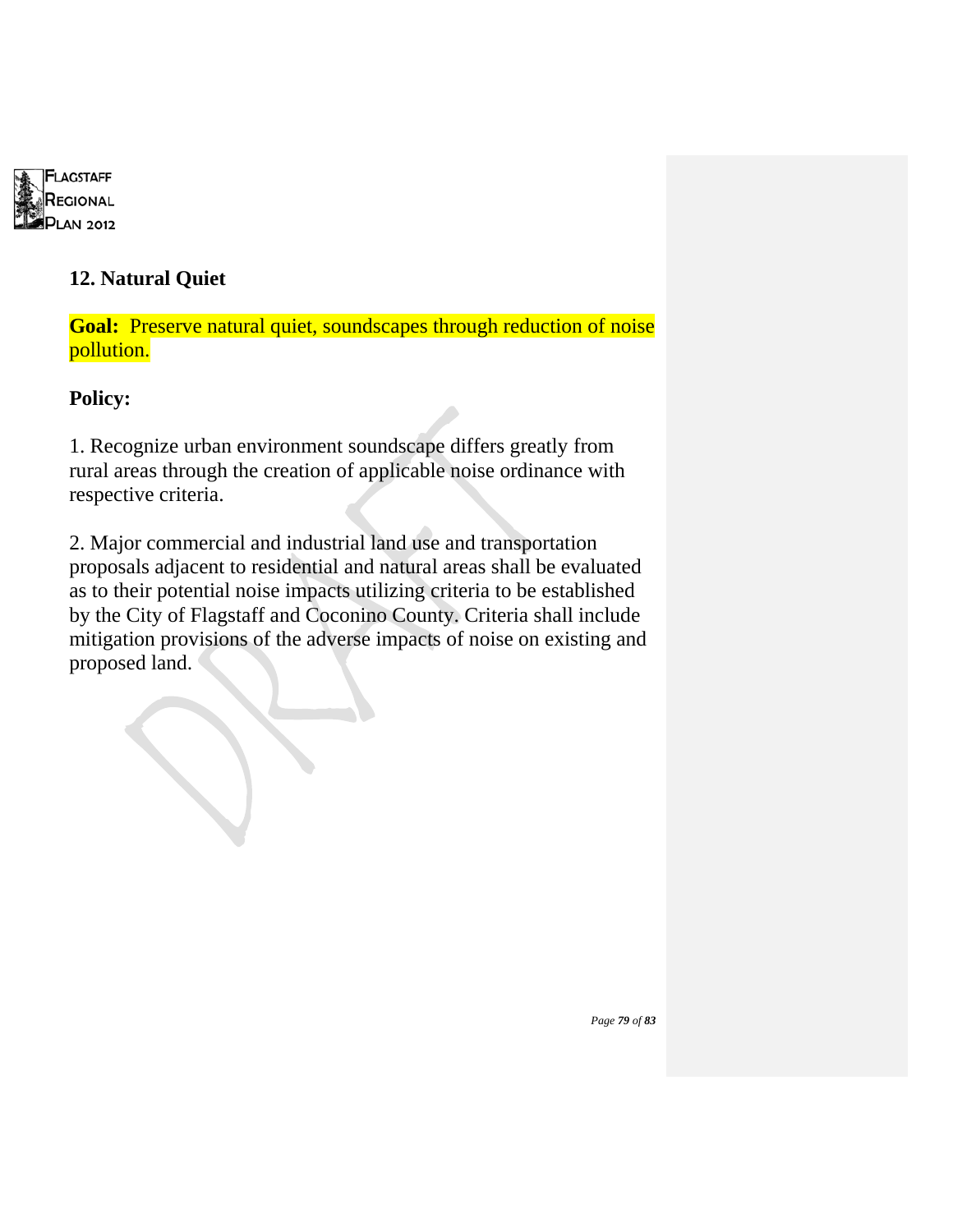

## **12. Natural Quiet**

**Goal:** Preserve natural quiet, soundscapes through reduction of noise pollution.

**Policy:**

1. Recognize urban environment soundscape differs greatly from rural areas through the creation of applicable noise ordinance with respective criteria.

2. Major commercial and industrial land use and transportation proposals adjacent to residential and natural areas shall be evaluated as to their potential noise impacts utilizing criteria to be established by the City of Flagstaff and Coconino County. Criteria shall include mitigation provisions of the adverse impacts of noise on existing and proposed land.

*Page 79 of 83*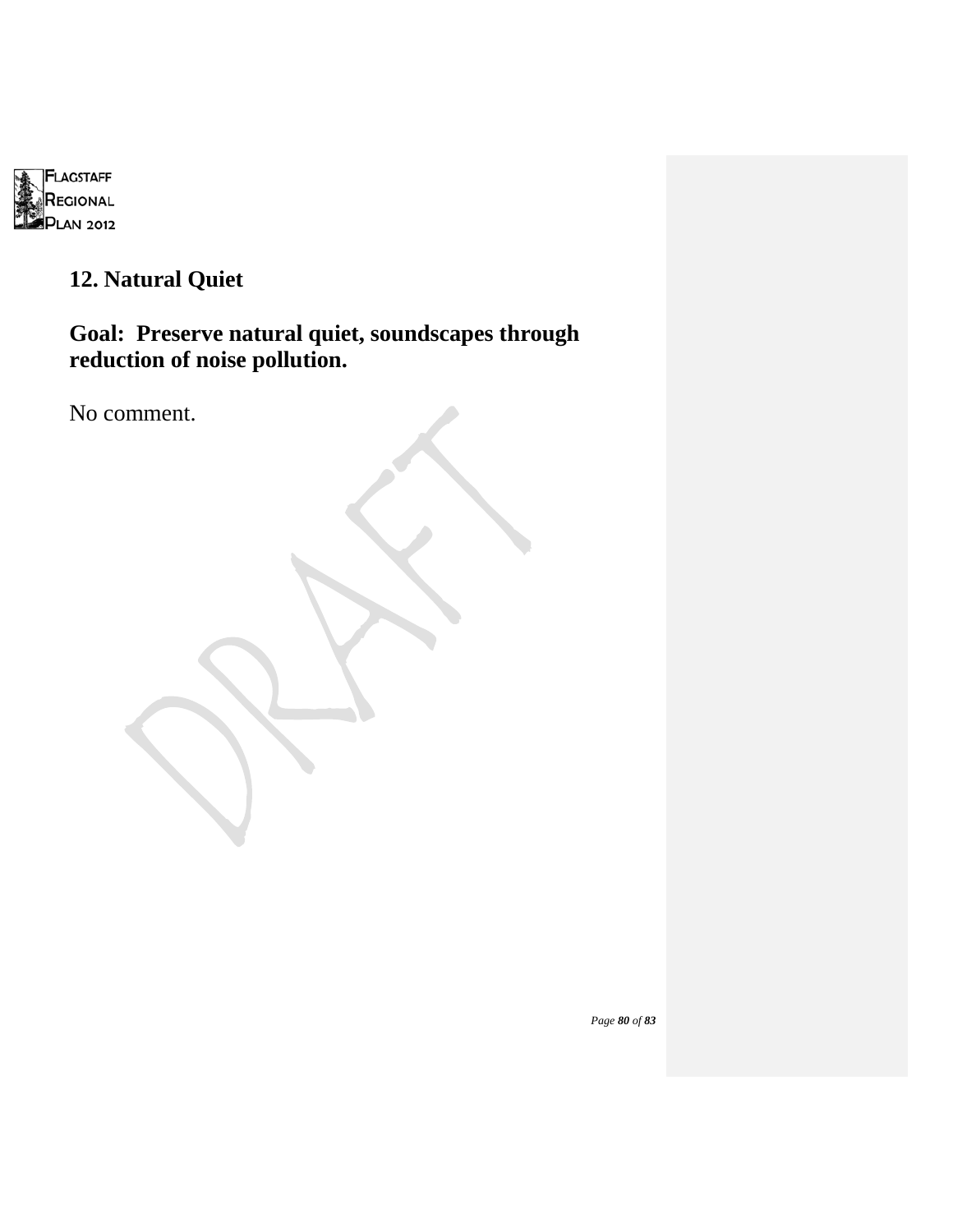

# **12. Natural Quiet**

**Goal: Preserve natural quiet, soundscapes through reduction of noise pollution.**

No comment.

*Page 80 of 83*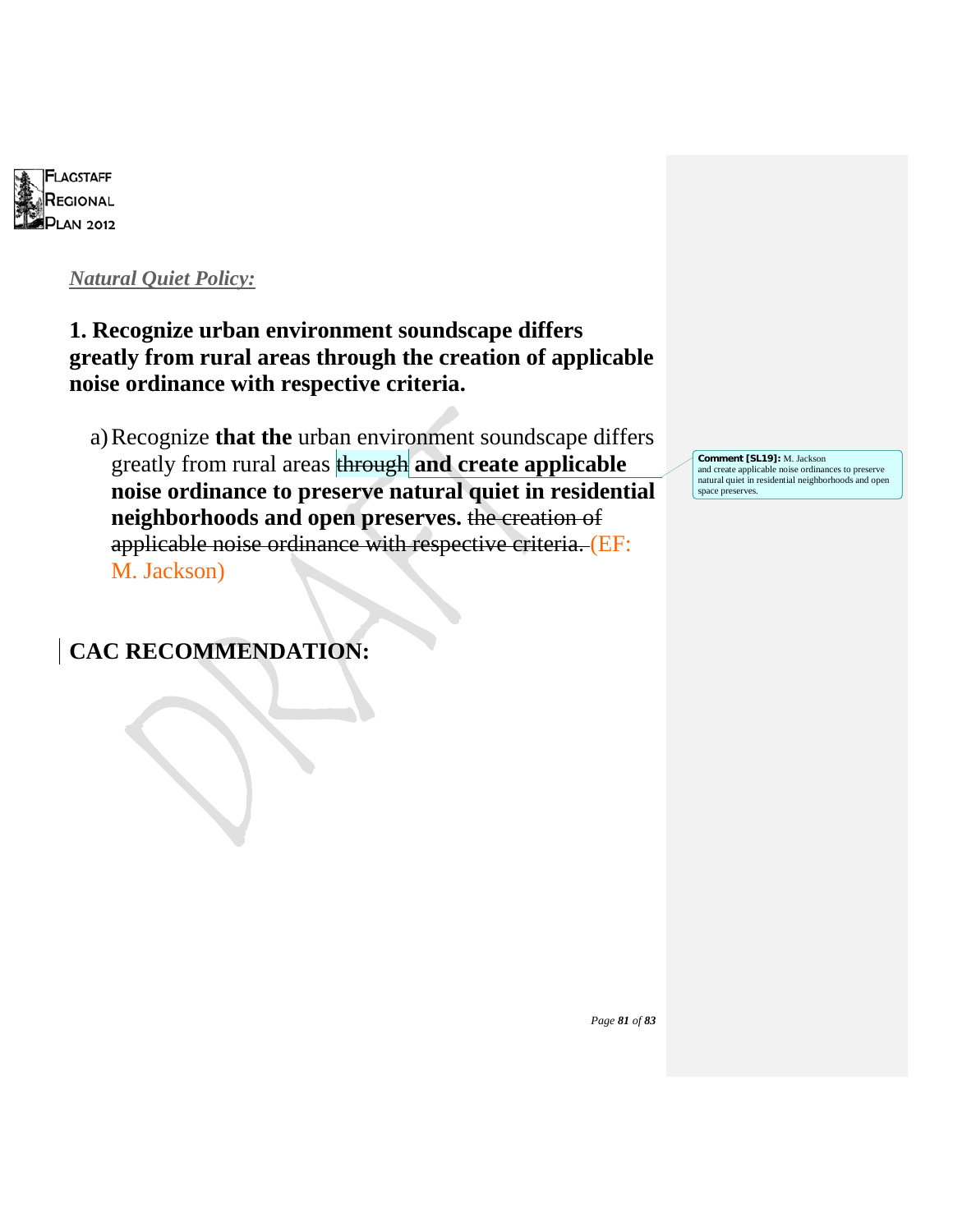

#### *Natural Quiet Policy:*

**1. Recognize urban environment soundscape differs greatly from rural areas through the creation of applicable noise ordinance with respective criteria.**

a)Recognize **that the** urban environment soundscape differs greatly from rural areas through **and create applicable noise ordinance to preserve natural quiet in residential neighborhoods and open preserves.** the creation of applicable noise ordinance with respective criteria. (EF: M. Jackson)

**CAC RECOMMENDATION:**

**Comment [SL19]:** M. Jackson and create applicable noise ordinances to preserve natural quiet in residential neighborhoods and open space preserves.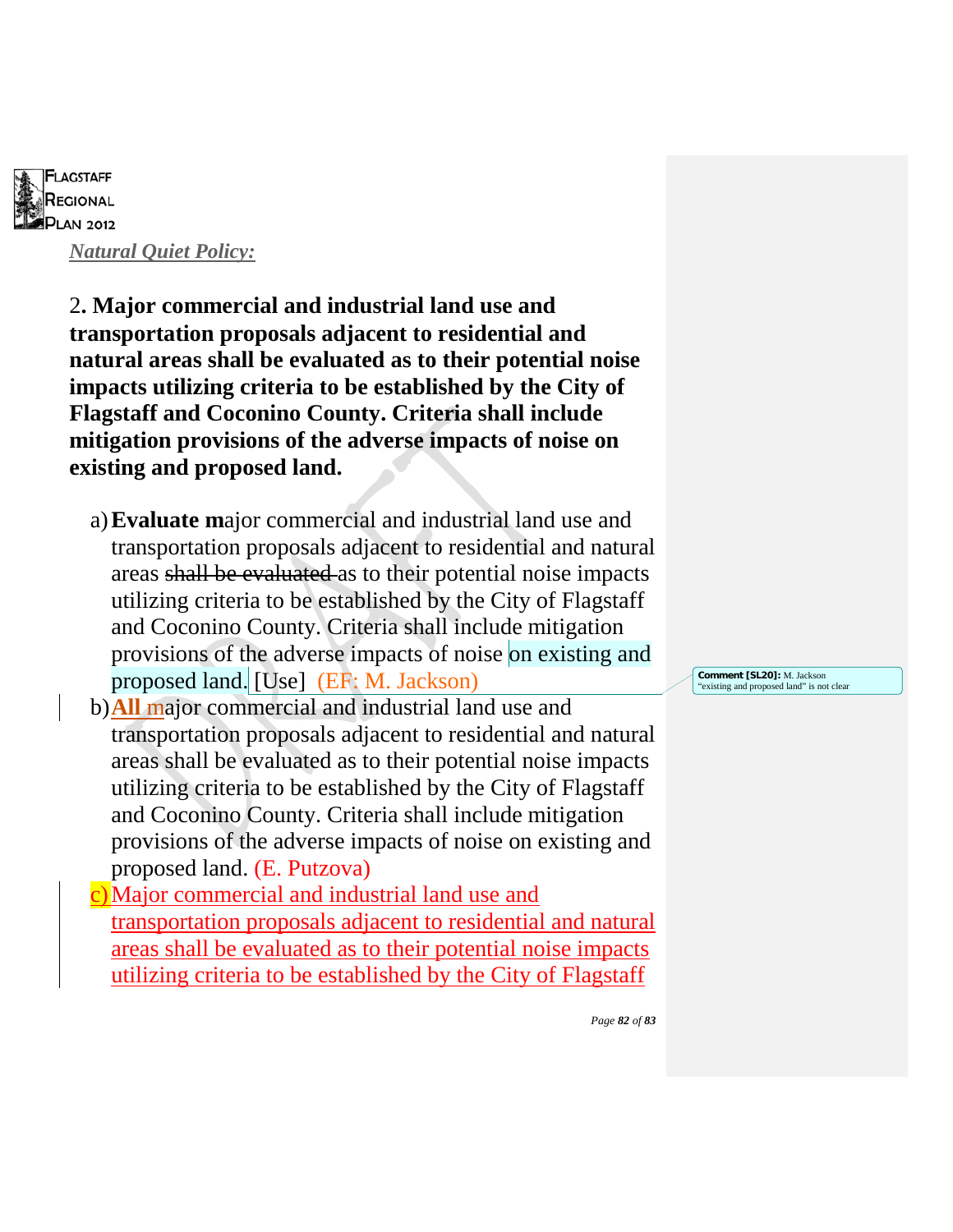

*Natural Quiet Policy:*

2**. Major commercial and industrial land use and transportation proposals adjacent to residential and natural areas shall be evaluated as to their potential noise impacts utilizing criteria to be established by the City of Flagstaff and Coconino County. Criteria shall include mitigation provisions of the adverse impacts of noise on existing and proposed land.**

- a)**Evaluate m**ajor commercial and industrial land use and transportation proposals adjacent to residential and natural areas shall be evaluated as to their potential noise impacts utilizing criteria to be established by the City of Flagstaff and Coconino County. Criteria shall include mitigation provisions of the adverse impacts of noise on existing and proposed land. [Use] (EF: M. Jackson)
- b)**All** major commercial and industrial land use and transportation proposals adjacent to residential and natural areas shall be evaluated as to their potential noise impacts utilizing criteria to be established by the City of Flagstaff and Coconino County. Criteria shall include mitigation provisions of the adverse impacts of noise on existing and proposed land. (E. Putzova)
- c)Major commercial and industrial land use and transportation proposals adjacent to residential and natural areas shall be evaluated as to their potential noise impacts utilizing criteria to be established by the City of Flagstaff

**Comment [SL20]:** M. Jackson "existing and proposed land" is not clear

*Page 82 of 83*